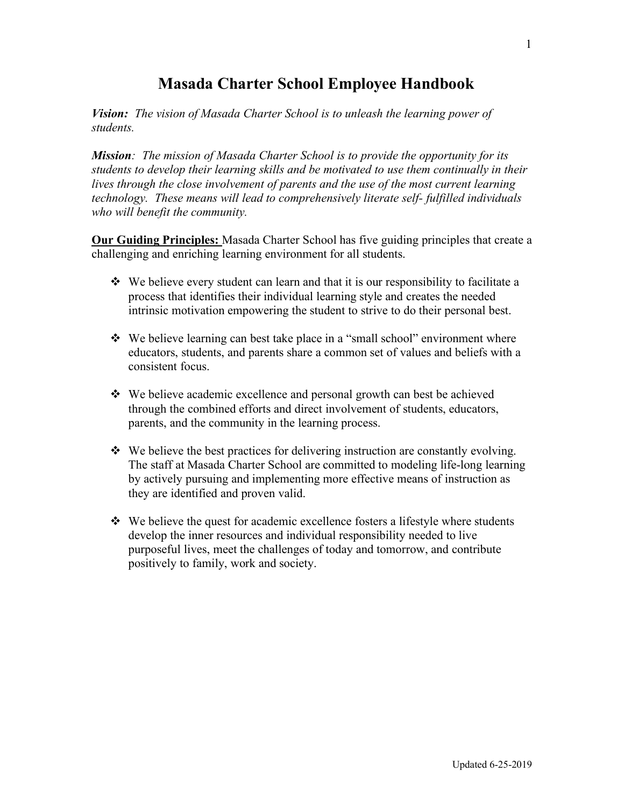# **Masada Charter School Employee Handbook**

*Vision: The vision of Masada Charter School is to unleash the learning power of students.*

*Mission: The mission of Masada Charter School is to provide the opportunity for its students to develop their learning skills and be motivated to use them continually in their lives through the close involvement of parents and the use of the most current learning technology. These means will lead to comprehensively literate self- fulfilled individuals who will benefit the community.*

**Our Guiding Principles:** Masada Charter School has five guiding principles that create a challenging and enriching learning environment for all students.

- $\bullet\bullet\bullet\bullet$  We believe every student can learn and that it is our responsibility to facilitate a process that identifies their individual learning style and creates the needed intrinsic motivation empowering the student to strive to do their personal best.
- $\cdot$  We believe learning can best take place in a "small school" environment where educators, students, and parents share a common set of values and beliefs with a consistent focus.
- $\bullet$  We believe academic excellence and personal growth can best be achieved through the combined efforts and direct involvement of students, educators, parents, and the community in the learning process.
- $\bullet\bullet\mathbb{R}^2$  We believe the best practices for delivering instruction are constantly evolving. The staff at Masada Charter School are committed to modeling life-long learning by actively pursuing and implementing more effective means of instruction as they are identified and proven valid.
- $\cdot$  We believe the quest for academic excellence fosters a lifestyle where students develop the inner resources and individual responsibility needed to live purposeful lives, meet the challenges of today and tomorrow, and contribute positively to family, work and society.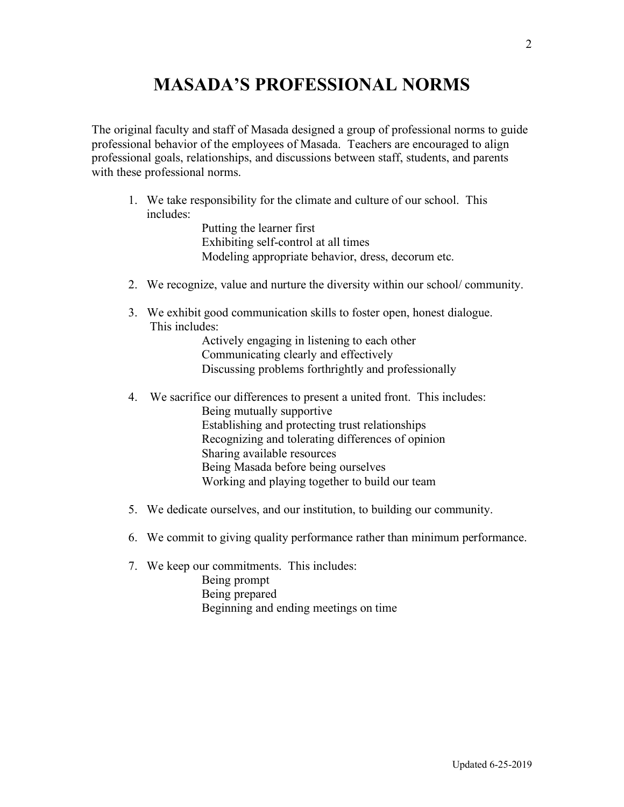# **MASADA'S PROFESSIONAL NORMS**

The original faculty and staff of Masada designed a group of professional norms to guide professional behavior of the employees of Masada. Teachers are encouraged to align professional goals, relationships, and discussions between staff, students, and parents with these professional norms.

1. We take responsibility for the climate and culture of our school. This includes:

Putting the learner first Exhibiting self-control at all times Modeling appropriate behavior, dress, decorum etc.

- 2. We recognize, value and nurture the diversity within our school/ community.
- 3. We exhibit good communication skills to foster open, honest dialogue. This includes:

Actively engaging in listening to each other Communicating clearly and effectively Discussing problems forthrightly and professionally

4. We sacrifice our differences to present a united front. This includes:

Being mutually supportive Establishing and protecting trust relationships Recognizing and tolerating differences of opinion Sharing available resources Being Masada before being ourselves Working and playing together to build our team

- 5. We dedicate ourselves, and our institution, to building our community.
- 6. We commit to giving quality performance rather than minimum performance.
- 7. We keep our commitments. This includes: Being prompt Being prepared Beginning and ending meetings on time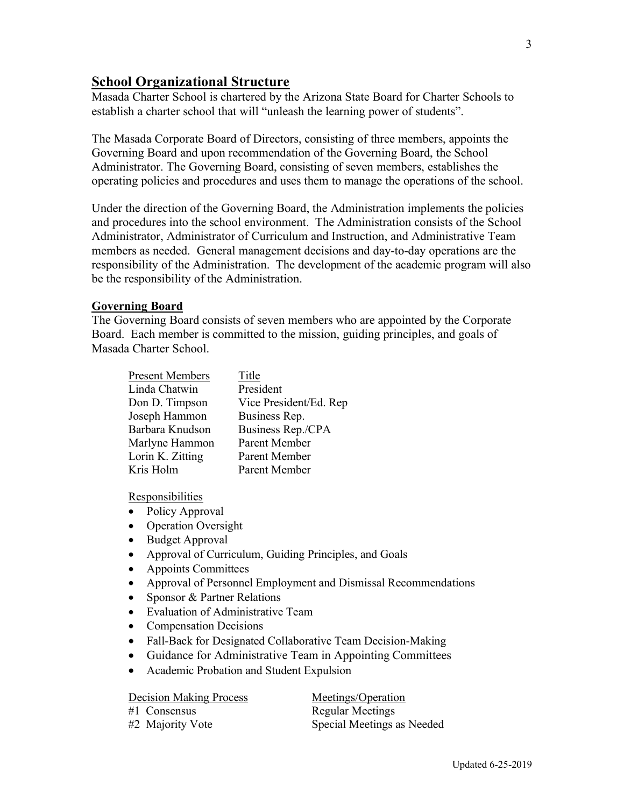## **School Organizational Structure**

Masada Charter School is chartered by the Arizona State Board for Charter Schools to establish a charter school that will "unleash the learning power of students".

The Masada Corporate Board of Directors, consisting of three members, appoints the Governing Board and upon recommendation of the Governing Board, the School Administrator. The Governing Board, consisting of seven members, establishes the operating policies and procedures and uses them to manage the operations of the school.

Under the direction of the Governing Board, the Administration implements the policies and procedures into the school environment. The Administration consists of the School Administrator, Administrator of Curriculum and Instruction, and Administrative Team members as needed. General management decisions and day-to-day operations are the responsibility of the Administration. The development of the academic program will also be the responsibility of the Administration.

## **Governing Board**

The Governing Board consists of seven members who are appointed by the Corporate Board. Each member is committed to the mission, guiding principles, and goals of Masada Charter School.

| Title                  |
|------------------------|
| President              |
| Vice President/Ed. Rep |
| Business Rep.          |
| Business Rep./CPA      |
| Parent Member          |
| Parent Member          |
| Parent Member          |
|                        |

Responsibilities

- Policy Approval
- Operation Oversight
- Budget Approval
- Approval of Curriculum, Guiding Principles, and Goals
- Appoints Committees
- Approval of Personnel Employment and Dismissal Recommendations
- Sponsor & Partner Relations
- Evaluation of Administrative Team
- Compensation Decisions
- Fall-Back for Designated Collaborative Team Decision-Making
- Guidance for Administrative Team in Appointing Committees
- Academic Probation and Student Expulsion

| <b>Decision Making Process</b> | Meetings/Operation         |
|--------------------------------|----------------------------|
| $#1$ Consensus                 | <b>Regular Meetings</b>    |
| #2 Majority Vote               | Special Meetings as Needed |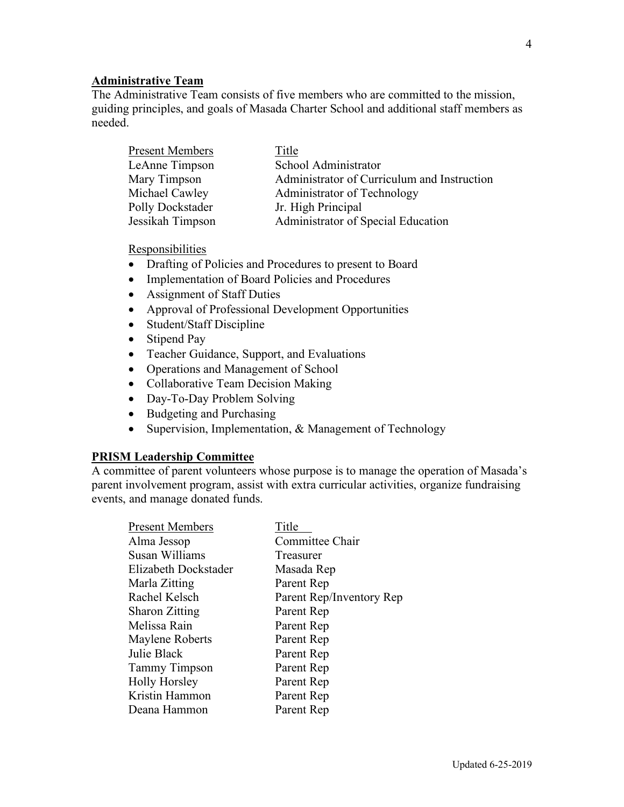## **Administrative Team**

The Administrative Team consists of five members who are committed to the mission, guiding principles, and goals of Masada Charter School and additional staff members as needed.

| <b>Present Members</b> | Title                                       |
|------------------------|---------------------------------------------|
| LeAnne Timpson         | School Administrator                        |
| Mary Timpson           | Administrator of Curriculum and Instruction |
| Michael Cawley         | Administrator of Technology                 |
| Polly Dockstader       | Jr. High Principal                          |
| Jessikah Timpson       | Administrator of Special Education          |

Responsibilities

- Drafting of Policies and Procedures to present to Board
- Implementation of Board Policies and Procedures
- Assignment of Staff Duties
- Approval of Professional Development Opportunities
- Student/Staff Discipline
- Stipend Pay
- Teacher Guidance, Support, and Evaluations
- Operations and Management of School
- Collaborative Team Decision Making
- Day-To-Day Problem Solving
- Budgeting and Purchasing
- Supervision, Implementation, & Management of Technology

#### **PRISM Leadership Committee**

A committee of parent volunteers whose purpose is to manage the operation of Masada's parent involvement program, assist with extra curricular activities, organize fundraising events, and manage donated funds.

| Title                    |
|--------------------------|
| Committee Chair          |
| Treasurer                |
| Masada Rep               |
| Parent Rep               |
| Parent Rep/Inventory Rep |
| Parent Rep               |
| Parent Rep               |
| Parent Rep               |
| Parent Rep               |
| Parent Rep               |
| Parent Rep               |
| Parent Rep               |
| Parent Rep               |
|                          |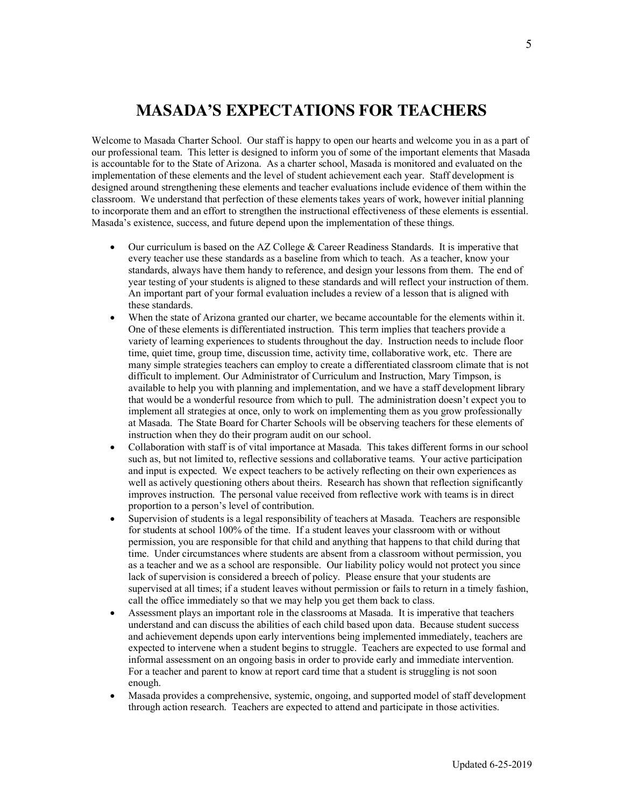# **MASADA'S EXPECTATIONS FOR TEACHERS**

Welcome to Masada Charter School. Our staff is happy to open our hearts and welcome you in as a part of our professional team. This letter is designed to inform you of some of the important elements that Masada is accountable for to the State of Arizona. As a charter school, Masada is monitored and evaluated on the implementation of these elements and the level of student achievement each year. Staff development is designed around strengthening these elements and teacher evaluations include evidence of them within the classroom. We understand that perfection of these elements takes years of work, however initial planning to incorporate them and an effort to strengthen the instructional effectiveness of these elements is essential. Masada's existence, success, and future depend upon the implementation of these things.

- Our curriculum is based on the AZ College & Career Readiness Standards. It is imperative that every teacher use these standards as a baseline from which to teach. As a teacher, know your standards, always have them handy to reference, and design your lessons from them. The end of year testing of your students is aligned to these standards and will reflect your instruction of them. An important part of your formal evaluation includes a review of a lesson that is aligned with these standards.
- When the state of Arizona granted our charter, we became accountable for the elements within it. One of these elements is differentiated instruction. This term implies that teachers provide a variety of learning experiences to students throughout the day. Instruction needs to include floor time, quiet time, group time, discussion time, activity time, collaborative work, etc. There are many simple strategies teachers can employ to create a differentiated classroom climate that is not difficult to implement. Our Administrator of Curriculum and Instruction, Mary Timpson, is available to help you with planning and implementation, and we have a staff development library that would be a wonderful resource from which to pull. The administration doesn't expect you to implement all strategies at once, only to work on implementing them as you grow professionally at Masada. The State Board for Charter Schools will be observing teachers for these elements of instruction when they do their program audit on our school.
- Collaboration with staff is of vital importance at Masada. This takes different forms in our school such as, but not limited to, reflective sessions and collaborative teams. Your active participation and input is expected. We expect teachers to be actively reflecting on their own experiences as well as actively questioning others about theirs. Research has shown that reflection significantly improves instruction. The personal value received from reflective work with teams is in direct proportion to a person's level of contribution.
- Supervision of students is a legal responsibility of teachers at Masada. Teachers are responsible for students at school 100% of the time. If a student leaves your classroom with or without permission, you are responsible for that child and anything that happens to that child during that time. Under circumstances where students are absent from a classroom without permission, you as a teacher and we as a school are responsible. Our liability policy would not protect you since lack of supervision is considered a breech of policy. Please ensure that your students are supervised at all times; if a student leaves without permission or fails to return in a timely fashion, call the office immediately so that we may help you get them back to class.
- Assessment plays an important role in the classrooms at Masada. It is imperative that teachers understand and can discuss the abilities of each child based upon data. Because student success and achievement depends upon early interventions being implemented immediately, teachers are expected to intervene when a student begins to struggle. Teachers are expected to use formal and informal assessment on an ongoing basis in order to provide early and immediate intervention. For a teacher and parent to know at report card time that a student is struggling is not soon enough.
- Masada provides a comprehensive, systemic, ongoing, and supported model of staff development through action research. Teachers are expected to attend and participate in those activities.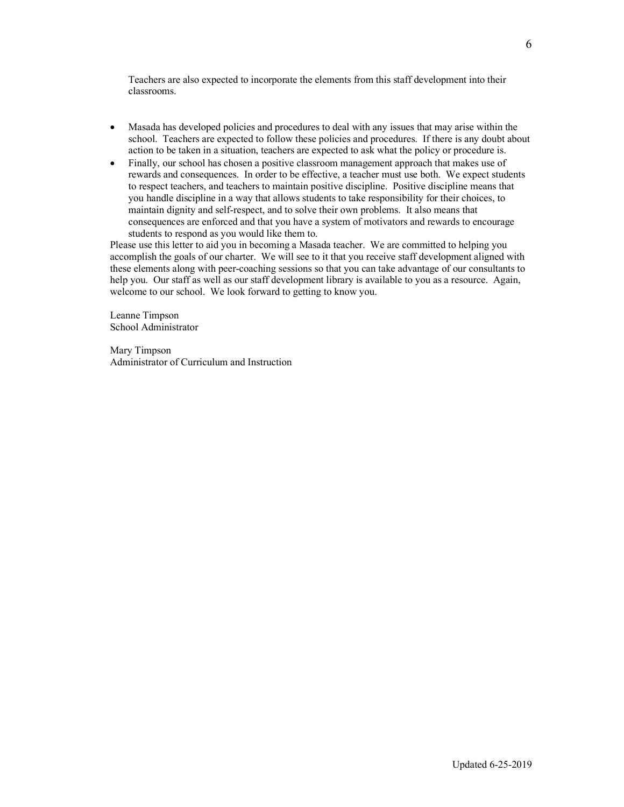Teachers are also expected to incorporate the elements from this staff development into their classrooms.

- Masada has developed policies and procedures to deal with any issues that may arise within the school. Teachers are expected to follow these policies and procedures. If there is any doubt about action to be taken in a situation, teachers are expected to ask what the policy or procedure is.
- Finally, our school has chosen a positive classroom management approach that makes use of rewards and consequences. In order to be effective, a teacher must use both. We expect students to respect teachers, and teachers to maintain positive discipline. Positive discipline means that you handle discipline in a way that allows students to take responsibility for their choices, to maintain dignity and self-respect, and to solve their own problems. It also means that consequences are enforced and that you have a system of motivators and rewards to encourage students to respond as you would like them to.

Please use this letter to aid you in becoming a Masada teacher. We are committed to helping you accomplish the goals of our charter. We will see to it that you receive staff development aligned with these elements along with peer-coaching sessions so that you can take advantage of our consultants to help you. Our staff as well as our staff development library is available to you as a resource. Again, welcome to our school. We look forward to getting to know you.

Leanne Timpson School Administrator

Mary Timpson Administrator of Curriculum and Instruction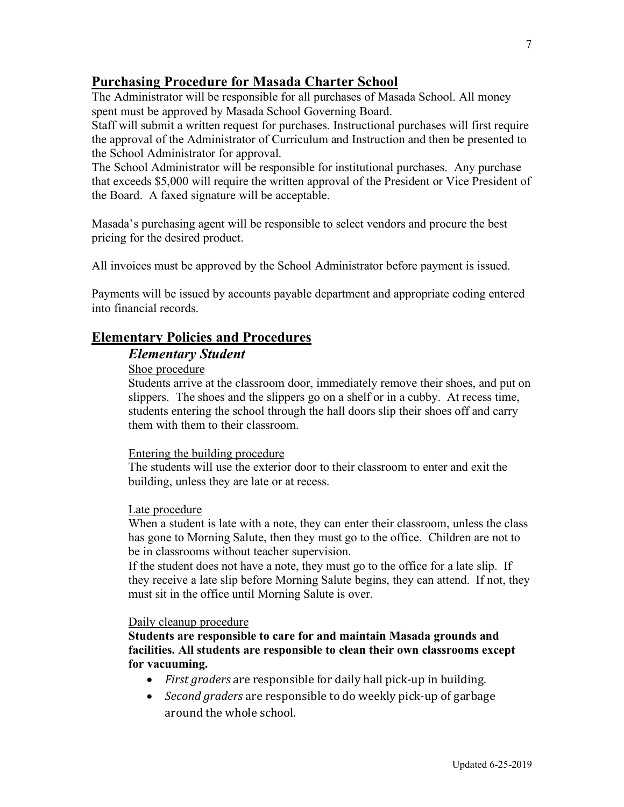## **Purchasing Procedure for Masada Charter School**

The Administrator will be responsible for all purchases of Masada School. All money spent must be approved by Masada School Governing Board.

Staff will submit a written request for purchases. Instructional purchases will first require the approval of the Administrator of Curriculum and Instruction and then be presented to the School Administrator for approval.

The School Administrator will be responsible for institutional purchases. Any purchase that exceeds \$5,000 will require the written approval of the President or Vice President of the Board. A faxed signature will be acceptable.

Masada's purchasing agent will be responsible to select vendors and procure the best pricing for the desired product.

All invoices must be approved by the School Administrator before payment is issued.

Payments will be issued by accounts payable department and appropriate coding entered into financial records.

## **Elementary Policies and Procedures**

## *Elementary Student*

## Shoe procedure

Students arrive at the classroom door, immediately remove their shoes, and put on slippers. The shoes and the slippers go on a shelf or in a cubby. At recess time, students entering the school through the hall doors slip their shoes off and carry them with them to their classroom.

## Entering the building procedure

The students will use the exterior door to their classroom to enter and exit the building, unless they are late or at recess.

## Late procedure

When a student is late with a note, they can enter their classroom, unless the class has gone to Morning Salute, then they must go to the office. Children are not to be in classrooms without teacher supervision.

If the student does not have a note, they must go to the office for a late slip. If they receive a late slip before Morning Salute begins, they can attend. If not, they must sit in the office until Morning Salute is over.

## Daily cleanup procedure

**Students are responsible to care for and maintain Masada grounds and facilities. All students are responsible to clean their own classrooms except for vacuuming.**

- *First graders* are responsible for daily hall pick-up in building.
- *Second graders* are responsible to do weekly pick-up of garbage around the whole school.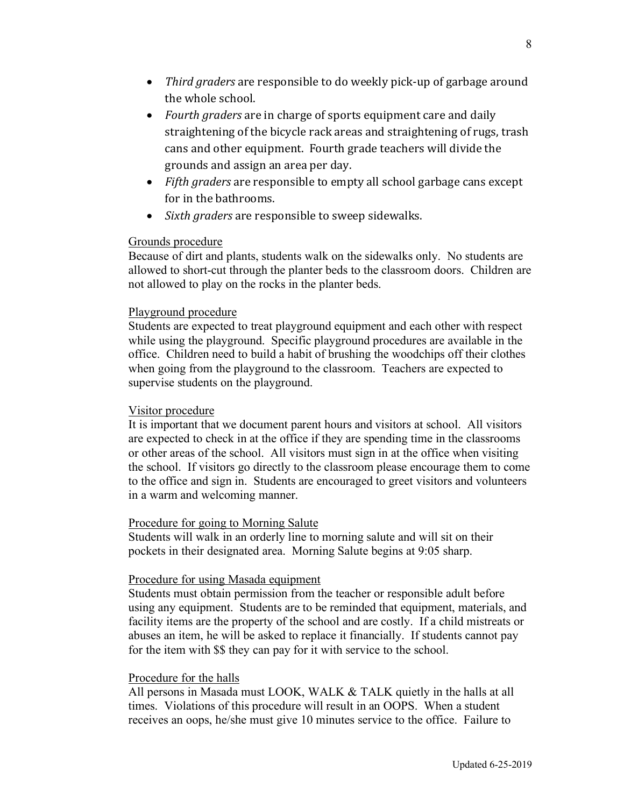- *Third graders* are responsible to do weekly pick-up of garbage around the whole school.
- *Fourth graders* are in charge of sports equipment care and daily straightening of the bicycle rack areas and straightening of rugs, trash cans and other equipment. Fourth grade teachers will divide the grounds and assign an area per day.
- *Fifth graders* are responsible to empty all school garbage cans except for in the bathrooms.
- *Sixth graders* are responsible to sweep sidewalks.

## Grounds procedure

Because of dirt and plants, students walk on the sidewalks only. No students are allowed to short-cut through the planter beds to the classroom doors. Children are not allowed to play on the rocks in the planter beds.

#### Playground procedure

Students are expected to treat playground equipment and each other with respect while using the playground. Specific playground procedures are available in the office. Children need to build a habit of brushing the woodchips off their clothes when going from the playground to the classroom. Teachers are expected to supervise students on the playground.

### Visitor procedure

It is important that we document parent hours and visitors at school. All visitors are expected to check in at the office if they are spending time in the classrooms or other areas of the school. All visitors must sign in at the office when visiting the school. If visitors go directly to the classroom please encourage them to come to the office and sign in. Students are encouraged to greet visitors and volunteers in a warm and welcoming manner.

## Procedure for going to Morning Salute

Students will walk in an orderly line to morning salute and will sit on their pockets in their designated area. Morning Salute begins at 9:05 sharp.

## Procedure for using Masada equipment

Students must obtain permission from the teacher or responsible adult before using any equipment. Students are to be reminded that equipment, materials, and facility items are the property of the school and are costly. If a child mistreats or abuses an item, he will be asked to replace it financially. If students cannot pay for the item with \$\$ they can pay for it with service to the school.

## Procedure for the halls

All persons in Masada must LOOK, WALK & TALK quietly in the halls at all times. Violations of this procedure will result in an OOPS. When a student receives an oops, he/she must give 10 minutes service to the office. Failure to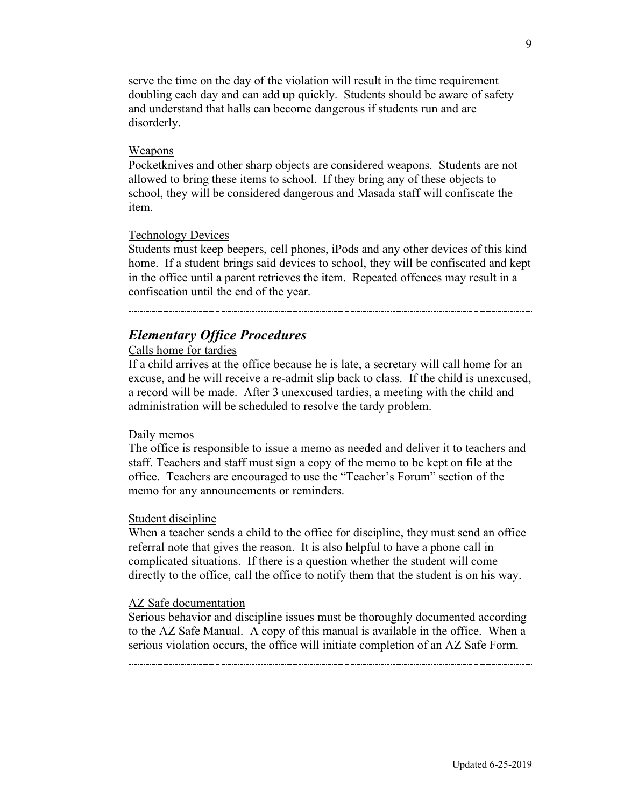serve the time on the day of the violation will result in the time requirement doubling each day and can add up quickly. Students should be aware of safety and understand that halls can become dangerous if students run and are disorderly.

#### **Weapons**

Pocketknives and other sharp objects are considered weapons. Students are not allowed to bring these items to school. If they bring any of these objects to school, they will be considered dangerous and Masada staff will confiscate the item.

#### Technology Devices

Students must keep beepers, cell phones, iPods and any other devices of this kind home. If a student brings said devices to school, they will be confiscated and kept in the office until a parent retrieves the item. Repeated offences may result in a confiscation until the end of the year.

### *Elementary Office Procedures*

## Calls home for tardies

If a child arrives at the office because he is late, a secretary will call home for an excuse, and he will receive a re-admit slip back to class. If the child is unexcused, a record will be made. After 3 unexcused tardies, a meeting with the child and administration will be scheduled to resolve the tardy problem.

#### Daily memos

The office is responsible to issue a memo as needed and deliver it to teachers and staff. Teachers and staff must sign a copy of the memo to be kept on file at the office. Teachers are encouraged to use the "Teacher's Forum" section of the memo for any announcements or reminders.

#### Student discipline

When a teacher sends a child to the office for discipline, they must send an office referral note that gives the reason. It is also helpful to have a phone call in complicated situations. If there is a question whether the student will come directly to the office, call the office to notify them that the student is on his way.

#### AZ Safe documentation

Serious behavior and discipline issues must be thoroughly documented according to the AZ Safe Manual. A copy of this manual is available in the office. When a serious violation occurs, the office will initiate completion of an AZ Safe Form.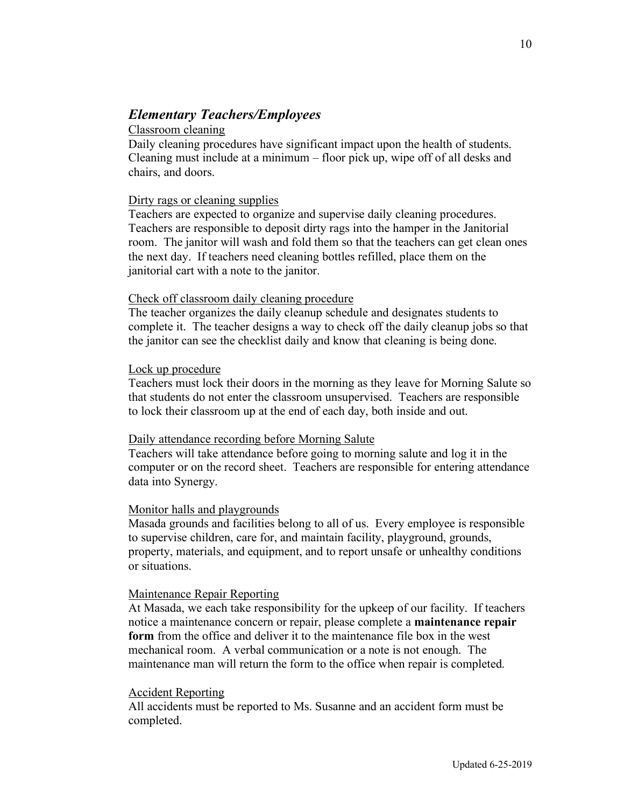## *Elementary Teachers/Employees*

#### Classroom cleaning

Daily cleaning procedures have significant impact upon the health of students. Cleaning must include at a minimum – floor pick up, wipe off of all desks and chairs, and doors.

#### Dirty rags or cleaning supplies

Teachers are expected to organize and supervise daily cleaning procedures. Teachers are responsible to deposit dirty rags into the hamper in the Janitorial room. The janitor will wash and fold them so that the teachers can get clean ones the next day. If teachers need cleaning bottles refilled, place them on the janitorial cart with a note to the janitor.

#### Check off classroom daily cleaning procedure

The teacher organizes the daily cleanup schedule and designates students to complete it. The teacher designs a way to check off the daily cleanup jobs so that the janitor can see the checklist daily and know that cleaning is being done.

#### Lock up procedure

Teachers must lock their doors in the morning as they leave for Morning Salute so that students do not enter the classroom unsupervised. Teachers are responsible to lock their classroom up at the end of each day, both inside and out.

#### Daily attendance recording before Morning Salute

Teachers will take attendance before going to morning salute and log it in the computer or on the record sheet. Teachers are responsible for entering attendance data into Synergy.

## Monitor halls and playgrounds

Masada grounds and facilities belong to all of us. Every employee is responsible to supervise children, care for, and maintain facility, playground, grounds, property, materials, and equipment, and to report unsafe or unhealthy conditions or situations.

#### Maintenance Repair Reporting

At Masada, we each take responsibility for the upkeep of our facility. If teachers notice a maintenance concern or repair, please complete a **maintenance repair form** from the office and deliver it to the maintenance file box in the west mechanical room. A verbal communication or a note is not enough. The maintenance man will return the form to the office when repair is completed.

#### Accident Reporting

All accidents must be reported to Ms. Susanne and an accident form must be completed.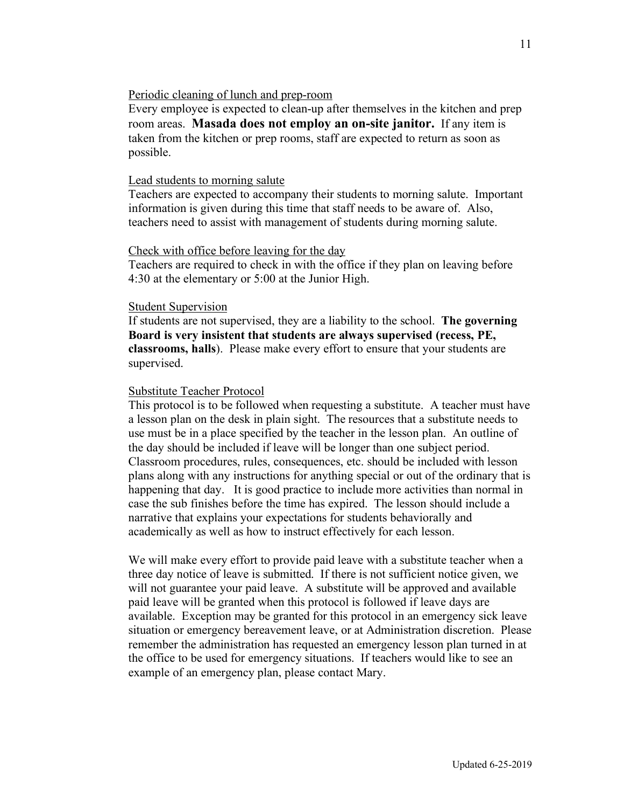#### Periodic cleaning of lunch and prep-room

Every employee is expected to clean-up after themselves in the kitchen and prep room areas. **Masada does not employ an on-site janitor.** If any item is taken from the kitchen or prep rooms, staff are expected to return as soon as possible.

#### Lead students to morning salute

Teachers are expected to accompany their students to morning salute. Important information is given during this time that staff needs to be aware of. Also, teachers need to assist with management of students during morning salute.

#### Check with office before leaving for the day

Teachers are required to check in with the office if they plan on leaving before 4:30 at the elementary or 5:00 at the Junior High.

#### **Student Supervision**

If students are not supervised, they are a liability to the school. **The governing Board is very insistent that students are always supervised (recess, PE, classrooms, halls**). Please make every effort to ensure that your students are supervised.

#### Substitute Teacher Protocol

This protocol is to be followed when requesting a substitute. A teacher must have a lesson plan on the desk in plain sight. The resources that a substitute needs to use must be in a place specified by the teacher in the lesson plan. An outline of the day should be included if leave will be longer than one subject period. Classroom procedures, rules, consequences, etc. should be included with lesson plans along with any instructions for anything special or out of the ordinary that is happening that day. It is good practice to include more activities than normal in case the sub finishes before the time has expired. The lesson should include a narrative that explains your expectations for students behaviorally and academically as well as how to instruct effectively for each lesson.

We will make every effort to provide paid leave with a substitute teacher when a three day notice of leave is submitted. If there is not sufficient notice given, we will not guarantee your paid leave. A substitute will be approved and available paid leave will be granted when this protocol is followed if leave days are available. Exception may be granted for this protocol in an emergency sick leave situation or emergency bereavement leave, or at Administration discretion. Please remember the administration has requested an emergency lesson plan turned in at the office to be used for emergency situations. If teachers would like to see an example of an emergency plan, please contact Mary.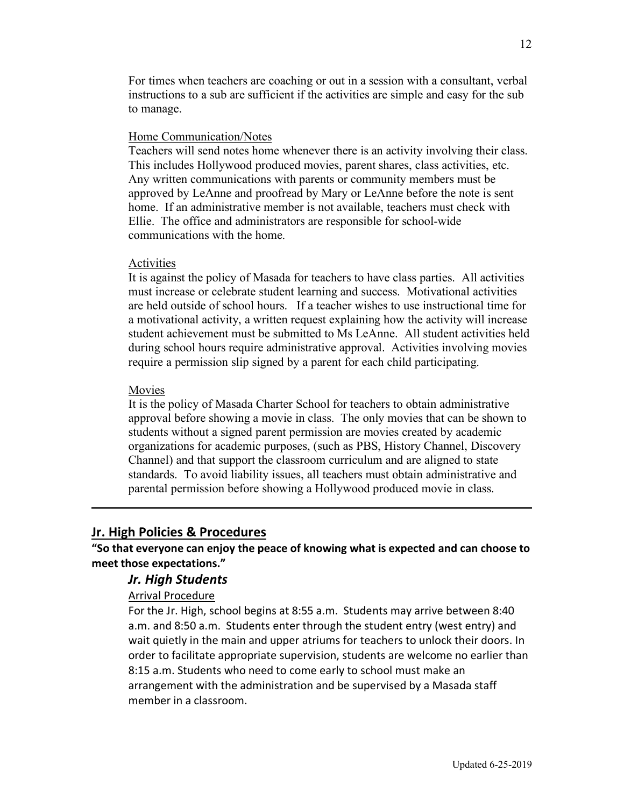For times when teachers are coaching or out in a session with a consultant, verbal instructions to a sub are sufficient if the activities are simple and easy for the sub to manage.

#### Home Communication/Notes

Teachers will send notes home whenever there is an activity involving their class. This includes Hollywood produced movies, parent shares, class activities, etc. Any written communications with parents or community members must be approved by LeAnne and proofread by Mary or LeAnne before the note is sent home. If an administrative member is not available, teachers must check with Ellie. The office and administrators are responsible for school-wide communications with the home.

#### Activities

It is against the policy of Masada for teachers to have class parties. All activities must increase or celebrate student learning and success. Motivational activities are held outside of school hours. If a teacher wishes to use instructional time for a motivational activity, a written request explaining how the activity will increase student achievement must be submitted to Ms LeAnne. All student activities held during school hours require administrative approval. Activities involving movies require a permission slip signed by a parent for each child participating.

#### Movies

It is the policy of Masada Charter School for teachers to obtain administrative approval before showing a movie in class. The only movies that can be shown to students without a signed parent permission are movies created by academic organizations for academic purposes, (such as PBS, History Channel, Discovery Channel) and that support the classroom curriculum and are aligned to state standards. To avoid liability issues, all teachers must obtain administrative and parental permission before showing a Hollywood produced movie in class.

## **Jr. High Policies & Procedures**

**"So that everyone can enjoy the peace of knowing what is expected and can choose to meet those expectations."**

## *Jr. High Students*

#### Arrival Procedure

For the Jr. High, school begins at 8:55 a.m. Students may arrive between 8:40 a.m. and 8:50 a.m. Students enter through the student entry (west entry) and wait quietly in the main and upper atriums for teachers to unlock their doors. In order to facilitate appropriate supervision, students are welcome no earlier than 8:15 a.m. Students who need to come early to school must make an arrangement with the administration and be supervised by a Masada staff member in a classroom.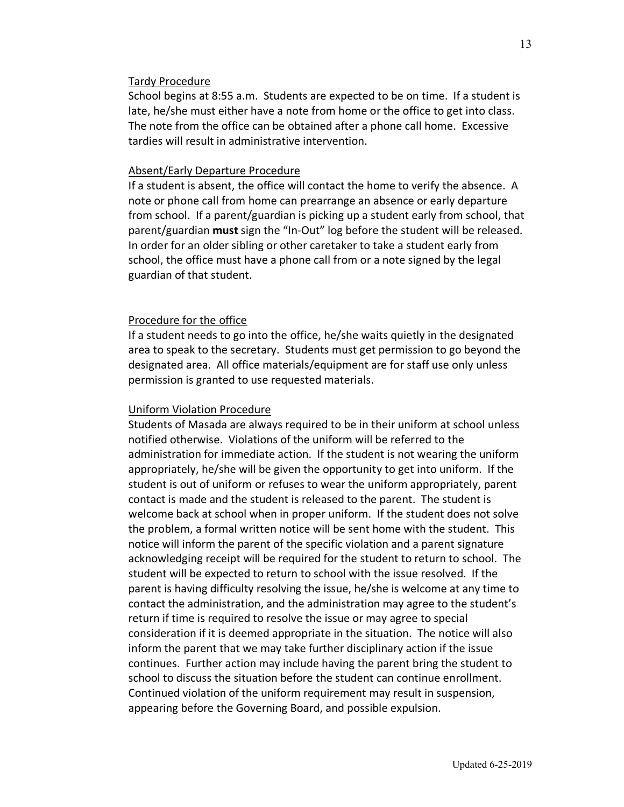#### Tardy Procedure

School begins at 8:55 a.m. Students are expected to be on time. If a student is late, he/she must either have a note from home or the office to get into class. The note from the office can be obtained after a phone call home. Excessive tardies will result in administrative intervention.

#### Absent/Early Departure Procedure

If a student is absent, the office will contact the home to verify the absence. A note or phone call from home can prearrange an absence or early departure from school. If a parent/guardian is picking up a student early from school, that parent/guardian **must** sign the "In-Out" log before the student will be released. In order for an older sibling or other caretaker to take a student early from school, the office must have a phone call from or a note signed by the legal guardian of that student.

#### Procedure for the office

If a student needs to go into the office, he/she waits quietly in the designated area to speak to the secretary. Students must get permission to go beyond the designated area. All office materials/equipment are for staff use only unless permission is granted to use requested materials.

#### Uniform Violation Procedure

Students of Masada are always required to be in their uniform at school unless notified otherwise. Violations of the uniform will be referred to the administration for immediate action. If the student is not wearing the uniform appropriately, he/she will be given the opportunity to get into uniform. If the student is out of uniform or refuses to wear the uniform appropriately, parent contact is made and the student is released to the parent. The student is welcome back at school when in proper uniform. If the student does not solve the problem, a formal written notice will be sent home with the student. This notice will inform the parent of the specific violation and a parent signature acknowledging receipt will be required for the student to return to school. The student will be expected to return to school with the issue resolved. If the parent is having difficulty resolving the issue, he/she is welcome at any time to contact the administration, and the administration may agree to the student's return if time is required to resolve the issue or may agree to special consideration if it is deemed appropriate in the situation. The notice will also inform the parent that we may take further disciplinary action if the issue continues. Further action may include having the parent bring the student to school to discuss the situation before the student can continue enrollment. Continued violation of the uniform requirement may result in suspension, appearing before the Governing Board, and possible expulsion.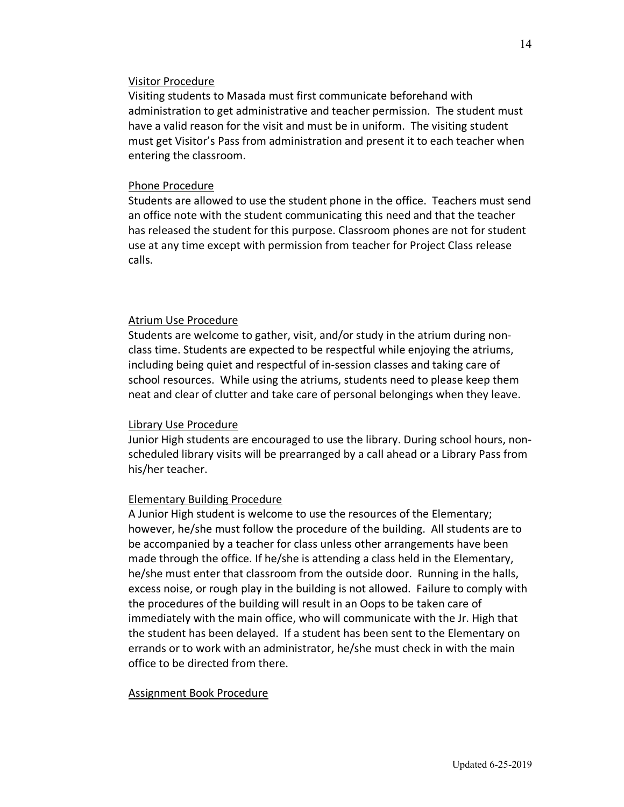#### Visitor Procedure

Visiting students to Masada must first communicate beforehand with administration to get administrative and teacher permission. The student must have a valid reason for the visit and must be in uniform. The visiting student must get Visitor's Pass from administration and present it to each teacher when entering the classroom.

#### Phone Procedure

Students are allowed to use the student phone in the office. Teachers must send an office note with the student communicating this need and that the teacher has released the student for this purpose. Classroom phones are not for student use at any time except with permission from teacher for Project Class release calls.

#### Atrium Use Procedure

Students are welcome to gather, visit, and/or study in the atrium during nonclass time. Students are expected to be respectful while enjoying the atriums, including being quiet and respectful of in-session classes and taking care of school resources. While using the atriums, students need to please keep them neat and clear of clutter and take care of personal belongings when they leave.

#### Library Use Procedure

Junior High students are encouraged to use the library. During school hours, nonscheduled library visits will be prearranged by a call ahead or a Library Pass from his/her teacher.

#### Elementary Building Procedure

A Junior High student is welcome to use the resources of the Elementary; however, he/she must follow the procedure of the building. All students are to be accompanied by a teacher for class unless other arrangements have been made through the office. If he/she is attending a class held in the Elementary, he/she must enter that classroom from the outside door. Running in the halls, excess noise, or rough play in the building is not allowed. Failure to comply with the procedures of the building will result in an Oops to be taken care of immediately with the main office, who will communicate with the Jr. High that the student has been delayed. If a student has been sent to the Elementary on errands or to work with an administrator, he/she must check in with the main office to be directed from there.

#### Assignment Book Procedure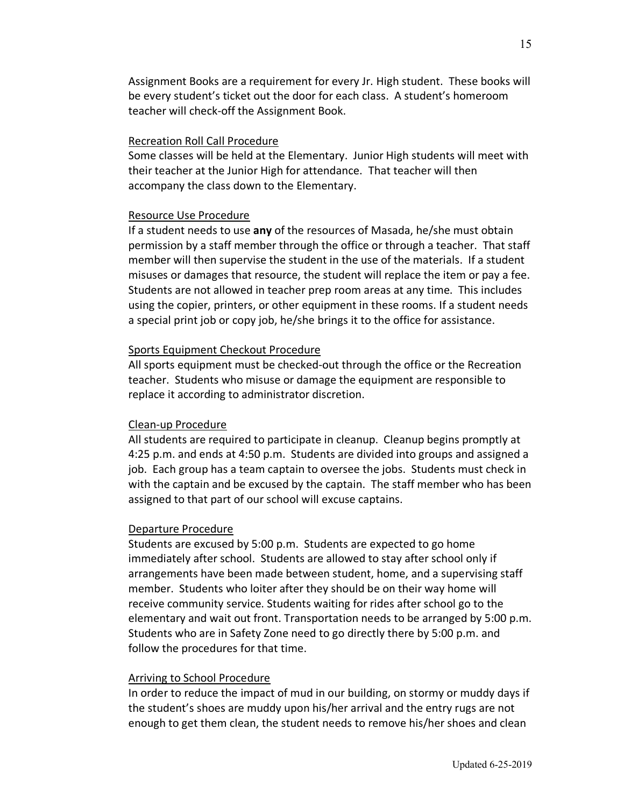Assignment Books are a requirement for every Jr. High student. These books will be every student's ticket out the door for each class. A student's homeroom teacher will check-off the Assignment Book.

#### Recreation Roll Call Procedure

Some classes will be held at the Elementary. Junior High students will meet with their teacher at the Junior High for attendance. That teacher will then accompany the class down to the Elementary.

#### Resource Use Procedure

If a student needs to use **any** of the resources of Masada, he/she must obtain permission by a staff member through the office or through a teacher. That staff member will then supervise the student in the use of the materials. If a student misuses or damages that resource, the student will replace the item or pay a fee. Students are not allowed in teacher prep room areas at any time. This includes using the copier, printers, or other equipment in these rooms. If a student needs a special print job or copy job, he/she brings it to the office for assistance.

#### Sports Equipment Checkout Procedure

All sports equipment must be checked-out through the office or the Recreation teacher. Students who misuse or damage the equipment are responsible to replace it according to administrator discretion.

#### Clean-up Procedure

All students are required to participate in cleanup. Cleanup begins promptly at 4:25 p.m. and ends at 4:50 p.m. Students are divided into groups and assigned a job. Each group has a team captain to oversee the jobs. Students must check in with the captain and be excused by the captain. The staff member who has been assigned to that part of our school will excuse captains.

#### Departure Procedure

Students are excused by 5:00 p.m. Students are expected to go home immediately after school. Students are allowed to stay after school only if arrangements have been made between student, home, and a supervising staff member. Students who loiter after they should be on their way home will receive community service. Students waiting for rides after school go to the elementary and wait out front. Transportation needs to be arranged by 5:00 p.m. Students who are in Safety Zone need to go directly there by 5:00 p.m. and follow the procedures for that time.

#### Arriving to School Procedure

In order to reduce the impact of mud in our building, on stormy or muddy days if the student's shoes are muddy upon his/her arrival and the entry rugs are not enough to get them clean, the student needs to remove his/her shoes and clean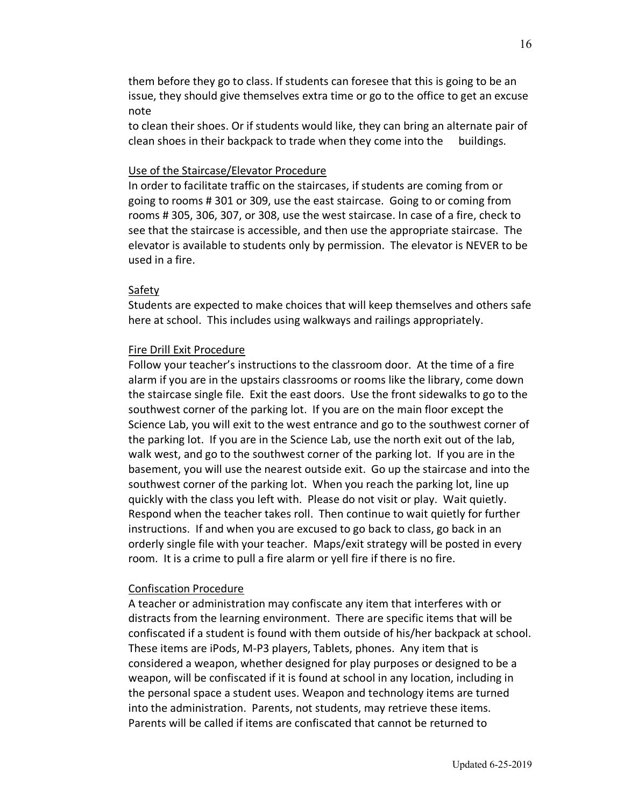them before they go to class. If students can foresee that this is going to be an issue, they should give themselves extra time or go to the office to get an excuse note

to clean their shoes. Or if students would like, they can bring an alternate pair of clean shoes in their backpack to trade when they come into the buildings.

#### Use of the Staircase/Elevator Procedure

In order to facilitate traffic on the staircases, if students are coming from or going to rooms # 301 or 309, use the east staircase. Going to or coming from rooms # 305, 306, 307, or 308, use the west staircase. In case of a fire, check to see that the staircase is accessible, and then use the appropriate staircase. The elevator is available to students only by permission. The elevator is NEVER to be used in a fire.

#### Safety

Students are expected to make choices that will keep themselves and others safe here at school. This includes using walkways and railings appropriately.

## Fire Drill Exit Procedure

Follow your teacher's instructions to the classroom door. At the time of a fire alarm if you are in the upstairs classrooms or rooms like the library, come down the staircase single file. Exit the east doors. Use the front sidewalks to go to the southwest corner of the parking lot. If you are on the main floor except the Science Lab, you will exit to the west entrance and go to the southwest corner of the parking lot. If you are in the Science Lab, use the north exit out of the lab, walk west, and go to the southwest corner of the parking lot. If you are in the basement, you will use the nearest outside exit. Go up the staircase and into the southwest corner of the parking lot. When you reach the parking lot, line up quickly with the class you left with. Please do not visit or play. Wait quietly. Respond when the teacher takes roll. Then continue to wait quietly for further instructions. If and when you are excused to go back to class, go back in an orderly single file with your teacher. Maps/exit strategy will be posted in every room. It is a crime to pull a fire alarm or yell fire if there is no fire.

## Confiscation Procedure

A teacher or administration may confiscate any item that interferes with or distracts from the learning environment. There are specific items that will be confiscated if a student is found with them outside of his/her backpack at school. These items are iPods, M-P3 players, Tablets, phones. Any item that is considered a weapon, whether designed for play purposes or designed to be a weapon, will be confiscated if it is found at school in any location, including in the personal space a student uses. Weapon and technology items are turned into the administration. Parents, not students, may retrieve these items. Parents will be called if items are confiscated that cannot be returned to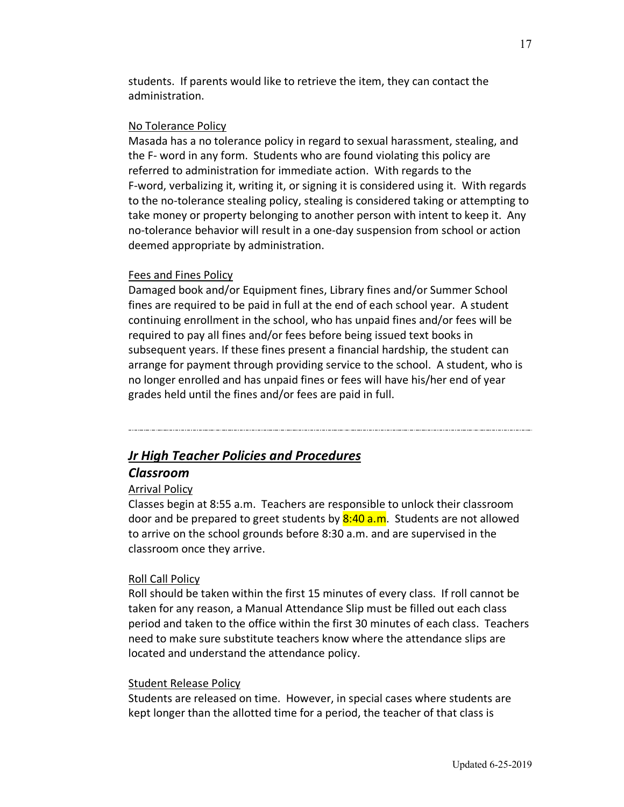students. If parents would like to retrieve the item, they can contact the administration.

#### No Tolerance Policy

Masada has a no tolerance policy in regard to sexual harassment, stealing, and the F- word in any form. Students who are found violating this policy are referred to administration for immediate action. With regards to the F-word, verbalizing it, writing it, or signing it is considered using it. With regards to the no-tolerance stealing policy, stealing is considered taking or attempting to take money or property belonging to another person with intent to keep it. Any no-tolerance behavior will result in a one-day suspension from school or action deemed appropriate by administration.

#### Fees and Fines Policy

Damaged book and/or Equipment fines, Library fines and/or Summer School fines are required to be paid in full at the end of each school year. A student continuing enrollment in the school, who has unpaid fines and/or fees will be required to pay all fines and/or fees before being issued text books in subsequent years. If these fines present a financial hardship, the student can arrange for payment through providing service to the school. A student, who is no longer enrolled and has unpaid fines or fees will have his/her end of year grades held until the fines and/or fees are paid in full.

# *Jr High Teacher Policies and Procedures*

## *Classroom*

#### Arrival Policy

Classes begin at 8:55 a.m. Teachers are responsible to unlock their classroom door and be prepared to greet students by 8:40 a.m. Students are not allowed to arrive on the school grounds before 8:30 a.m. and are supervised in the classroom once they arrive.

#### Roll Call Policy

Roll should be taken within the first 15 minutes of every class. If roll cannot be taken for any reason, a Manual Attendance Slip must be filled out each class period and taken to the office within the first 30 minutes of each class. Teachers need to make sure substitute teachers know where the attendance slips are located and understand the attendance policy.

#### Student Release Policy

Students are released on time. However, in special cases where students are kept longer than the allotted time for a period, the teacher of that class is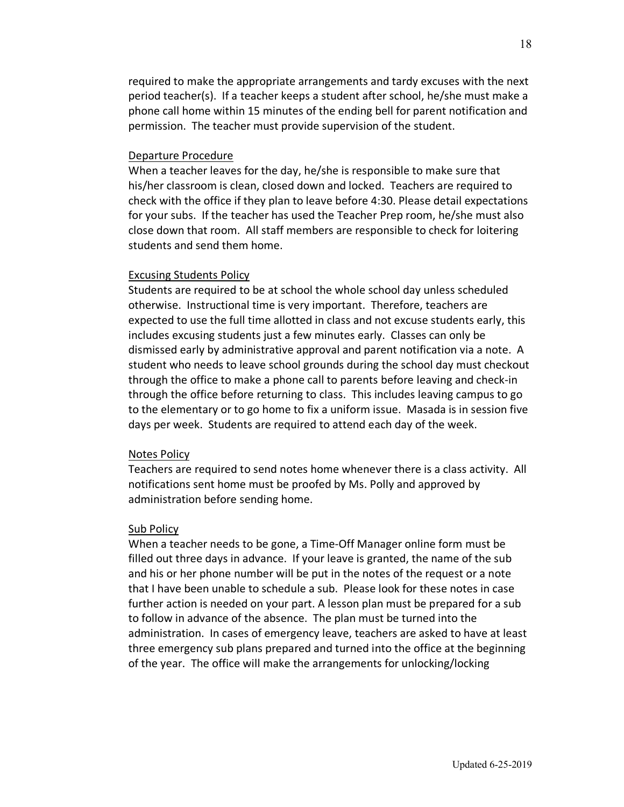required to make the appropriate arrangements and tardy excuses with the next period teacher(s). If a teacher keeps a student after school, he/she must make a phone call home within 15 minutes of the ending bell for parent notification and permission. The teacher must provide supervision of the student.

#### Departure Procedure

When a teacher leaves for the day, he/she is responsible to make sure that his/her classroom is clean, closed down and locked. Teachers are required to check with the office if they plan to leave before 4:30. Please detail expectations for your subs. If the teacher has used the Teacher Prep room, he/she must also close down that room. All staff members are responsible to check for loitering students and send them home.

#### Excusing Students Policy

Students are required to be at school the whole school day unless scheduled otherwise. Instructional time is very important. Therefore, teachers are expected to use the full time allotted in class and not excuse students early, this includes excusing students just a few minutes early. Classes can only be dismissed early by administrative approval and parent notification via a note. A student who needs to leave school grounds during the school day must checkout through the office to make a phone call to parents before leaving and check-in through the office before returning to class. This includes leaving campus to go to the elementary or to go home to fix a uniform issue. Masada is in session five days per week. Students are required to attend each day of the week.

#### Notes Policy

Teachers are required to send notes home whenever there is a class activity. All notifications sent home must be proofed by Ms. Polly and approved by administration before sending home.

#### Sub Policy

When a teacher needs to be gone, a Time-Off Manager online form must be filled out three days in advance. If your leave is granted, the name of the sub and his or her phone number will be put in the notes of the request or a note that I have been unable to schedule a sub. Please look for these notes in case further action is needed on your part. A lesson plan must be prepared for a sub to follow in advance of the absence. The plan must be turned into the administration. In cases of emergency leave, teachers are asked to have at least three emergency sub plans prepared and turned into the office at the beginning of the year. The office will make the arrangements for unlocking/locking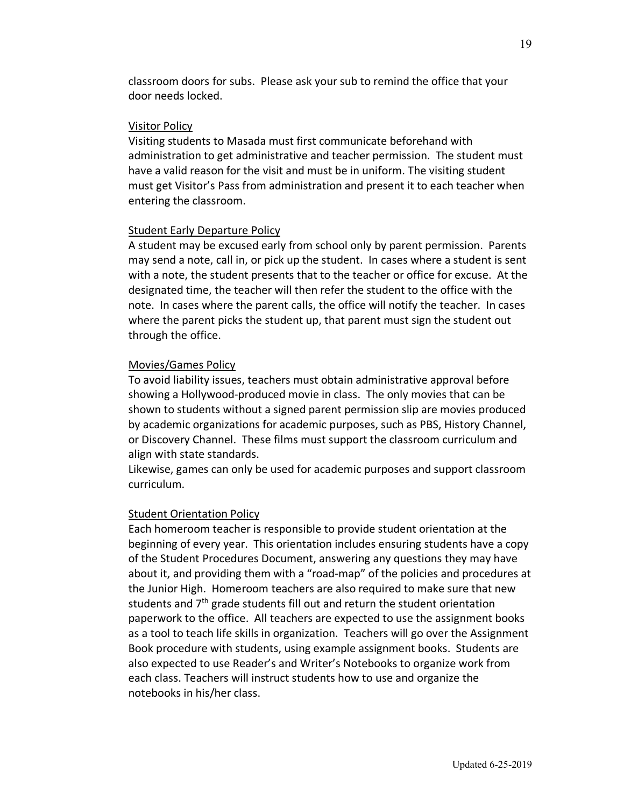classroom doors for subs. Please ask your sub to remind the office that your door needs locked.

#### Visitor Policy

Visiting students to Masada must first communicate beforehand with administration to get administrative and teacher permission. The student must have a valid reason for the visit and must be in uniform. The visiting student must get Visitor's Pass from administration and present it to each teacher when entering the classroom.

#### Student Early Departure Policy

A student may be excused early from school only by parent permission. Parents may send a note, call in, or pick up the student. In cases where a student is sent with a note, the student presents that to the teacher or office for excuse. At the designated time, the teacher will then refer the student to the office with the note. In cases where the parent calls, the office will notify the teacher. In cases where the parent picks the student up, that parent must sign the student out through the office.

#### Movies/Games Policy

To avoid liability issues, teachers must obtain administrative approval before showing a Hollywood-produced movie in class. The only movies that can be shown to students without a signed parent permission slip are movies produced by academic organizations for academic purposes, such as PBS, History Channel, or Discovery Channel. These films must support the classroom curriculum and align with state standards.

Likewise, games can only be used for academic purposes and support classroom curriculum.

#### **Student Orientation Policy**

Each homeroom teacher is responsible to provide student orientation at the beginning of every year. This orientation includes ensuring students have a copy of the Student Procedures Document, answering any questions they may have about it, and providing them with a "road-map" of the policies and procedures at the Junior High. Homeroom teachers are also required to make sure that new students and  $7<sup>th</sup>$  grade students fill out and return the student orientation paperwork to the office. All teachers are expected to use the assignment books as a tool to teach life skills in organization. Teachers will go over the Assignment Book procedure with students, using example assignment books. Students are also expected to use Reader's and Writer's Notebooks to organize work from each class. Teachers will instruct students how to use and organize the notebooks in his/her class.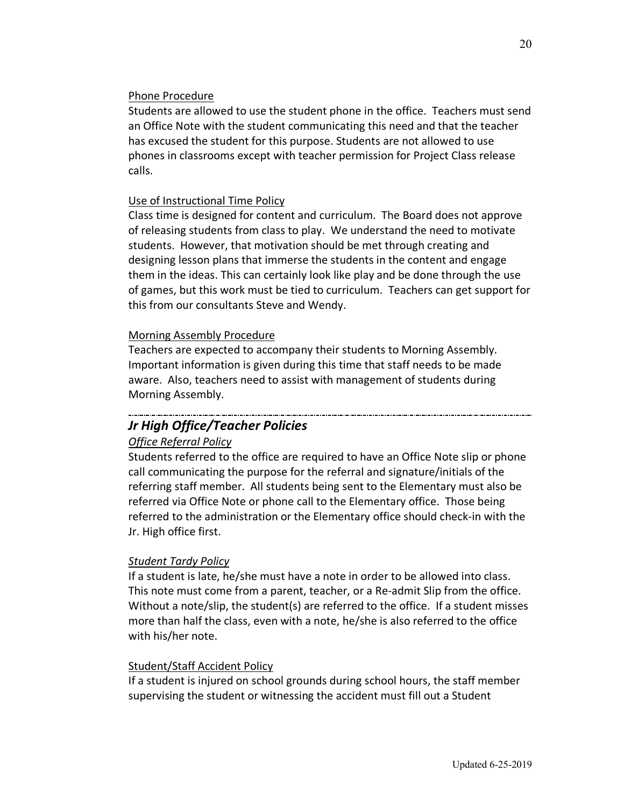#### Phone Procedure

Students are allowed to use the student phone in the office. Teachers must send an Office Note with the student communicating this need and that the teacher has excused the student for this purpose. Students are not allowed to use phones in classrooms except with teacher permission for Project Class release calls.

#### Use of Instructional Time Policy

Class time is designed for content and curriculum. The Board does not approve of releasing students from class to play. We understand the need to motivate students. However, that motivation should be met through creating and designing lesson plans that immerse the students in the content and engage them in the ideas. This can certainly look like play and be done through the use of games, but this work must be tied to curriculum. Teachers can get support for this from our consultants Steve and Wendy.

#### Morning Assembly Procedure

Teachers are expected to accompany their students to Morning Assembly. Important information is given during this time that staff needs to be made aware. Also, teachers need to assist with management of students during Morning Assembly.

# *Jr High Office/Teacher Policies*

## *Office Referral Policy*

Students referred to the office are required to have an Office Note slip or phone call communicating the purpose for the referral and signature/initials of the referring staff member. All students being sent to the Elementary must also be referred via Office Note or phone call to the Elementary office. Those being referred to the administration or the Elementary office should check-in with the Jr. High office first.

## *Student Tardy Policy*

If a student is late, he/she must have a note in order to be allowed into class. This note must come from a parent, teacher, or a Re-admit Slip from the office. Without a note/slip, the student(s) are referred to the office. If a student misses more than half the class, even with a note, he/she is also referred to the office with his/her note.

## Student/Staff Accident Policy

If a student is injured on school grounds during school hours, the staff member supervising the student or witnessing the accident must fill out a Student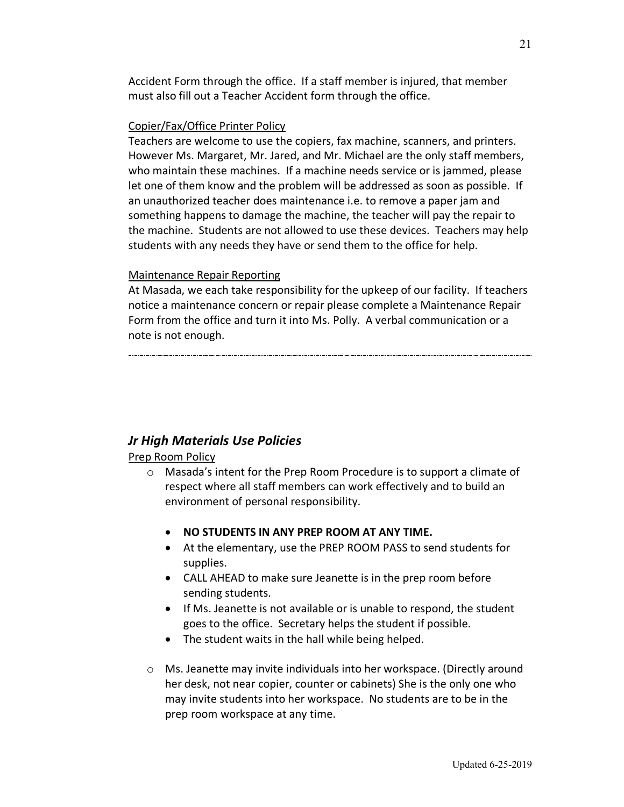Accident Form through the office. If a staff member is injured, that member must also fill out a Teacher Accident form through the office.

#### Copier/Fax/Office Printer Policy

Teachers are welcome to use the copiers, fax machine, scanners, and printers. However Ms. Margaret, Mr. Jared, and Mr. Michael are the only staff members, who maintain these machines. If a machine needs service or is jammed, please let one of them know and the problem will be addressed as soon as possible. If an unauthorized teacher does maintenance i.e. to remove a paper jam and something happens to damage the machine, the teacher will pay the repair to the machine. Students are not allowed to use these devices. Teachers may help students with any needs they have or send them to the office for help.

## Maintenance Repair Reporting

At Masada, we each take responsibility for the upkeep of our facility. If teachers notice a maintenance concern or repair please complete a Maintenance Repair Form from the office and turn it into Ms. Polly. A verbal communication or a note is not enough.

## *Jr High Materials Use Policies*

Prep Room Policy

- o Masada's intent for the Prep Room Procedure is to support a climate of respect where all staff members can work effectively and to build an environment of personal responsibility.
	- **NO STUDENTS IN ANY PREP ROOM AT ANY TIME.**
	- At the elementary, use the PREP ROOM PASS to send students for supplies.
	- CALL AHEAD to make sure Jeanette is in the prep room before sending students.
	- If Ms. Jeanette is not available or is unable to respond, the student goes to the office. Secretary helps the student if possible.
	- The student waits in the hall while being helped.
- o Ms. Jeanette may invite individuals into her workspace. (Directly around her desk, not near copier, counter or cabinets) She is the only one who may invite students into her workspace. No students are to be in the prep room workspace at any time.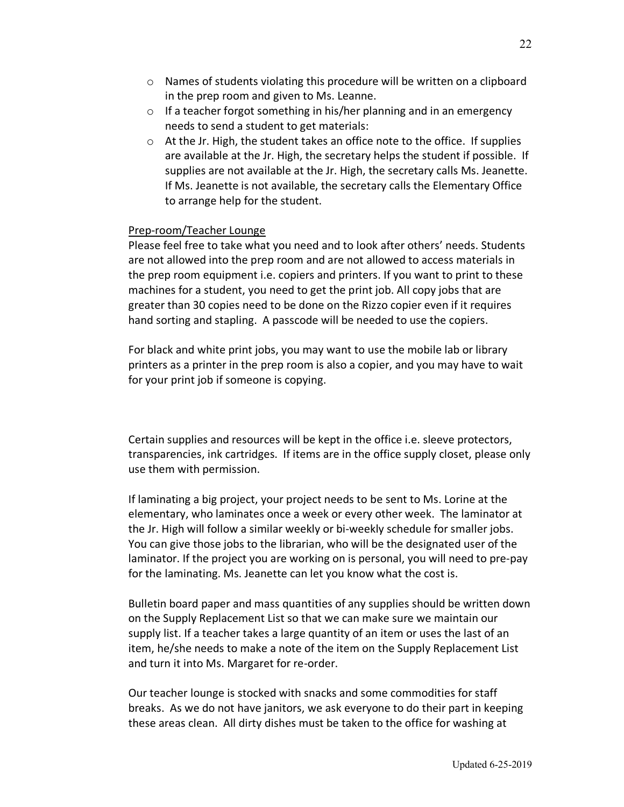- o Names of students violating this procedure will be written on a clipboard in the prep room and given to Ms. Leanne.
- o If a teacher forgot something in his/her planning and in an emergency needs to send a student to get materials:
- o At the Jr. High, the student takes an office note to the office. If supplies are available at the Jr. High, the secretary helps the student if possible. If supplies are not available at the Jr. High, the secretary calls Ms. Jeanette. If Ms. Jeanette is not available, the secretary calls the Elementary Office to arrange help for the student.

## Prep-room/Teacher Lounge

Please feel free to take what you need and to look after others' needs. Students are not allowed into the prep room and are not allowed to access materials in the prep room equipment i.e. copiers and printers. If you want to print to these machines for a student, you need to get the print job. All copy jobs that are greater than 30 copies need to be done on the Rizzo copier even if it requires hand sorting and stapling. A passcode will be needed to use the copiers.

For black and white print jobs, you may want to use the mobile lab or library printers as a printer in the prep room is also a copier, and you may have to wait for your print job if someone is copying.

Certain supplies and resources will be kept in the office i.e. sleeve protectors, transparencies, ink cartridges. If items are in the office supply closet, please only use them with permission.

If laminating a big project, your project needs to be sent to Ms. Lorine at the elementary, who laminates once a week or every other week. The laminator at the Jr. High will follow a similar weekly or bi-weekly schedule for smaller jobs. You can give those jobs to the librarian, who will be the designated user of the laminator. If the project you are working on is personal, you will need to pre-pay for the laminating. Ms. Jeanette can let you know what the cost is.

Bulletin board paper and mass quantities of any supplies should be written down on the Supply Replacement List so that we can make sure we maintain our supply list. If a teacher takes a large quantity of an item or uses the last of an item, he/she needs to make a note of the item on the Supply Replacement List and turn it into Ms. Margaret for re-order.

Our teacher lounge is stocked with snacks and some commodities for staff breaks. As we do not have janitors, we ask everyone to do their part in keeping these areas clean. All dirty dishes must be taken to the office for washing at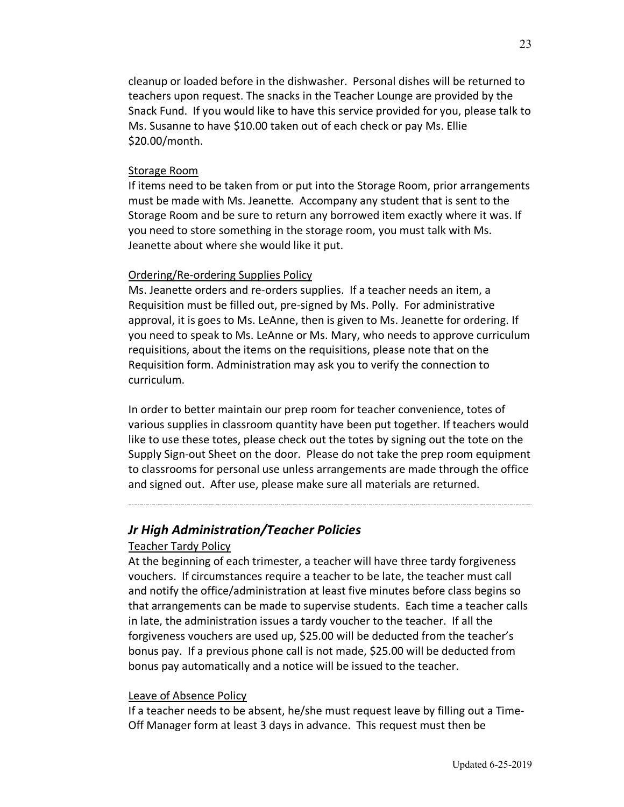cleanup or loaded before in the dishwasher. Personal dishes will be returned to teachers upon request. The snacks in the Teacher Lounge are provided by the Snack Fund. If you would like to have this service provided for you, please talk to Ms. Susanne to have \$10.00 taken out of each check or pay Ms. Ellie \$20.00/month.

#### Storage Room

If items need to be taken from or put into the Storage Room, prior arrangements must be made with Ms. Jeanette. Accompany any student that is sent to the Storage Room and be sure to return any borrowed item exactly where it was. If you need to store something in the storage room, you must talk with Ms. Jeanette about where she would like it put.

#### Ordering/Re-ordering Supplies Policy

Ms. Jeanette orders and re-orders supplies. If a teacher needs an item, a Requisition must be filled out, pre-signed by Ms. Polly. For administrative approval, it is goes to Ms. LeAnne, then is given to Ms. Jeanette for ordering. If you need to speak to Ms. LeAnne or Ms. Mary, who needs to approve curriculum requisitions, about the items on the requisitions, please note that on the Requisition form. Administration may ask you to verify the connection to curriculum.

In order to better maintain our prep room for teacher convenience, totes of various supplies in classroom quantity have been put together. If teachers would like to use these totes, please check out the totes by signing out the tote on the Supply Sign-out Sheet on the door. Please do not take the prep room equipment to classrooms for personal use unless arrangements are made through the office and signed out. After use, please make sure all materials are returned.

## *Jr High Administration/Teacher Policies*

#### Teacher Tardy Policy

At the beginning of each trimester, a teacher will have three tardy forgiveness vouchers. If circumstances require a teacher to be late, the teacher must call and notify the office/administration at least five minutes before class begins so that arrangements can be made to supervise students. Each time a teacher calls in late, the administration issues a tardy voucher to the teacher. If all the forgiveness vouchers are used up, \$25.00 will be deducted from the teacher's bonus pay. If a previous phone call is not made, \$25.00 will be deducted from bonus pay automatically and a notice will be issued to the teacher.

#### Leave of Absence Policy

If a teacher needs to be absent, he/she must request leave by filling out a Time-Off Manager form at least 3 days in advance. This request must then be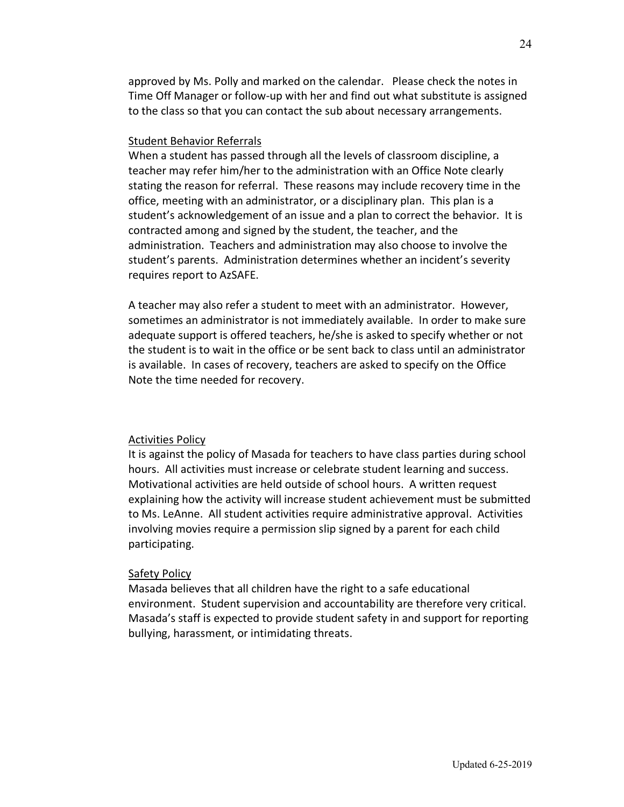approved by Ms. Polly and marked on the calendar. Please check the notes in Time Off Manager or follow-up with her and find out what substitute is assigned to the class so that you can contact the sub about necessary arrangements.

#### Student Behavior Referrals

When a student has passed through all the levels of classroom discipline, a teacher may refer him/her to the administration with an Office Note clearly stating the reason for referral. These reasons may include recovery time in the office, meeting with an administrator, or a disciplinary plan. This plan is a student's acknowledgement of an issue and a plan to correct the behavior. It is contracted among and signed by the student, the teacher, and the administration. Teachers and administration may also choose to involve the student's parents. Administration determines whether an incident's severity requires report to AzSAFE.

A teacher may also refer a student to meet with an administrator. However, sometimes an administrator is not immediately available. In order to make sure adequate support is offered teachers, he/she is asked to specify whether or not the student is to wait in the office or be sent back to class until an administrator is available. In cases of recovery, teachers are asked to specify on the Office Note the time needed for recovery.

#### Activities Policy

It is against the policy of Masada for teachers to have class parties during school hours. All activities must increase or celebrate student learning and success. Motivational activities are held outside of school hours. A written request explaining how the activity will increase student achievement must be submitted to Ms. LeAnne. All student activities require administrative approval. Activities involving movies require a permission slip signed by a parent for each child participating.

#### Safety Policy

Masada believes that all children have the right to a safe educational environment. Student supervision and accountability are therefore very critical. Masada's staff is expected to provide student safety in and support for reporting bullying, harassment, or intimidating threats.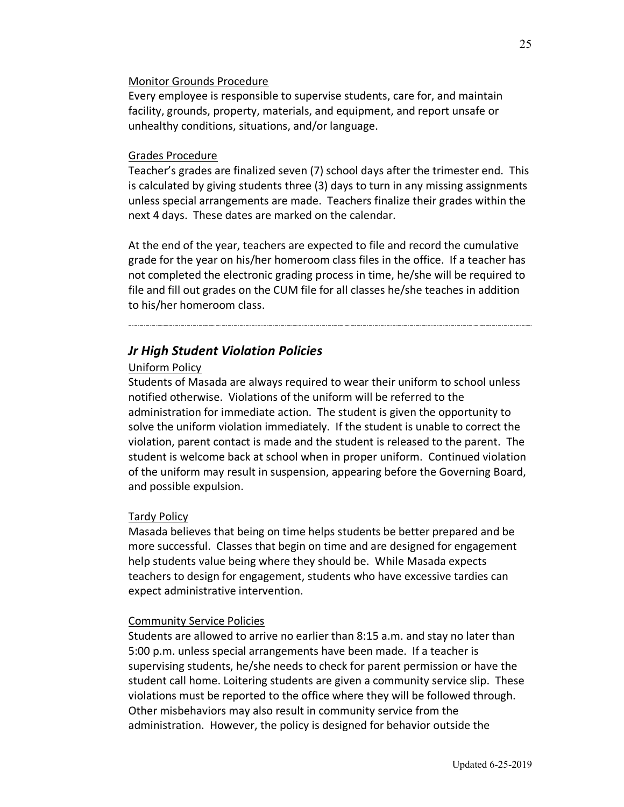#### Monitor Grounds Procedure

Every employee is responsible to supervise students, care for, and maintain facility, grounds, property, materials, and equipment, and report unsafe or unhealthy conditions, situations, and/or language.

#### Grades Procedure

Teacher's grades are finalized seven (7) school days after the trimester end. This is calculated by giving students three (3) days to turn in any missing assignments unless special arrangements are made. Teachers finalize their grades within the next 4 days. These dates are marked on the calendar.

At the end of the year, teachers are expected to file and record the cumulative grade for the year on his/her homeroom class files in the office. If a teacher has not completed the electronic grading process in time, he/she will be required to file and fill out grades on the CUM file for all classes he/she teaches in addition to his/her homeroom class.

## *Jr High Student Violation Policies*

#### Uniform Policy

Students of Masada are always required to wear their uniform to school unless notified otherwise. Violations of the uniform will be referred to the administration for immediate action. The student is given the opportunity to solve the uniform violation immediately. If the student is unable to correct the violation, parent contact is made and the student is released to the parent. The student is welcome back at school when in proper uniform. Continued violation of the uniform may result in suspension, appearing before the Governing Board, and possible expulsion.

#### Tardy Policy

Masada believes that being on time helps students be better prepared and be more successful. Classes that begin on time and are designed for engagement help students value being where they should be. While Masada expects teachers to design for engagement, students who have excessive tardies can expect administrative intervention.

#### Community Service Policies

Students are allowed to arrive no earlier than 8:15 a.m. and stay no later than 5:00 p.m. unless special arrangements have been made. If a teacher is supervising students, he/she needs to check for parent permission or have the student call home. Loitering students are given a community service slip. These violations must be reported to the office where they will be followed through. Other misbehaviors may also result in community service from the administration. However, the policy is designed for behavior outside the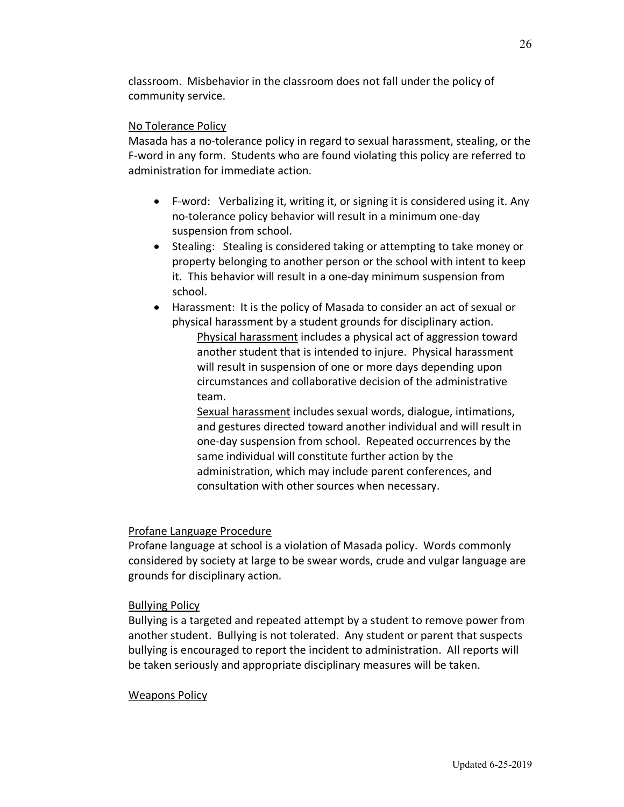classroom. Misbehavior in the classroom does not fall under the policy of community service.

## No Tolerance Policy

Masada has a no-tolerance policy in regard to sexual harassment, stealing, or the F-word in any form. Students who are found violating this policy are referred to administration for immediate action.

- F-word: Verbalizing it, writing it, or signing it is considered using it. Any no-tolerance policy behavior will result in a minimum one-day suspension from school.
- Stealing: Stealing is considered taking or attempting to take money or property belonging to another person or the school with intent to keep it. This behavior will result in a one-day minimum suspension from school.
- Harassment: It is the policy of Masada to consider an act of sexual or physical harassment by a student grounds for disciplinary action. Physical harassment includes a physical act of aggression toward another student that is intended to injure. Physical harassment will result in suspension of one or more days depending upon circumstances and collaborative decision of the administrative team.

Sexual harassment includes sexual words, dialogue, intimations, and gestures directed toward another individual and will result in one-day suspension from school. Repeated occurrences by the same individual will constitute further action by the administration, which may include parent conferences, and consultation with other sources when necessary.

## Profane Language Procedure

Profane language at school is a violation of Masada policy. Words commonly considered by society at large to be swear words, crude and vulgar language are grounds for disciplinary action.

## Bullying Policy

Bullying is a targeted and repeated attempt by a student to remove power from another student. Bullying is not tolerated. Any student or parent that suspects bullying is encouraged to report the incident to administration. All reports will be taken seriously and appropriate disciplinary measures will be taken.

## Weapons Policy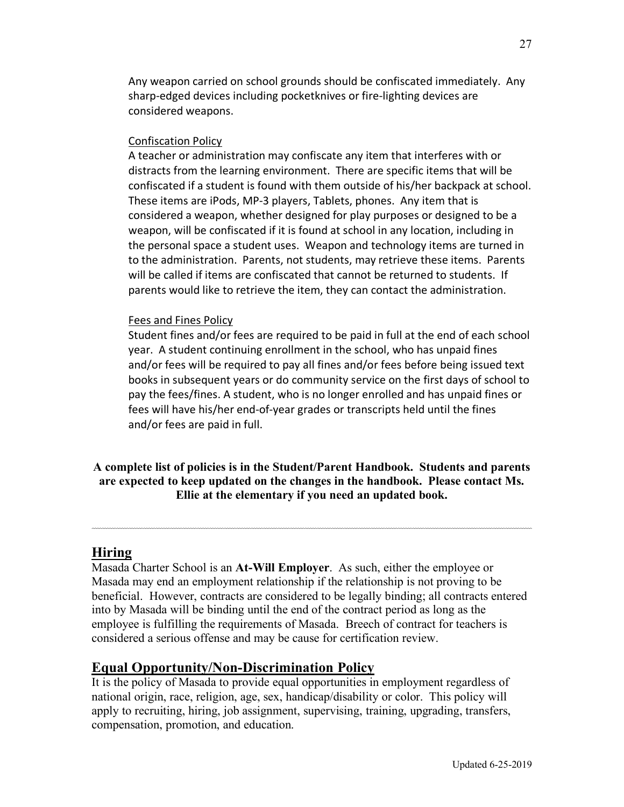Any weapon carried on school grounds should be confiscated immediately. Any sharp-edged devices including pocketknives or fire-lighting devices are considered weapons.

### Confiscation Policy

A teacher or administration may confiscate any item that interferes with or distracts from the learning environment. There are specific items that will be confiscated if a student is found with them outside of his/her backpack at school. These items are iPods, MP-3 players, Tablets, phones. Any item that is considered a weapon, whether designed for play purposes or designed to be a weapon, will be confiscated if it is found at school in any location, including in the personal space a student uses. Weapon and technology items are turned in to the administration. Parents, not students, may retrieve these items. Parents will be called if items are confiscated that cannot be returned to students. If parents would like to retrieve the item, they can contact the administration.

#### Fees and Fines Policy

Student fines and/or fees are required to be paid in full at the end of each school year. A student continuing enrollment in the school, who has unpaid fines and/or fees will be required to pay all fines and/or fees before being issued text books in subsequent years or do community service on the first days of school to pay the fees/fines. A student, who is no longer enrolled and has unpaid fines or fees will have his/her end-of-year grades or transcripts held until the fines and/or fees are paid in full.

**A complete list of policies is in the Student/Parent Handbook. Students and parents are expected to keep updated on the changes in the handbook. Please contact Ms. Ellie at the elementary if you need an updated book.**

## **Hiring**

Masada Charter School is an **At-Will Employer**. As such, either the employee or Masada may end an employment relationship if the relationship is not proving to be beneficial. However, contracts are considered to be legally binding; all contracts entered into by Masada will be binding until the end of the contract period as long as the employee is fulfilling the requirements of Masada. Breech of contract for teachers is considered a serious offense and may be cause for certification review.

## **Equal Opportunity/Non-Discrimination Policy**

It is the policy of Masada to provide equal opportunities in employment regardless of national origin, race, religion, age, sex, handicap/disability or color. This policy will apply to recruiting, hiring, job assignment, supervising, training, upgrading, transfers, compensation, promotion, and education.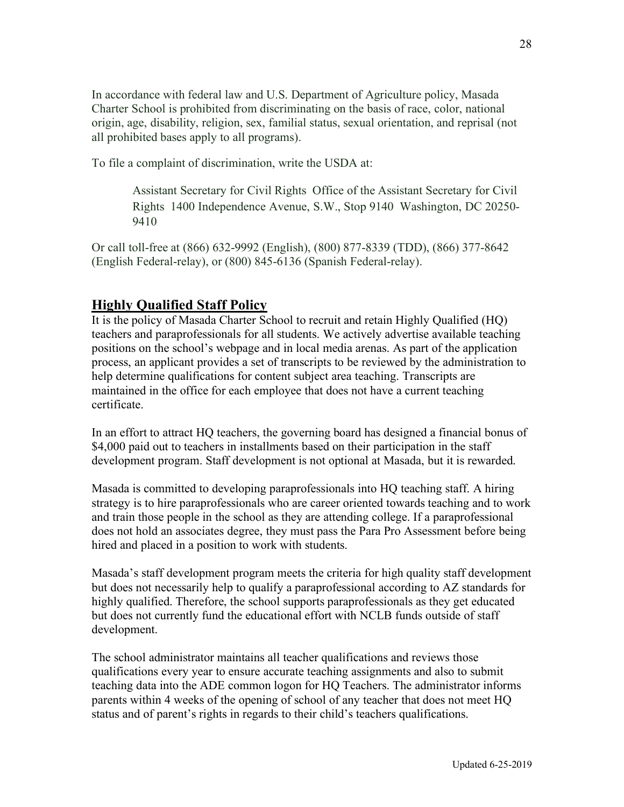In accordance with federal law and U.S. Department of Agriculture policy, Masada Charter School is prohibited from discriminating on the basis of race, color, national origin, age, disability, religion, sex, familial status, sexual orientation, and reprisal (not all prohibited bases apply to all programs).

To file a complaint of discrimination, write the USDA at:

Assistant Secretary for Civil Rights Office of the Assistant Secretary for Civil Rights 1400 Independence Avenue, S.W., Stop 9140 Washington, DC 20250- 9410

Or call toll-free at (866) 632-9992 (English), (800) 877-8339 (TDD), (866) 377-8642 (English Federal-relay), or (800) 845-6136 (Spanish Federal-relay).

# **Highly Qualified Staff Policy**

It is the policy of Masada Charter School to recruit and retain Highly Qualified (HQ) teachers and paraprofessionals for all students. We actively advertise available teaching positions on the school's webpage and in local media arenas. As part of the application process, an applicant provides a set of transcripts to be reviewed by the administration to help determine qualifications for content subject area teaching. Transcripts are maintained in the office for each employee that does not have a current teaching certificate.

In an effort to attract HQ teachers, the governing board has designed a financial bonus of \$4,000 paid out to teachers in installments based on their participation in the staff development program. Staff development is not optional at Masada, but it is rewarded.

Masada is committed to developing paraprofessionals into HQ teaching staff. A hiring strategy is to hire paraprofessionals who are career oriented towards teaching and to work and train those people in the school as they are attending college. If a paraprofessional does not hold an associates degree, they must pass the Para Pro Assessment before being hired and placed in a position to work with students.

Masada's staff development program meets the criteria for high quality staff development but does not necessarily help to qualify a paraprofessional according to AZ standards for highly qualified. Therefore, the school supports paraprofessionals as they get educated but does not currently fund the educational effort with NCLB funds outside of staff development.

The school administrator maintains all teacher qualifications and reviews those qualifications every year to ensure accurate teaching assignments and also to submit teaching data into the ADE common logon for HQ Teachers. The administrator informs parents within 4 weeks of the opening of school of any teacher that does not meet HQ status and of parent's rights in regards to their child's teachers qualifications.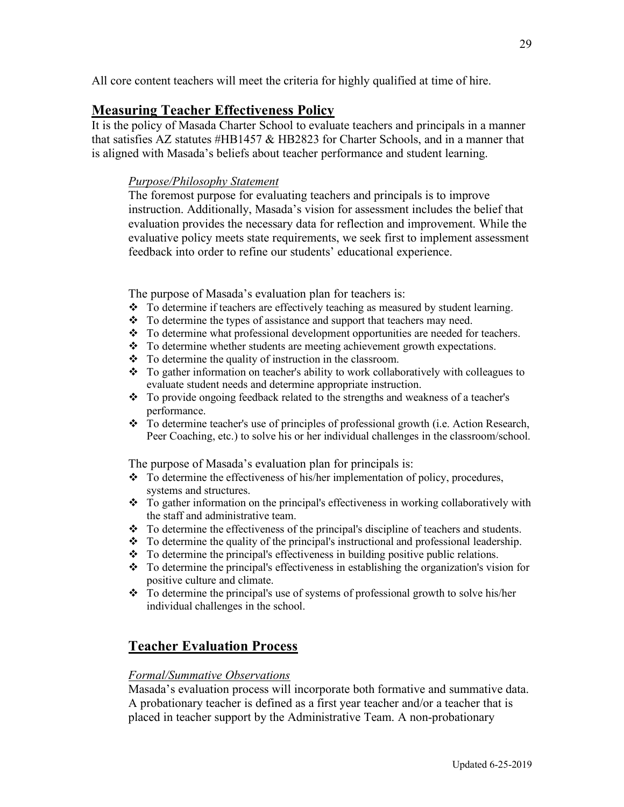All core content teachers will meet the criteria for highly qualified at time of hire.

## **Measuring Teacher Effectiveness Policy**

It is the policy of Masada Charter School to evaluate teachers and principals in a manner that satisfies AZ statutes #HB1457 & HB2823 for Charter Schools, and in a manner that is aligned with Masada's beliefs about teacher performance and student learning.

## *Purpose/Philosophy Statement*

The foremost purpose for evaluating teachers and principals is to improve instruction. Additionally, Masada's vision for assessment includes the belief that evaluation provides the necessary data for reflection and improvement. While the evaluative policy meets state requirements, we seek first to implement assessment feedback into order to refine our students' educational experience.

The purpose of Masada's evaluation plan for teachers is:

- $\bullet$  To determine if teachers are effectively teaching as measured by student learning.
- $\bullet$  To determine the types of assistance and support that teachers may need.
- \* To determine what professional development opportunities are needed for teachers.
- $\cdot$  To determine whether students are meeting achievement growth expectations.
- $\div$  To determine the quality of instruction in the classroom.
- $\cdot \cdot$  To gather information on teacher's ability to work collaboratively with colleagues to evaluate student needs and determine appropriate instruction.
- $\div$  To provide ongoing feedback related to the strengths and weakness of a teacher's performance.
- v To determine teacher's use of principles of professional growth (i.e. Action Research, Peer Coaching, etc.) to solve his or her individual challenges in the classroom/school.

The purpose of Masada's evaluation plan for principals is:

- $\triangleleft$  To determine the effectiveness of his/her implementation of policy, procedures, systems and structures.
- $\bullet$  To gather information on the principal's effectiveness in working collaboratively with the staff and administrative team.
- $\cdot \cdot$  To determine the effectiveness of the principal's discipline of teachers and students.
- $\cdot \cdot$  To determine the quality of the principal's instructional and professional leadership.
- To determine the principal's effectiveness in building positive public relations.
- $\cdot \cdot$  To determine the principal's effectiveness in establishing the organization's vision for positive culture and climate.
- v To determine the principal's use of systems of professional growth to solve his/her individual challenges in the school.

## **Teacher Evaluation Process**

## *Formal/Summative Observations*

Masada's evaluation process will incorporate both formative and summative data. A probationary teacher is defined as a first year teacher and/or a teacher that is placed in teacher support by the Administrative Team. A non-probationary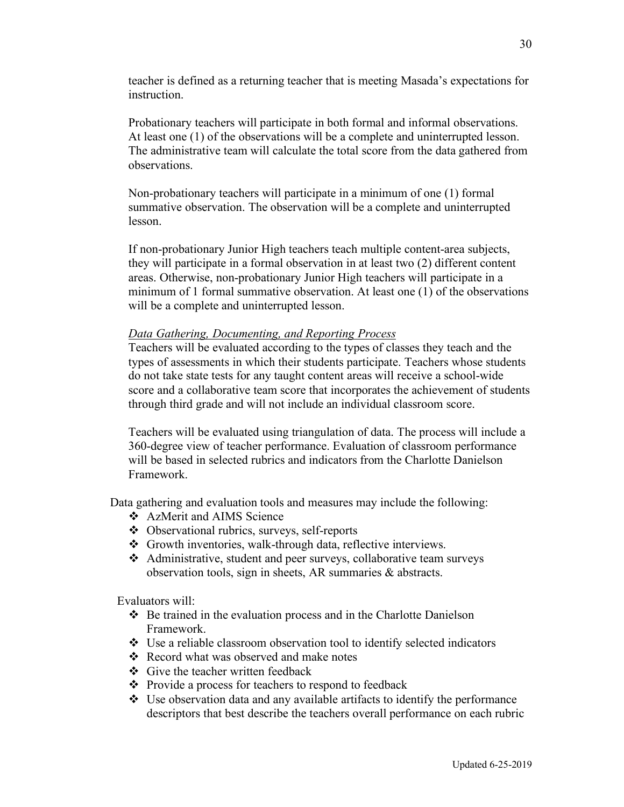teacher is defined as a returning teacher that is meeting Masada's expectations for **instruction** 

Probationary teachers will participate in both formal and informal observations. At least one (1) of the observations will be a complete and uninterrupted lesson. The administrative team will calculate the total score from the data gathered from observations.

Non-probationary teachers will participate in a minimum of one (1) formal summative observation. The observation will be a complete and uninterrupted lesson.

If non-probationary Junior High teachers teach multiple content-area subjects, they will participate in a formal observation in at least two (2) different content areas. Otherwise, non-probationary Junior High teachers will participate in a minimum of 1 formal summative observation. At least one (1) of the observations will be a complete and uninterrupted lesson.

## *Data Gathering, Documenting, and Reporting Process*

Teachers will be evaluated according to the types of classes they teach and the types of assessments in which their students participate. Teachers whose students do not take state tests for any taught content areas will receive a school-wide score and a collaborative team score that incorporates the achievement of students through third grade and will not include an individual classroom score.

Teachers will be evaluated using triangulation of data. The process will include a 360-degree view of teacher performance. Evaluation of classroom performance will be based in selected rubrics and indicators from the Charlotte Danielson Framework.

Data gathering and evaluation tools and measures may include the following:

- v AzMerit and AIMS Science
- v Observational rubrics, surveys, self-reports
- Growth inventories, walk-through data, reflective interviews.
- \* Administrative, student and peer surveys, collaborative team surveys observation tools, sign in sheets, AR summaries & abstracts.

Evaluators will:

- $\triangle$  Be trained in the evaluation process and in the Charlotte Danielson Framework.
- Use a reliable classroom observation tool to identify selected indicators
- $\triangleleft$  Record what was observed and make notes
- $\div$  Give the teacher written feedback
- $\triangle$  Provide a process for teachers to respond to feedback
- $\cdot$  Use observation data and any available artifacts to identify the performance descriptors that best describe the teachers overall performance on each rubric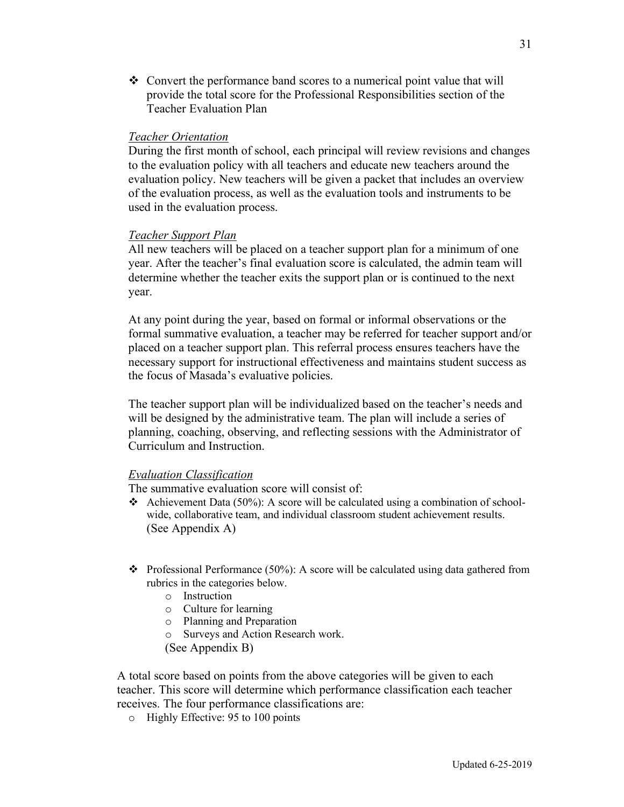$\div$  Convert the performance band scores to a numerical point value that will provide the total score for the Professional Responsibilities section of the Teacher Evaluation Plan

#### *Teacher Orientation*

During the first month of school, each principal will review revisions and changes to the evaluation policy with all teachers and educate new teachers around the evaluation policy. New teachers will be given a packet that includes an overview of the evaluation process, as well as the evaluation tools and instruments to be used in the evaluation process.

#### *Teacher Support Plan*

All new teachers will be placed on a teacher support plan for a minimum of one year. After the teacher's final evaluation score is calculated, the admin team will determine whether the teacher exits the support plan or is continued to the next year.

At any point during the year, based on formal or informal observations or the formal summative evaluation, a teacher may be referred for teacher support and/or placed on a teacher support plan. This referral process ensures teachers have the necessary support for instructional effectiveness and maintains student success as the focus of Masada's evaluative policies.

The teacher support plan will be individualized based on the teacher's needs and will be designed by the administrative team. The plan will include a series of planning, coaching, observing, and reflecting sessions with the Administrator of Curriculum and Instruction.

## *Evaluation Classification*

The summative evaluation score will consist of:

- Achievement Data (50%): A score will be calculated using a combination of schoolwide, collaborative team, and individual classroom student achievement results. (See Appendix A)
- Professional Performance (50%): A score will be calculated using data gathered from rubrics in the categories below.
	- o Instruction
	- o Culture for learning
	- o Planning and Preparation
	- o Surveys and Action Research work.
	- (See Appendix B)

A total score based on points from the above categories will be given to each teacher. This score will determine which performance classification each teacher receives. The four performance classifications are:

o Highly Effective: 95 to 100 points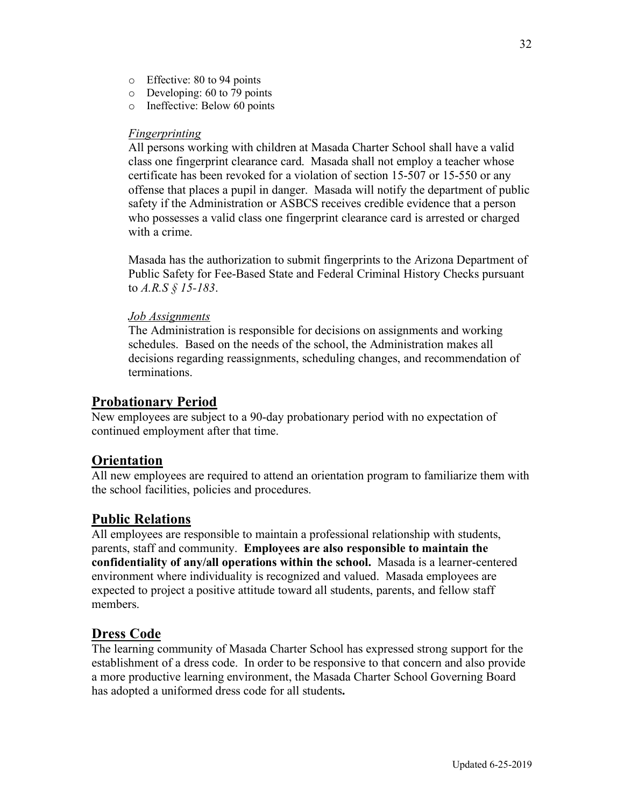- o Effective: 80 to 94 points
- o Developing: 60 to 79 points
- o Ineffective: Below 60 points

### *Fingerprinting*

All persons working with children at Masada Charter School shall have a valid class one fingerprint clearance card. Masada shall not employ a teacher whose certificate has been revoked for a violation of section 15-507 or 15-550 or any offense that places a pupil in danger. Masada will notify the department of public safety if the Administration or ASBCS receives credible evidence that a person who possesses a valid class one fingerprint clearance card is arrested or charged with a crime.

Masada has the authorization to submit fingerprints to the Arizona Department of Public Safety for Fee-Based State and Federal Criminal History Checks pursuant to *A.R.S § 15-183*.

## *Job Assignments*

The Administration is responsible for decisions on assignments and working schedules. Based on the needs of the school, the Administration makes all decisions regarding reassignments, scheduling changes, and recommendation of terminations.

## **Probationary Period**

New employees are subject to a 90-day probationary period with no expectation of continued employment after that time.

## **Orientation**

All new employees are required to attend an orientation program to familiarize them with the school facilities, policies and procedures.

## **Public Relations**

All employees are responsible to maintain a professional relationship with students, parents, staff and community. **Employees are also responsible to maintain the confidentiality of any/all operations within the school.** Masada is a learner-centered environment where individuality is recognized and valued. Masada employees are expected to project a positive attitude toward all students, parents, and fellow staff members.

## **Dress Code**

The learning community of Masada Charter School has expressed strong support for the establishment of a dress code. In order to be responsive to that concern and also provide a more productive learning environment, the Masada Charter School Governing Board has adopted a uniformed dress code for all students**.**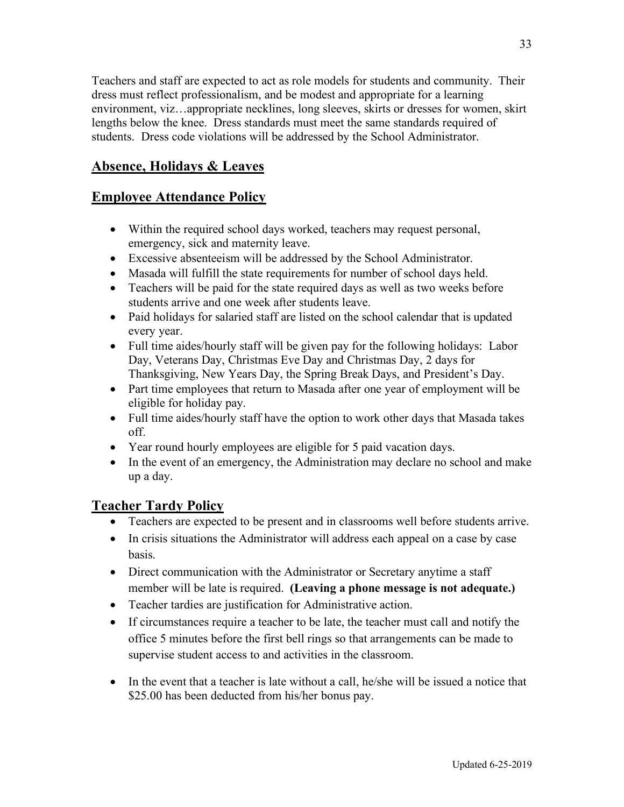Teachers and staff are expected to act as role models for students and community. Their dress must reflect professionalism, and be modest and appropriate for a learning environment, viz…appropriate necklines, long sleeves, skirts or dresses for women, skirt lengths below the knee. Dress standards must meet the same standards required of students. Dress code violations will be addressed by the School Administrator.

## **Absence, Holidays & Leaves**

## **Employee Attendance Policy**

- Within the required school days worked, teachers may request personal, emergency, sick and maternity leave.
- Excessive absenteeism will be addressed by the School Administrator.
- Masada will fulfill the state requirements for number of school days held.
- Teachers will be paid for the state required days as well as two weeks before students arrive and one week after students leave.
- Paid holidays for salaried staff are listed on the school calendar that is updated every year.
- Full time aides/hourly staff will be given pay for the following holidays: Labor Day, Veterans Day, Christmas Eve Day and Christmas Day, 2 days for Thanksgiving, New Years Day, the Spring Break Days, and President's Day.
- Part time employees that return to Masada after one year of employment will be eligible for holiday pay.
- Full time aides/hourly staff have the option to work other days that Masada takes off.
- Year round hourly employees are eligible for 5 paid vacation days.
- In the event of an emergency, the Administration may declare no school and make up a day.

## **Teacher Tardy Policy**

- Teachers are expected to be present and in classrooms well before students arrive.
- In crisis situations the Administrator will address each appeal on a case by case basis.
- Direct communication with the Administrator or Secretary anytime a staff member will be late is required. **(Leaving a phone message is not adequate.)**
- Teacher tardies are justification for Administrative action.
- If circumstances require a teacher to be late, the teacher must call and notify the office 5 minutes before the first bell rings so that arrangements can be made to supervise student access to and activities in the classroom.
- In the event that a teacher is late without a call, he/she will be issued a notice that \$25.00 has been deducted from his/her bonus pay.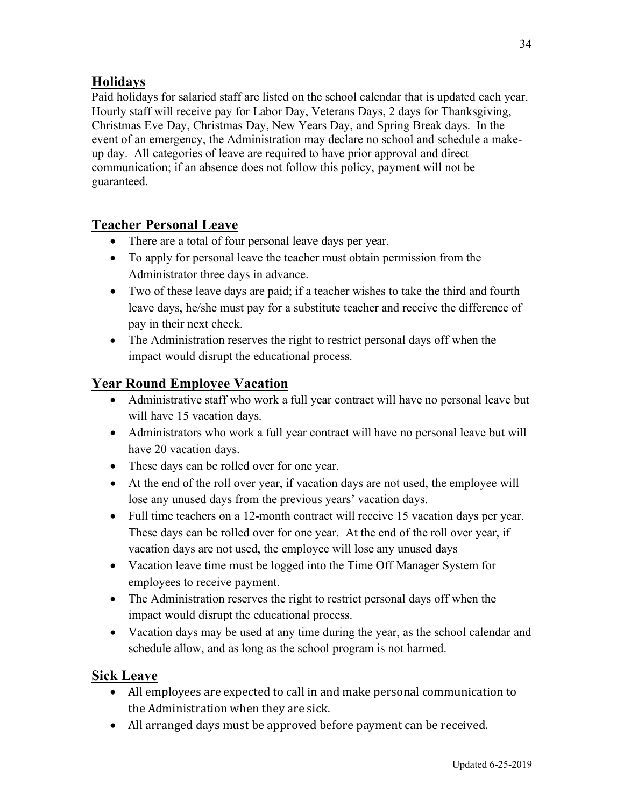## **Holidays**

Paid holidays for salaried staff are listed on the school calendar that is updated each year. Hourly staff will receive pay for Labor Day, Veterans Days, 2 days for Thanksgiving, Christmas Eve Day, Christmas Day, New Years Day, and Spring Break days. In the event of an emergency, the Administration may declare no school and schedule a makeup day. All categories of leave are required to have prior approval and direct communication; if an absence does not follow this policy, payment will not be guaranteed.

## **Teacher Personal Leave**

- There are a total of four personal leave days per year.
- To apply for personal leave the teacher must obtain permission from the Administrator three days in advance.
- Two of these leave days are paid; if a teacher wishes to take the third and fourth leave days, he/she must pay for a substitute teacher and receive the difference of pay in their next check.
- The Administration reserves the right to restrict personal days off when the impact would disrupt the educational process.

## **Year Round Employee Vacation**

- Administrative staff who work a full year contract will have no personal leave but will have 15 vacation days.
- Administrators who work a full year contract will have no personal leave but will have 20 vacation days.
- These days can be rolled over for one year.
- At the end of the roll over year, if vacation days are not used, the employee will lose any unused days from the previous years' vacation days.
- Full time teachers on a 12-month contract will receive 15 vacation days per year. These days can be rolled over for one year. At the end of the roll over year, if vacation days are not used, the employee will lose any unused days
- Vacation leave time must be logged into the Time Off Manager System for employees to receive payment.
- The Administration reserves the right to restrict personal days off when the impact would disrupt the educational process.
- Vacation days may be used at any time during the year, as the school calendar and schedule allow, and as long as the school program is not harmed.

## **Sick Leave**

- All employees are expected to call in and make personal communication to the Administration when they are sick.
- All arranged days must be approved before payment can be received.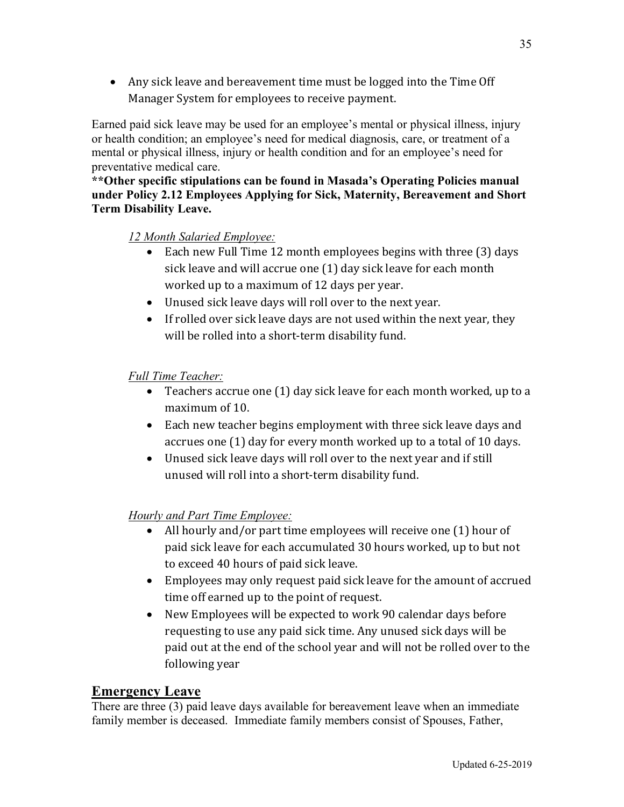• Any sick leave and bereavement time must be logged into the Time Off Manager System for employees to receive payment.

Earned paid sick leave may be used for an employee's mental or physical illness, injury or health condition; an employee's need for medical diagnosis, care, or treatment of a mental or physical illness, injury or health condition and for an employee's need for preventative medical care.

**\*\*Other specific stipulations can be found in Masada's Operating Policies manual under Policy 2.12 Employees Applying for Sick, Maternity, Bereavement and Short Term Disability Leave.**

## *12 Month Salaried Employee:*

- Each new Full Time 12 month employees begins with three (3) days sick leave and will accrue one (1) day sick leave for each month worked up to a maximum of 12 days per year.
- Unused sick leave days will roll over to the next year.
- If rolled over sick leave days are not used within the next year, they will be rolled into a short-term disability fund.

## *Full Time Teacher:*

- Teachers accrue one  $(1)$  day sick leave for each month worked, up to a maximum of 10.
- Each new teacher begins employment with three sick leave days and accrues one (1) day for every month worked up to a total of 10 days.
- Unused sick leave days will roll over to the next year and if still unused will roll into a short-term disability fund.

## *Hourly and Part Time Employee:*

- All hourly and/or part time employees will receive one (1) hour of paid sick leave for each accumulated 30 hours worked, up to but not to exceed 40 hours of paid sick leave.
- Employees may only request paid sick leave for the amount of accrued time off earned up to the point of request.
- New Employees will be expected to work 90 calendar days before requesting to use any paid sick time. Any unused sick days will be paid out at the end of the school year and will not be rolled over to the following year

## **Emergency Leave**

There are three (3) paid leave days available for bereavement leave when an immediate family member is deceased. Immediate family members consist of Spouses, Father,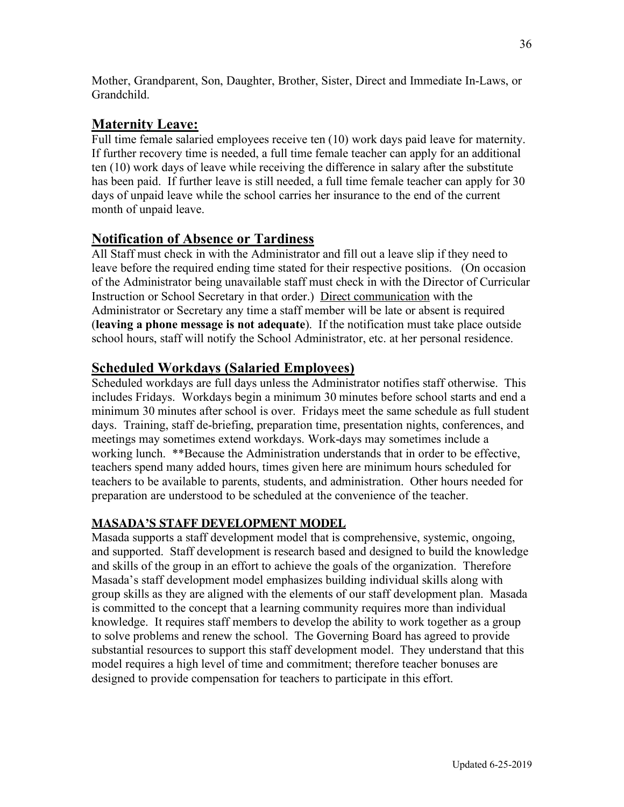Mother, Grandparent, Son, Daughter, Brother, Sister, Direct and Immediate In-Laws, or Grandchild.

## **Maternity Leave:**

Full time female salaried employees receive ten (10) work days paid leave for maternity. If further recovery time is needed, a full time female teacher can apply for an additional ten (10) work days of leave while receiving the difference in salary after the substitute has been paid. If further leave is still needed, a full time female teacher can apply for 30 days of unpaid leave while the school carries her insurance to the end of the current month of unpaid leave.

## **Notification of Absence or Tardiness**

All Staff must check in with the Administrator and fill out a leave slip if they need to leave before the required ending time stated for their respective positions. (On occasion of the Administrator being unavailable staff must check in with the Director of Curricular Instruction or School Secretary in that order.) Direct communication with the Administrator or Secretary any time a staff member will be late or absent is required (**leaving a phone message is not adequate**). If the notification must take place outside school hours, staff will notify the School Administrator, etc. at her personal residence.

## **Scheduled Workdays (Salaried Employees)**

Scheduled workdays are full days unless the Administrator notifies staff otherwise. This includes Fridays. Workdays begin a minimum 30 minutes before school starts and end a minimum 30 minutes after school is over. Fridays meet the same schedule as full student days. Training, staff de-briefing, preparation time, presentation nights, conferences, and meetings may sometimes extend workdays. Work-days may sometimes include a working lunch. \*\*Because the Administration understands that in order to be effective, teachers spend many added hours, times given here are minimum hours scheduled for teachers to be available to parents, students, and administration. Other hours needed for preparation are understood to be scheduled at the convenience of the teacher.

## **MASADA'S STAFF DEVELOPMENT MODEL**

Masada supports a staff development model that is comprehensive, systemic, ongoing, and supported. Staff development is research based and designed to build the knowledge and skills of the group in an effort to achieve the goals of the organization. Therefore Masada's staff development model emphasizes building individual skills along with group skills as they are aligned with the elements of our staff development plan. Masada is committed to the concept that a learning community requires more than individual knowledge. It requires staff members to develop the ability to work together as a group to solve problems and renew the school. The Governing Board has agreed to provide substantial resources to support this staff development model. They understand that this model requires a high level of time and commitment; therefore teacher bonuses are designed to provide compensation for teachers to participate in this effort.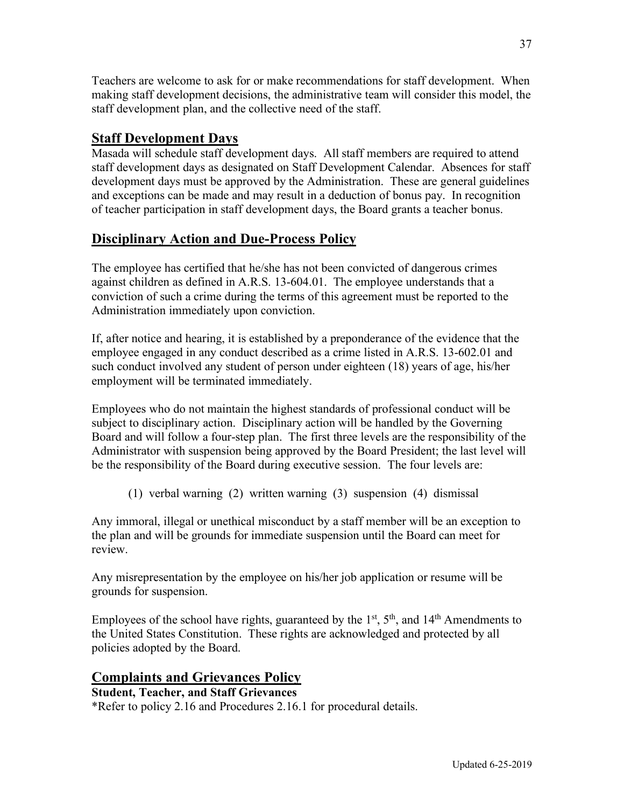Teachers are welcome to ask for or make recommendations for staff development. When making staff development decisions, the administrative team will consider this model, the staff development plan, and the collective need of the staff.

## **Staff Development Days**

Masada will schedule staff development days. All staff members are required to attend staff development days as designated on Staff Development Calendar. Absences for staff development days must be approved by the Administration. These are general guidelines and exceptions can be made and may result in a deduction of bonus pay. In recognition of teacher participation in staff development days, the Board grants a teacher bonus.

## **Disciplinary Action and Due-Process Policy**

The employee has certified that he/she has not been convicted of dangerous crimes against children as defined in A.R.S. 13-604.01. The employee understands that a conviction of such a crime during the terms of this agreement must be reported to the Administration immediately upon conviction.

If, after notice and hearing, it is established by a preponderance of the evidence that the employee engaged in any conduct described as a crime listed in A.R.S. 13-602.01 and such conduct involved any student of person under eighteen (18) years of age, his/her employment will be terminated immediately.

Employees who do not maintain the highest standards of professional conduct will be subject to disciplinary action. Disciplinary action will be handled by the Governing Board and will follow a four-step plan. The first three levels are the responsibility of the Administrator with suspension being approved by the Board President; the last level will be the responsibility of the Board during executive session. The four levels are:

(1) verbal warning (2) written warning (3) suspension (4) dismissal

Any immoral, illegal or unethical misconduct by a staff member will be an exception to the plan and will be grounds for immediate suspension until the Board can meet for review.

Any misrepresentation by the employee on his/her job application or resume will be grounds for suspension.

Employees of the school have rights, guaranteed by the  $1<sup>st</sup>$ ,  $5<sup>th</sup>$ , and  $14<sup>th</sup>$  Amendments to the United States Constitution. These rights are acknowledged and protected by all policies adopted by the Board.

## **Complaints and Grievances Policy**

## **Student, Teacher, and Staff Grievances**

\*Refer to policy 2.16 and Procedures 2.16.1 for procedural details.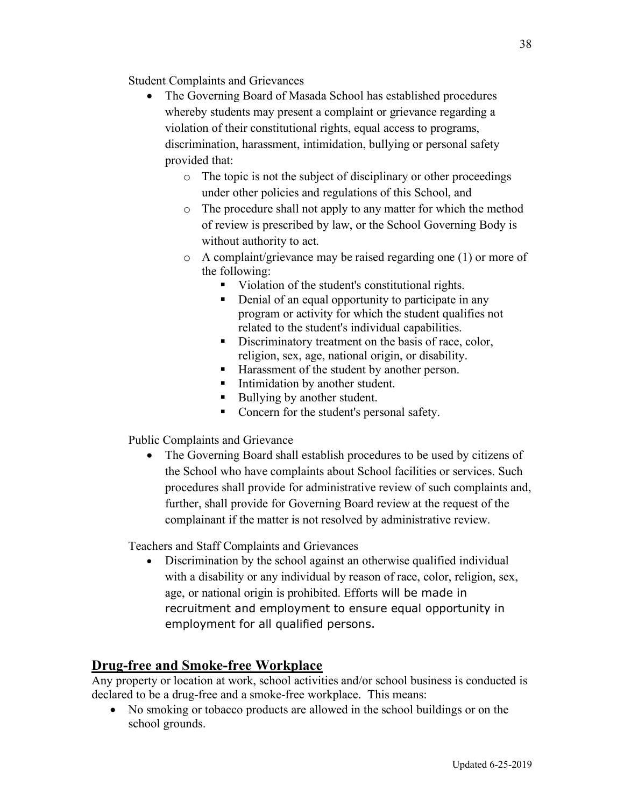Student Complaints and Grievances

- The Governing Board of Masada School has established procedures whereby students may present a complaint or grievance regarding a violation of their constitutional rights, equal access to programs, discrimination, harassment, intimidation, bullying or personal safety provided that:
	- o The topic is not the subject of disciplinary or other proceedings under other policies and regulations of this School, and
	- o The procedure shall not apply to any matter for which the method of review is prescribed by law, or the School Governing Body is without authority to act.
	- o A complaint/grievance may be raised regarding one (1) or more of the following:
		- Violation of the student's constitutional rights.
		- Denial of an equal opportunity to participate in any program or activity for which the student qualifies not related to the student's individual capabilities.
		- Discriminatory treatment on the basis of race, color, religion, sex, age, national origin, or disability.
		- Harassment of the student by another person.
		- Intimidation by another student.
		- Bullying by another student.
		- Concern for the student's personal safety.

Public Complaints and Grievance

• The Governing Board shall establish procedures to be used by citizens of the School who have complaints about School facilities or services. Such procedures shall provide for administrative review of such complaints and, further, shall provide for Governing Board review at the request of the complainant if the matter is not resolved by administrative review.

Teachers and Staff Complaints and Grievances

• Discrimination by the school against an otherwise qualified individual with a disability or any individual by reason of race, color, religion, sex, age, or national origin is prohibited. Efforts will be made in recruitment and employment to ensure equal opportunity in employment for all qualified persons.

## **Drug-free and Smoke-free Workplace**

Any property or location at work, school activities and/or school business is conducted is declared to be a drug-free and a smoke-free workplace. This means:

• No smoking or tobacco products are allowed in the school buildings or on the school grounds.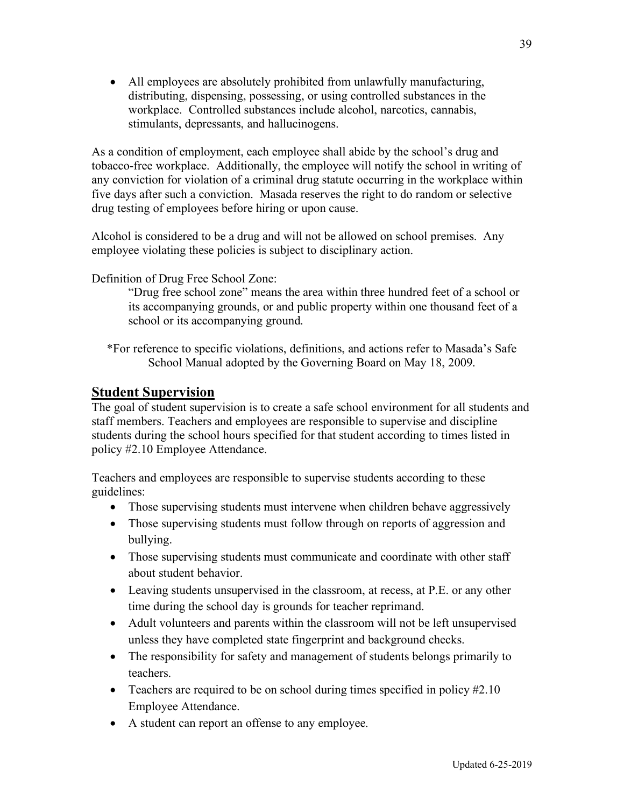• All employees are absolutely prohibited from unlawfully manufacturing, distributing, dispensing, possessing, or using controlled substances in the workplace. Controlled substances include alcohol, narcotics, cannabis, stimulants, depressants, and hallucinogens.

As a condition of employment, each employee shall abide by the school's drug and tobacco-free workplace. Additionally, the employee will notify the school in writing of any conviction for violation of a criminal drug statute occurring in the workplace within five days after such a conviction. Masada reserves the right to do random or selective drug testing of employees before hiring or upon cause.

Alcohol is considered to be a drug and will not be allowed on school premises. Any employee violating these policies is subject to disciplinary action.

Definition of Drug Free School Zone:

"Drug free school zone" means the area within three hundred feet of a school or its accompanying grounds, or and public property within one thousand feet of a school or its accompanying ground.

\*For reference to specific violations, definitions, and actions refer to Masada's Safe School Manual adopted by the Governing Board on May 18, 2009.

## **Student Supervision**

The goal of student supervision is to create a safe school environment for all students and staff members. Teachers and employees are responsible to supervise and discipline students during the school hours specified for that student according to times listed in policy #2.10 Employee Attendance.

Teachers and employees are responsible to supervise students according to these guidelines:

- Those supervising students must intervene when children behave aggressively
- Those supervising students must follow through on reports of aggression and bullying.
- Those supervising students must communicate and coordinate with other staff about student behavior.
- Leaving students unsupervised in the classroom, at recess, at P.E. or any other time during the school day is grounds for teacher reprimand.
- Adult volunteers and parents within the classroom will not be left unsupervised unless they have completed state fingerprint and background checks.
- The responsibility for safety and management of students belongs primarily to teachers.
- Teachers are required to be on school during times specified in policy #2.10 Employee Attendance.
- A student can report an offense to any employee.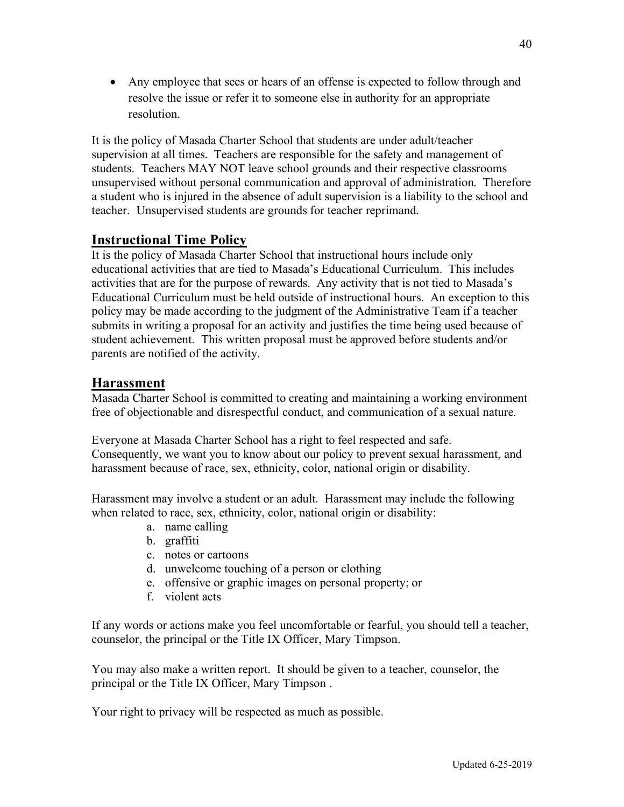• Any employee that sees or hears of an offense is expected to follow through and resolve the issue or refer it to someone else in authority for an appropriate resolution.

It is the policy of Masada Charter School that students are under adult/teacher supervision at all times. Teachers are responsible for the safety and management of students. Teachers MAY NOT leave school grounds and their respective classrooms unsupervised without personal communication and approval of administration. Therefore a student who is injured in the absence of adult supervision is a liability to the school and teacher. Unsupervised students are grounds for teacher reprimand.

## **Instructional Time Policy**

It is the policy of Masada Charter School that instructional hours include only educational activities that are tied to Masada's Educational Curriculum. This includes activities that are for the purpose of rewards. Any activity that is not tied to Masada's Educational Curriculum must be held outside of instructional hours. An exception to this policy may be made according to the judgment of the Administrative Team if a teacher submits in writing a proposal for an activity and justifies the time being used because of student achievement. This written proposal must be approved before students and/or parents are notified of the activity.

## **Harassment**

Masada Charter School is committed to creating and maintaining a working environment free of objectionable and disrespectful conduct, and communication of a sexual nature.

Everyone at Masada Charter School has a right to feel respected and safe. Consequently, we want you to know about our policy to prevent sexual harassment, and harassment because of race, sex, ethnicity, color, national origin or disability.

Harassment may involve a student or an adult. Harassment may include the following when related to race, sex, ethnicity, color, national origin or disability:

- a. name calling
- b. graffiti
- c. notes or cartoons
- d. unwelcome touching of a person or clothing
- e. offensive or graphic images on personal property; or
- f. violent acts

If any words or actions make you feel uncomfortable or fearful, you should tell a teacher, counselor, the principal or the Title IX Officer, Mary Timpson.

You may also make a written report. It should be given to a teacher, counselor, the principal or the Title IX Officer, Mary Timpson .

Your right to privacy will be respected as much as possible.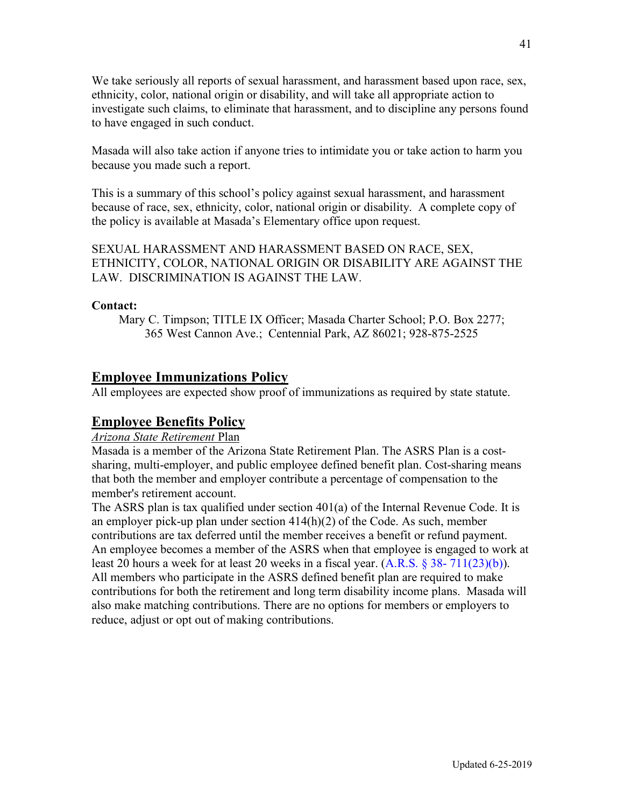We take seriously all reports of sexual harassment, and harassment based upon race, sex, ethnicity, color, national origin or disability, and will take all appropriate action to investigate such claims, to eliminate that harassment, and to discipline any persons found to have engaged in such conduct.

Masada will also take action if anyone tries to intimidate you or take action to harm you because you made such a report.

This is a summary of this school's policy against sexual harassment, and harassment because of race, sex, ethnicity, color, national origin or disability. A complete copy of the policy is available at Masada's Elementary office upon request.

SEXUAL HARASSMENT AND HARASSMENT BASED ON RACE, SEX, ETHNICITY, COLOR, NATIONAL ORIGIN OR DISABILITY ARE AGAINST THE LAW. DISCRIMINATION IS AGAINST THE LAW.

## **Contact:**

Mary C. Timpson; TITLE IX Officer; Masada Charter School; P.O. Box 2277; 365 West Cannon Ave.; Centennial Park, AZ 86021; 928-875-2525

## **Employee Immunizations Policy**

All employees are expected show proof of immunizations as required by state statute.

## **Employee Benefits Policy**

## *Arizona State Retirement* Plan

Masada is a member of the Arizona State Retirement Plan. The ASRS Plan is a costsharing, multi-employer, and public employee defined benefit plan. Cost-sharing means that both the member and employer contribute a percentage of compensation to the member's retirement account.

The ASRS plan is tax qualified under section  $401(a)$  of the Internal Revenue Code. It is an employer pick-up plan under section 414(h)(2) of the Code. As such, member contributions are tax deferred until the member receives a benefit or refund payment. An employee becomes a member of the ASRS when that employee is engaged to work at least 20 hours a week for at least 20 weeks in a fiscal year. (A.R.S. § 38- 711(23)(b)). All members who participate in the ASRS defined benefit plan are required to make contributions for both the retirement and long term disability income plans. Masada will also make matching contributions. There are no options for members or employers to reduce, adjust or opt out of making contributions.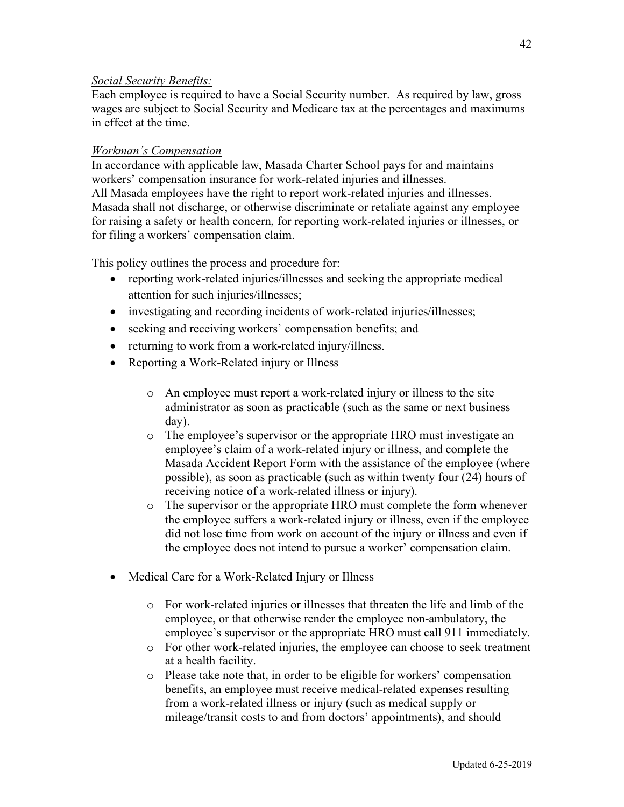## *Social Security Benefits:*

Each employee is required to have a Social Security number. As required by law, gross wages are subject to Social Security and Medicare tax at the percentages and maximums in effect at the time.

## *Workman's Compensation*

In accordance with applicable law, Masada Charter School pays for and maintains workers' compensation insurance for work-related injuries and illnesses. All Masada employees have the right to report work-related injuries and illnesses. Masada shall not discharge, or otherwise discriminate or retaliate against any employee for raising a safety or health concern, for reporting work-related injuries or illnesses, or for filing a workers' compensation claim.

This policy outlines the process and procedure for:

- reporting work-related injuries/illnesses and seeking the appropriate medical attention for such injuries/illnesses;
- investigating and recording incidents of work-related injuries/illnesses;
- seeking and receiving workers' compensation benefits; and
- returning to work from a work-related injury/illness.
- Reporting a Work-Related injury or Illness
	- o An employee must report a work-related injury or illness to the site administrator as soon as practicable (such as the same or next business day).
	- o The employee's supervisor or the appropriate HRO must investigate an employee's claim of a work-related injury or illness, and complete the Masada Accident Report Form with the assistance of the employee (where possible), as soon as practicable (such as within twenty four (24) hours of receiving notice of a work-related illness or injury).
	- o The supervisor or the appropriate HRO must complete the form whenever the employee suffers a work-related injury or illness, even if the employee did not lose time from work on account of the injury or illness and even if the employee does not intend to pursue a worker' compensation claim.
- Medical Care for a Work-Related Injury or Illness
	- o For work-related injuries or illnesses that threaten the life and limb of the employee, or that otherwise render the employee non-ambulatory, the employee's supervisor or the appropriate HRO must call 911 immediately.
	- o For other work-related injuries, the employee can choose to seek treatment at a health facility.
	- o Please take note that, in order to be eligible for workers' compensation benefits, an employee must receive medical-related expenses resulting from a work-related illness or injury (such as medical supply or mileage/transit costs to and from doctors' appointments), and should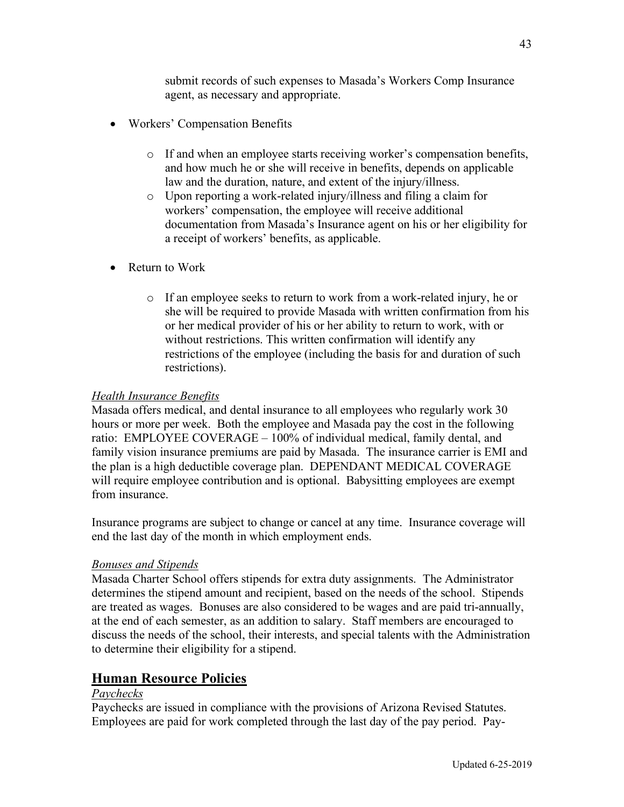submit records of such expenses to Masada's Workers Comp Insurance agent, as necessary and appropriate.

- Workers' Compensation Benefits
	- o If and when an employee starts receiving worker's compensation benefits, and how much he or she will receive in benefits, depends on applicable law and the duration, nature, and extent of the injury/illness.
	- o Upon reporting a work-related injury/illness and filing a claim for workers' compensation, the employee will receive additional documentation from Masada's Insurance agent on his or her eligibility for a receipt of workers' benefits, as applicable.
- Return to Work
	- o If an employee seeks to return to work from a work-related injury, he or she will be required to provide Masada with written confirmation from his or her medical provider of his or her ability to return to work, with or without restrictions. This written confirmation will identify any restrictions of the employee (including the basis for and duration of such restrictions).

#### *Health Insurance Benefits*

Masada offers medical, and dental insurance to all employees who regularly work 30 hours or more per week. Both the employee and Masada pay the cost in the following ratio: EMPLOYEE COVERAGE – 100% of individual medical, family dental, and family vision insurance premiums are paid by Masada. The insurance carrier is EMI and the plan is a high deductible coverage plan. DEPENDANT MEDICAL COVERAGE will require employee contribution and is optional. Babysitting employees are exempt from insurance.

Insurance programs are subject to change or cancel at any time. Insurance coverage will end the last day of the month in which employment ends.

#### *Bonuses and Stipends*

Masada Charter School offers stipends for extra duty assignments. The Administrator determines the stipend amount and recipient, based on the needs of the school. Stipends are treated as wages. Bonuses are also considered to be wages and are paid tri-annually, at the end of each semester, as an addition to salary. Staff members are encouraged to discuss the needs of the school, their interests, and special talents with the Administration to determine their eligibility for a stipend.

## **Human Resource Policies**

## *Paychecks*

Paychecks are issued in compliance with the provisions of Arizona Revised Statutes. Employees are paid for work completed through the last day of the pay period. Pay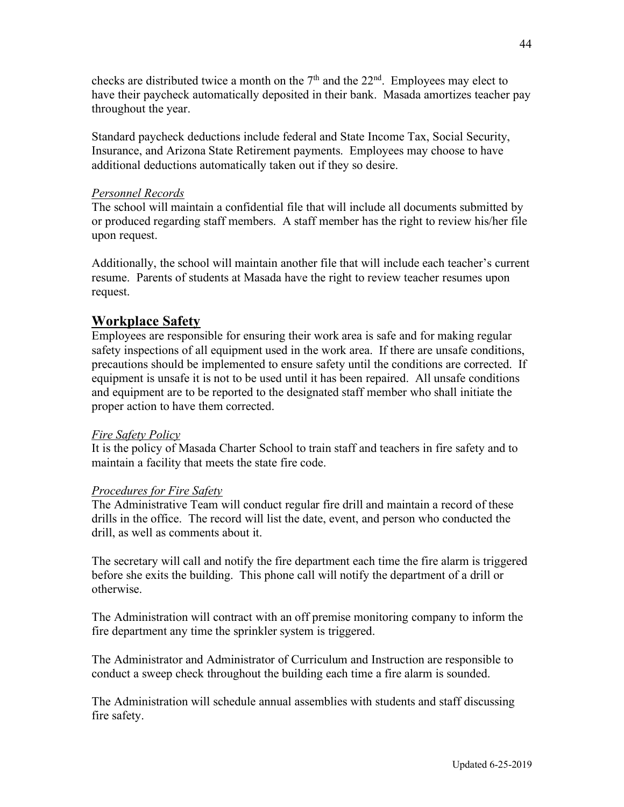checks are distributed twice a month on the  $7<sup>th</sup>$  and the  $22<sup>nd</sup>$ . Employees may elect to have their paycheck automatically deposited in their bank. Masada amortizes teacher pay throughout the year.

Standard paycheck deductions include federal and State Income Tax, Social Security, Insurance, and Arizona State Retirement payments. Employees may choose to have additional deductions automatically taken out if they so desire.

## *Personnel Records*

The school will maintain a confidential file that will include all documents submitted by or produced regarding staff members. A staff member has the right to review his/her file upon request.

Additionally, the school will maintain another file that will include each teacher's current resume. Parents of students at Masada have the right to review teacher resumes upon request.

## **Workplace Safety**

Employees are responsible for ensuring their work area is safe and for making regular safety inspections of all equipment used in the work area. If there are unsafe conditions, precautions should be implemented to ensure safety until the conditions are corrected. If equipment is unsafe it is not to be used until it has been repaired. All unsafe conditions and equipment are to be reported to the designated staff member who shall initiate the proper action to have them corrected.

## *Fire Safety Policy*

It is the policy of Masada Charter School to train staff and teachers in fire safety and to maintain a facility that meets the state fire code.

## *Procedures for Fire Safety*

The Administrative Team will conduct regular fire drill and maintain a record of these drills in the office. The record will list the date, event, and person who conducted the drill, as well as comments about it.

The secretary will call and notify the fire department each time the fire alarm is triggered before she exits the building. This phone call will notify the department of a drill or otherwise.

The Administration will contract with an off premise monitoring company to inform the fire department any time the sprinkler system is triggered.

The Administrator and Administrator of Curriculum and Instruction are responsible to conduct a sweep check throughout the building each time a fire alarm is sounded.

The Administration will schedule annual assemblies with students and staff discussing fire safety.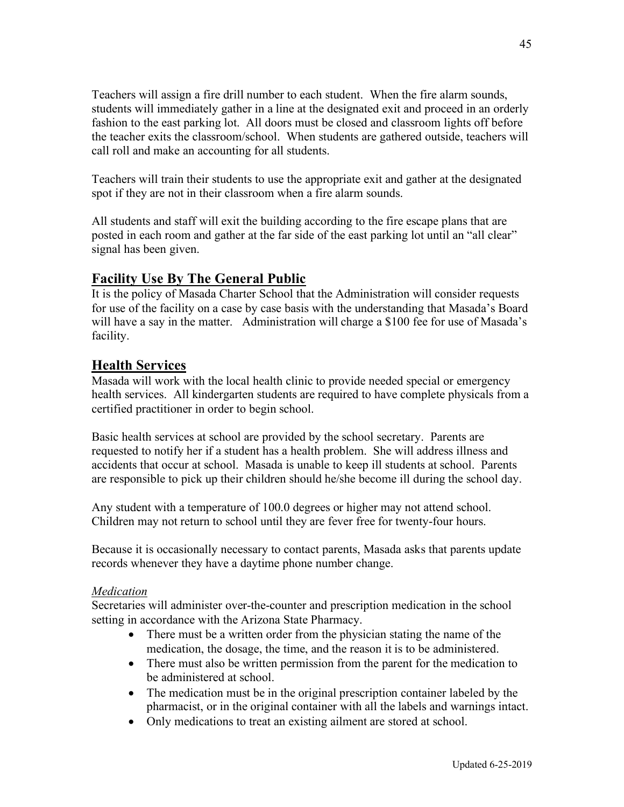Teachers will assign a fire drill number to each student. When the fire alarm sounds, students will immediately gather in a line at the designated exit and proceed in an orderly fashion to the east parking lot. All doors must be closed and classroom lights off before the teacher exits the classroom/school. When students are gathered outside, teachers will call roll and make an accounting for all students.

Teachers will train their students to use the appropriate exit and gather at the designated spot if they are not in their classroom when a fire alarm sounds.

All students and staff will exit the building according to the fire escape plans that are posted in each room and gather at the far side of the east parking lot until an "all clear" signal has been given.

## **Facility Use By The General Public**

It is the policy of Masada Charter School that the Administration will consider requests for use of the facility on a case by case basis with the understanding that Masada's Board will have a say in the matter. Administration will charge a \$100 fee for use of Masada's facility.

## **Health Services**

Masada will work with the local health clinic to provide needed special or emergency health services. All kindergarten students are required to have complete physicals from a certified practitioner in order to begin school.

Basic health services at school are provided by the school secretary. Parents are requested to notify her if a student has a health problem. She will address illness and accidents that occur at school. Masada is unable to keep ill students at school. Parents are responsible to pick up their children should he/she become ill during the school day.

Any student with a temperature of 100.0 degrees or higher may not attend school. Children may not return to school until they are fever free for twenty-four hours.

Because it is occasionally necessary to contact parents, Masada asks that parents update records whenever they have a daytime phone number change.

## *Medication*

Secretaries will administer over-the-counter and prescription medication in the school setting in accordance with the Arizona State Pharmacy.

- There must be a written order from the physician stating the name of the medication, the dosage, the time, and the reason it is to be administered.
- There must also be written permission from the parent for the medication to be administered at school.
- The medication must be in the original prescription container labeled by the pharmacist, or in the original container with all the labels and warnings intact.
- Only medications to treat an existing ailment are stored at school.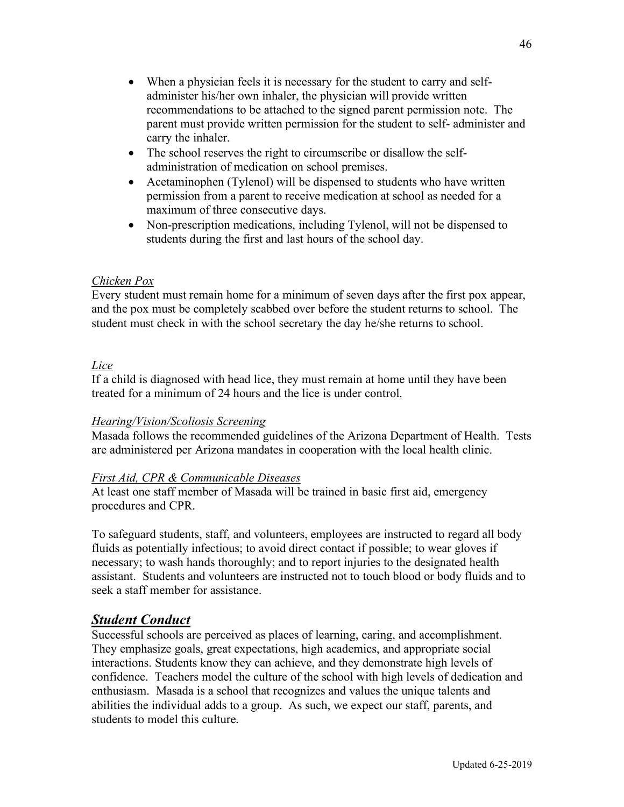- When a physician feels it is necessary for the student to carry and selfadminister his/her own inhaler, the physician will provide written recommendations to be attached to the signed parent permission note. The parent must provide written permission for the student to self- administer and carry the inhaler.
- The school reserves the right to circumscribe or disallow the selfadministration of medication on school premises.
- Acetaminophen (Tylenol) will be dispensed to students who have written permission from a parent to receive medication at school as needed for a maximum of three consecutive days.
- Non-prescription medications, including Tylenol, will not be dispensed to students during the first and last hours of the school day.

## *Chicken Pox*

Every student must remain home for a minimum of seven days after the first pox appear, and the pox must be completely scabbed over before the student returns to school. The student must check in with the school secretary the day he/she returns to school.

## *Lice*

If a child is diagnosed with head lice, they must remain at home until they have been treated for a minimum of 24 hours and the lice is under control.

## *Hearing/Vision/Scoliosis Screening*

Masada follows the recommended guidelines of the Arizona Department of Health. Tests are administered per Arizona mandates in cooperation with the local health clinic.

## *First Aid, CPR & Communicable Diseases*

At least one staff member of Masada will be trained in basic first aid, emergency procedures and CPR.

To safeguard students, staff, and volunteers, employees are instructed to regard all body fluids as potentially infectious; to avoid direct contact if possible; to wear gloves if necessary; to wash hands thoroughly; and to report injuries to the designated health assistant. Students and volunteers are instructed not to touch blood or body fluids and to seek a staff member for assistance.

## *Student Conduct*

Successful schools are perceived as places of learning, caring, and accomplishment. They emphasize goals, great expectations, high academics, and appropriate social interactions. Students know they can achieve, and they demonstrate high levels of confidence. Teachers model the culture of the school with high levels of dedication and enthusiasm. Masada is a school that recognizes and values the unique talents and abilities the individual adds to a group. As such, we expect our staff, parents, and students to model this culture.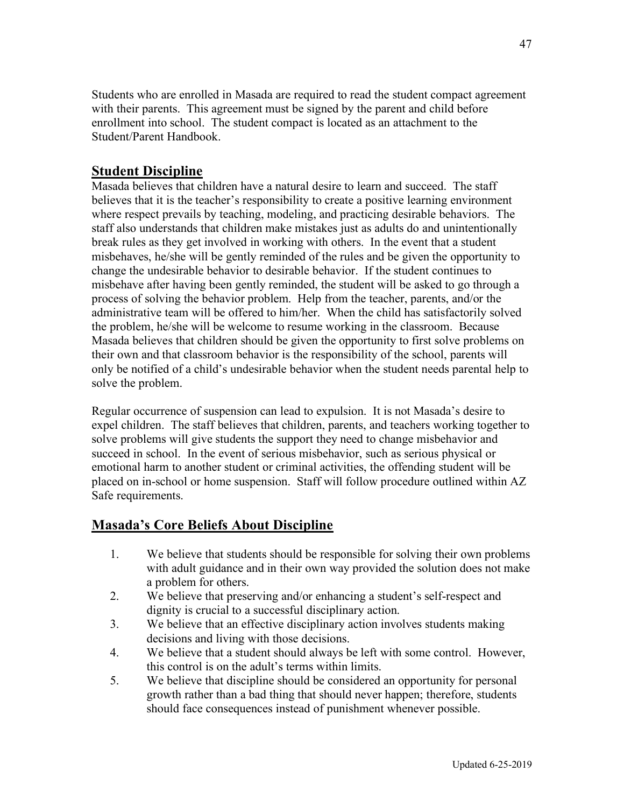Students who are enrolled in Masada are required to read the student compact agreement with their parents. This agreement must be signed by the parent and child before enrollment into school. The student compact is located as an attachment to the Student/Parent Handbook.

## **Student Discipline**

Masada believes that children have a natural desire to learn and succeed. The staff believes that it is the teacher's responsibility to create a positive learning environment where respect prevails by teaching, modeling, and practicing desirable behaviors. The staff also understands that children make mistakes just as adults do and unintentionally break rules as they get involved in working with others. In the event that a student misbehaves, he/she will be gently reminded of the rules and be given the opportunity to change the undesirable behavior to desirable behavior. If the student continues to misbehave after having been gently reminded, the student will be asked to go through a process of solving the behavior problem. Help from the teacher, parents, and/or the administrative team will be offered to him/her. When the child has satisfactorily solved the problem, he/she will be welcome to resume working in the classroom. Because Masada believes that children should be given the opportunity to first solve problems on their own and that classroom behavior is the responsibility of the school, parents will only be notified of a child's undesirable behavior when the student needs parental help to solve the problem.

Regular occurrence of suspension can lead to expulsion. It is not Masada's desire to expel children. The staff believes that children, parents, and teachers working together to solve problems will give students the support they need to change misbehavior and succeed in school. In the event of serious misbehavior, such as serious physical or emotional harm to another student or criminal activities, the offending student will be placed on in-school or home suspension. Staff will follow procedure outlined within AZ Safe requirements.

## **Masada's Core Beliefs About Discipline**

- 1. We believe that students should be responsible for solving their own problems with adult guidance and in their own way provided the solution does not make a problem for others.
- 2. We believe that preserving and/or enhancing a student's self-respect and dignity is crucial to a successful disciplinary action.
- 3. We believe that an effective disciplinary action involves students making decisions and living with those decisions.
- 4. We believe that a student should always be left with some control. However, this control is on the adult's terms within limits.
- 5. We believe that discipline should be considered an opportunity for personal growth rather than a bad thing that should never happen; therefore, students should face consequences instead of punishment whenever possible.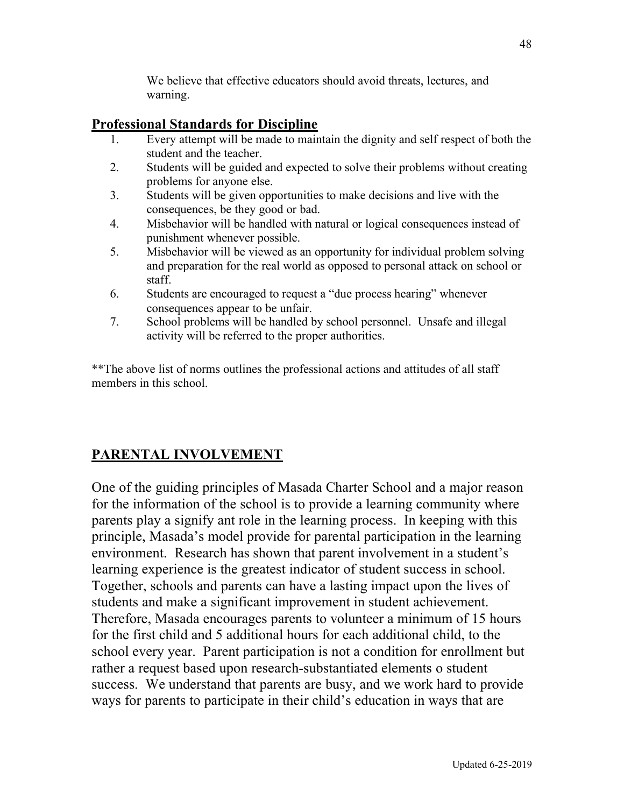We believe that effective educators should avoid threats, lectures, and warning.

## **Professional Standards for Discipline**

- 1. Every attempt will be made to maintain the dignity and self respect of both the student and the teacher.
- 2. Students will be guided and expected to solve their problems without creating problems for anyone else.
- 3. Students will be given opportunities to make decisions and live with the consequences, be they good or bad.
- 4. Misbehavior will be handled with natural or logical consequences instead of punishment whenever possible.
- 5. Misbehavior will be viewed as an opportunity for individual problem solving and preparation for the real world as opposed to personal attack on school or staff.
- 6. Students are encouraged to request a "due process hearing" whenever consequences appear to be unfair.
- 7. School problems will be handled by school personnel. Unsafe and illegal activity will be referred to the proper authorities.

\*\*The above list of norms outlines the professional actions and attitudes of all staff members in this school.

# **PARENTAL INVOLVEMENT**

One of the guiding principles of Masada Charter School and a major reason for the information of the school is to provide a learning community where parents play a signify ant role in the learning process. In keeping with this principle, Masada's model provide for parental participation in the learning environment. Research has shown that parent involvement in a student's learning experience is the greatest indicator of student success in school. Together, schools and parents can have a lasting impact upon the lives of students and make a significant improvement in student achievement. Therefore, Masada encourages parents to volunteer a minimum of 15 hours for the first child and 5 additional hours for each additional child, to the school every year. Parent participation is not a condition for enrollment but rather a request based upon research-substantiated elements o student success. We understand that parents are busy, and we work hard to provide ways for parents to participate in their child's education in ways that are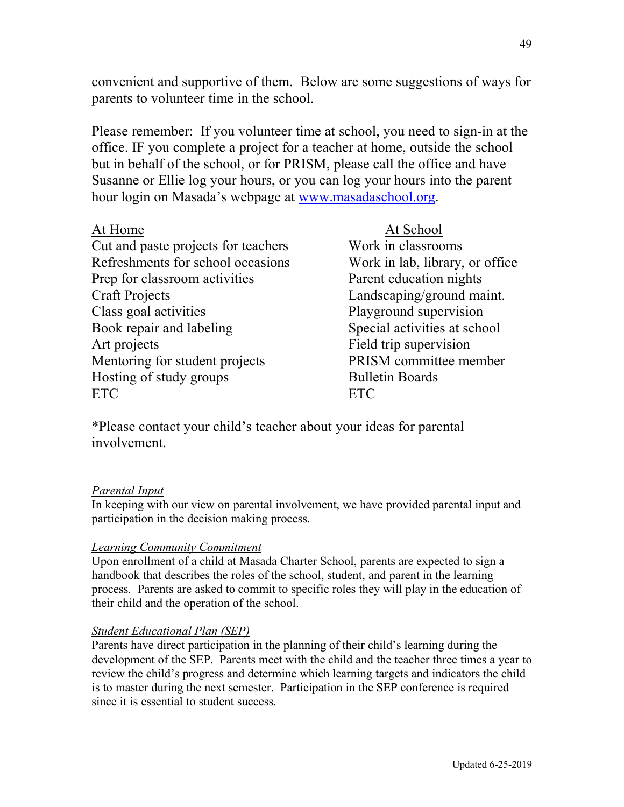convenient and supportive of them. Below are some suggestions of ways for parents to volunteer time in the school.

Please remember: If you volunteer time at school, you need to sign-in at the office. IF you complete a project for a teacher at home, outside the school but in behalf of the school, or for PRISM, please call the office and have Susanne or Ellie log your hours, or you can log your hours into the parent hour login on Masada's webpage at www.masadaschool.org.

Cut and paste projects for teachers Work in classrooms Refreshments for school occasions Work in lab, library, or office Prep for classroom activities Parent education nights Craft Projects Landscaping/ground maint. Class goal activities Playground supervision Book repair and labeling Special activities at school Art projects Field trip supervision Mentoring for student projects PRISM committee member Hosting of study groups Bulletin Boards ETC ETC

At Home At School

\*Please contact your child's teacher about your ideas for parental involvement.

## *Parental Input*

In keeping with our view on parental involvement, we have provided parental input and participation in the decision making process.

## *Learning Community Commitment*

Upon enrollment of a child at Masada Charter School, parents are expected to sign a handbook that describes the roles of the school, student, and parent in the learning process. Parents are asked to commit to specific roles they will play in the education of their child and the operation of the school.

## *Student Educational Plan (SEP)*

Parents have direct participation in the planning of their child's learning during the development of the SEP. Parents meet with the child and the teacher three times a year to review the child's progress and determine which learning targets and indicators the child is to master during the next semester. Participation in the SEP conference is required since it is essential to student success.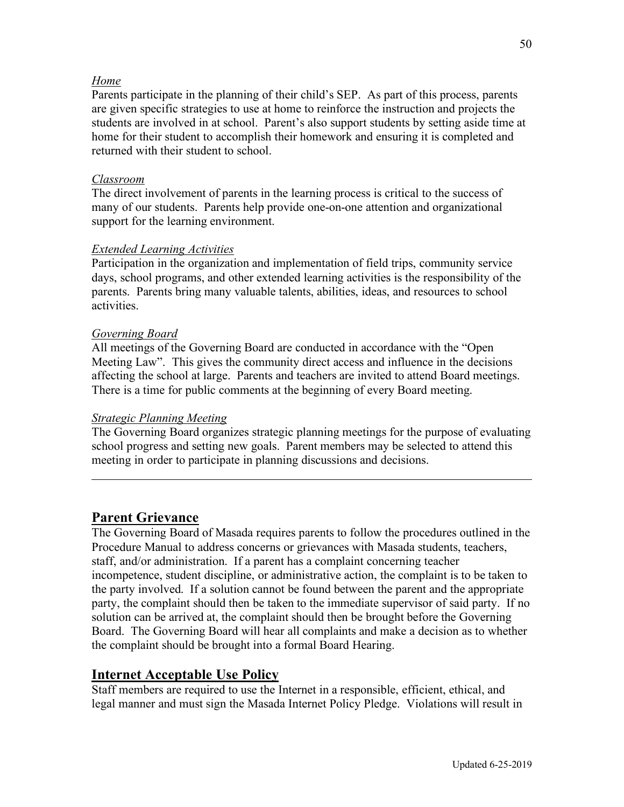## *Home*

Parents participate in the planning of their child's SEP. As part of this process, parents are given specific strategies to use at home to reinforce the instruction and projects the students are involved in at school. Parent's also support students by setting aside time at home for their student to accomplish their homework and ensuring it is completed and returned with their student to school.

## *Classroom*

The direct involvement of parents in the learning process is critical to the success of many of our students. Parents help provide one-on-one attention and organizational support for the learning environment.

## *Extended Learning Activities*

Participation in the organization and implementation of field trips, community service days, school programs, and other extended learning activities is the responsibility of the parents. Parents bring many valuable talents, abilities, ideas, and resources to school activities.

## *Governing Board*

All meetings of the Governing Board are conducted in accordance with the "Open Meeting Law". This gives the community direct access and influence in the decisions affecting the school at large. Parents and teachers are invited to attend Board meetings. There is a time for public comments at the beginning of every Board meeting.

## *Strategic Planning Meeting*

The Governing Board organizes strategic planning meetings for the purpose of evaluating school progress and setting new goals. Parent members may be selected to attend this meeting in order to participate in planning discussions and decisions.

## **Parent Grievance**

The Governing Board of Masada requires parents to follow the procedures outlined in the Procedure Manual to address concerns or grievances with Masada students, teachers, staff, and/or administration. If a parent has a complaint concerning teacher incompetence, student discipline, or administrative action, the complaint is to be taken to the party involved. If a solution cannot be found between the parent and the appropriate party, the complaint should then be taken to the immediate supervisor of said party. If no solution can be arrived at, the complaint should then be brought before the Governing Board. The Governing Board will hear all complaints and make a decision as to whether the complaint should be brought into a formal Board Hearing.

## **Internet Acceptable Use Policy**

Staff members are required to use the Internet in a responsible, efficient, ethical, and legal manner and must sign the Masada Internet Policy Pledge. Violations will result in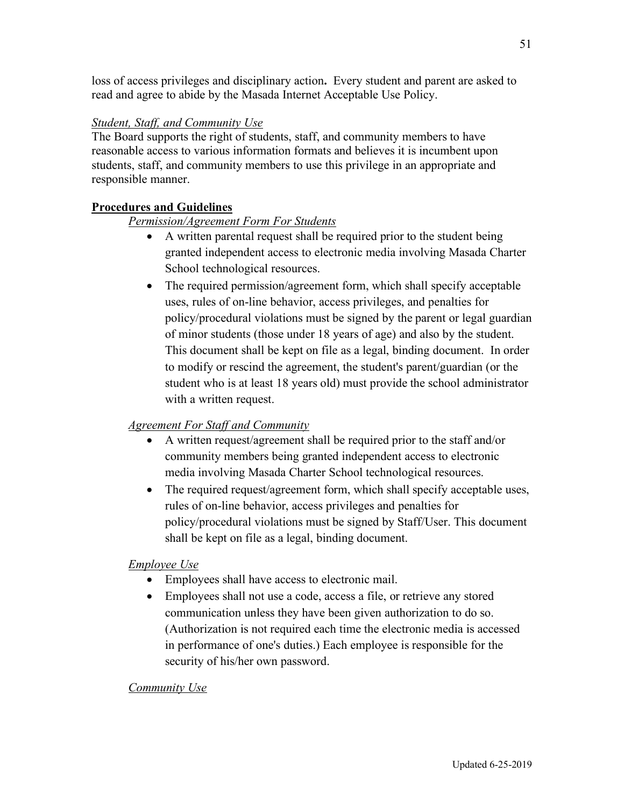loss of access privileges and disciplinary action**.** Every student and parent are asked to read and agree to abide by the Masada Internet Acceptable Use Policy.

## *Student, Staff, and Community Use*

The Board supports the right of students, staff, and community members to have reasonable access to various information formats and believes it is incumbent upon students, staff, and community members to use this privilege in an appropriate and responsible manner.

## **Procedures and Guidelines**

## *Permission/Agreement Form For Students*

- A written parental request shall be required prior to the student being granted independent access to electronic media involving Masada Charter School technological resources.
- The required permission/agreement form, which shall specify acceptable uses, rules of on-line behavior, access privileges, and penalties for policy/procedural violations must be signed by the parent or legal guardian of minor students (those under 18 years of age) and also by the student. This document shall be kept on file as a legal, binding document. In order to modify or rescind the agreement, the student's parent/guardian (or the student who is at least 18 years old) must provide the school administrator with a written request.

## *Agreement For Staff and Community*

- A written request/agreement shall be required prior to the staff and/or community members being granted independent access to electronic media involving Masada Charter School technological resources.
- The required request/agreement form, which shall specify acceptable uses, rules of on-line behavior, access privileges and penalties for policy/procedural violations must be signed by Staff/User. This document shall be kept on file as a legal, binding document.

## *Employee Use*

- Employees shall have access to electronic mail.
- Employees shall not use a code, access a file, or retrieve any stored communication unless they have been given authorization to do so. (Authorization is not required each time the electronic media is accessed in performance of one's duties.) Each employee is responsible for the security of his/her own password.

## *Community Use*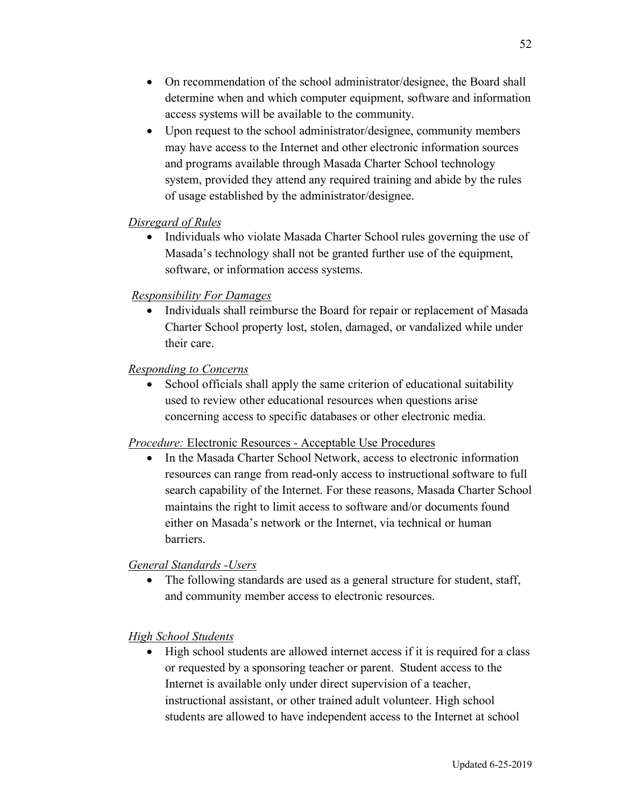- On recommendation of the school administrator/designee, the Board shall determine when and which computer equipment, software and information access systems will be available to the community.
- Upon request to the school administrator/designee, community members may have access to the Internet and other electronic information sources and programs available through Masada Charter School technology system, provided they attend any required training and abide by the rules of usage established by the administrator/designee.

## *Disregard of Rules*

• Individuals who violate Masada Charter School rules governing the use of Masada's technology shall not be granted further use of the equipment, software, or information access systems.

## *Responsibility For Damages*

• Individuals shall reimburse the Board for repair or replacement of Masada Charter School property lost, stolen, damaged, or vandalized while under their care.

## *Responding to Concerns*

• School officials shall apply the same criterion of educational suitability used to review other educational resources when questions arise concerning access to specific databases or other electronic media.

## *Procedure:* Electronic Resources - Acceptable Use Procedures

• In the Masada Charter School Network, access to electronic information resources can range from read-only access to instructional software to full search capability of the Internet. For these reasons, Masada Charter School maintains the right to limit access to software and/or documents found either on Masada's network or the Internet, via technical or human barriers.

## *General Standards -Users*

• The following standards are used as a general structure for student, staff, and community member access to electronic resources.

## *High School Students*

• High school students are allowed internet access if it is required for a class or requested by a sponsoring teacher or parent. Student access to the Internet is available only under direct supervision of a teacher, instructional assistant, or other trained adult volunteer. High school students are allowed to have independent access to the Internet at school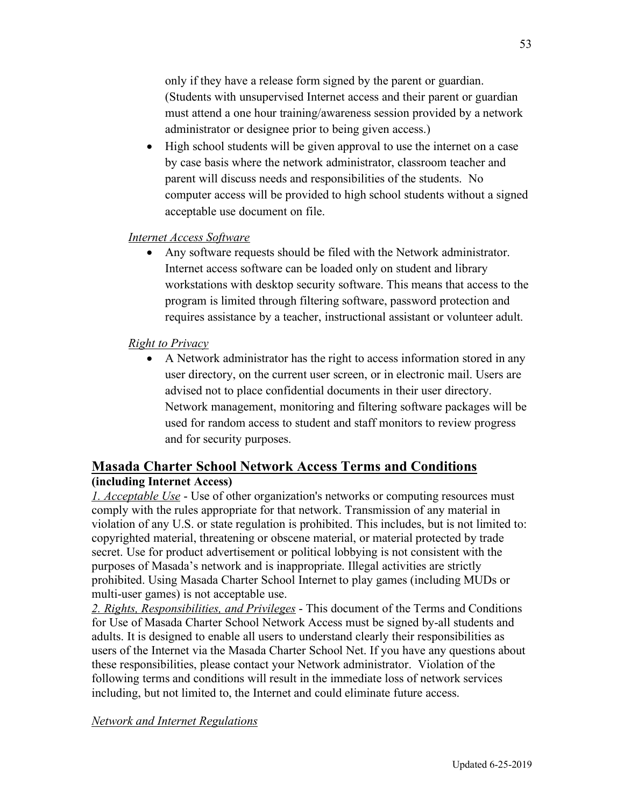only if they have a release form signed by the parent or guardian. (Students with unsupervised Internet access and their parent or guardian must attend a one hour training/awareness session provided by a network administrator or designee prior to being given access.)

• High school students will be given approval to use the internet on a case by case basis where the network administrator, classroom teacher and parent will discuss needs and responsibilities of the students. No computer access will be provided to high school students without a signed acceptable use document on file.

## *Internet Access Software*

• Any software requests should be filed with the Network administrator. Internet access software can be loaded only on student and library workstations with desktop security software. This means that access to the program is limited through filtering software, password protection and requires assistance by a teacher, instructional assistant or volunteer adult.

## *Right to Privacy*

• A Network administrator has the right to access information stored in any user directory, on the current user screen, or in electronic mail. Users are advised not to place confidential documents in their user directory. Network management, monitoring and filtering software packages will be used for random access to student and staff monitors to review progress and for security purposes.

# **Masada Charter School Network Access Terms and Conditions**

## **(including Internet Access)**

*1. Acceptable Use* - Use of other organization's networks or computing resources must comply with the rules appropriate for that network. Transmission of any material in violation of any U.S. or state regulation is prohibited. This includes, but is not limited to: copyrighted material, threatening or obscene material, or material protected by trade secret. Use for product advertisement or political lobbying is not consistent with the purposes of Masada's network and is inappropriate. Illegal activities are strictly prohibited. Using Masada Charter School Internet to play games (including MUDs or multi-user games) is not acceptable use.

*2. Rights, Responsibilities, and Privileges* - This document of the Terms and Conditions for Use of Masada Charter School Network Access must be signed by-all students and adults. It is designed to enable all users to understand clearly their responsibilities as users of the Internet via the Masada Charter School Net. If you have any questions about these responsibilities, please contact your Network administrator. Violation of the following terms and conditions will result in the immediate loss of network services including, but not limited to, the Internet and could eliminate future access.

## *Network and Internet Regulations*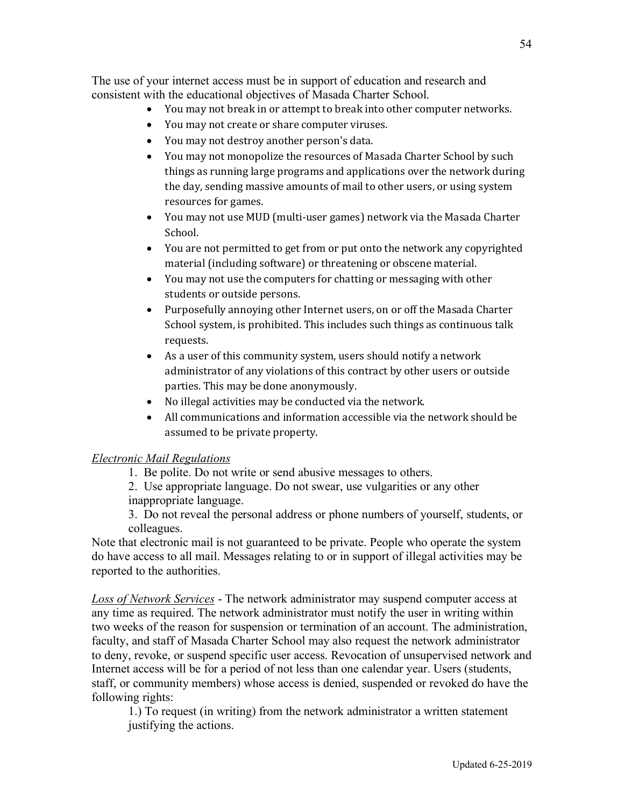The use of your internet access must be in support of education and research and consistent with the educational objectives of Masada Charter School.

- You may not break in or attempt to break into other computer networks.
- You may not create or share computer viruses.
- You may not destroy another person's data.
- You may not monopolize the resources of Masada Charter School by such things as running large programs and applications over the network during the day, sending massive amounts of mail to other users, or using system resources for games.
- You may not use MUD (multi-user games) network via the Masada Charter School.
- You are not permitted to get from or put onto the network any copyrighted material (including software) or threatening or obscene material.
- You may not use the computers for chatting or messaging with other students or outside persons.
- Purposefully annoying other Internet users, on or off the Masada Charter School system, is prohibited. This includes such things as continuous talk requests.
- As a user of this community system, users should notify a network administrator of any violations of this contract by other users or outside parties. This may be done anonymously.
- No illegal activities may be conducted via the network.
- All communications and information accessible via the network should be assumed to be private property.

#### *Electronic Mail Regulations*

- 1. Be polite. Do not write or send abusive messages to others.
- 2. Use appropriate language. Do not swear, use vulgarities or any other inappropriate language.

3. Do not reveal the personal address or phone numbers of yourself, students, or colleagues.

Note that electronic mail is not guaranteed to be private. People who operate the system do have access to all mail. Messages relating to or in support of illegal activities may be reported to the authorities.

*Loss of Network Services* - The network administrator may suspend computer access at any time as required. The network administrator must notify the user in writing within two weeks of the reason for suspension or termination of an account. The administration, faculty, and staff of Masada Charter School may also request the network administrator to deny, revoke, or suspend specific user access. Revocation of unsupervised network and Internet access will be for a period of not less than one calendar year. Users (students, staff, or community members) whose access is denied, suspended or revoked do have the following rights:

1.) To request (in writing) from the network administrator a written statement justifying the actions.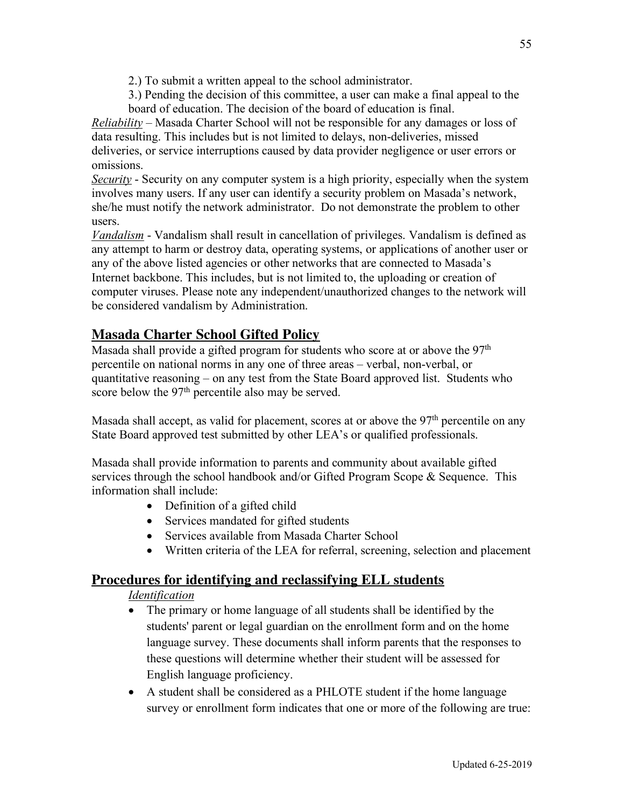2.) To submit a written appeal to the school administrator.

3.) Pending the decision of this committee, a user can make a final appeal to the board of education. The decision of the board of education is final.

*Reliability* – Masada Charter School will not be responsible for any damages or loss of data resulting. This includes but is not limited to delays, non-deliveries, missed deliveries, or service interruptions caused by data provider negligence or user errors or omissions.

*Security* - Security on any computer system is a high priority, especially when the system involves many users. If any user can identify a security problem on Masada's network, she/he must notify the network administrator. Do not demonstrate the problem to other users.

*Vandalism* - Vandalism shall result in cancellation of privileges. Vandalism is defined as any attempt to harm or destroy data, operating systems, or applications of another user or any of the above listed agencies or other networks that are connected to Masada's Internet backbone. This includes, but is not limited to, the uploading or creation of computer viruses. Please note any independent/unauthorized changes to the network will be considered vandalism by Administration.

## **Masada Charter School Gifted Policy**

Masada shall provide a gifted program for students who score at or above the  $97<sup>th</sup>$ percentile on national norms in any one of three areas – verbal, non-verbal, or quantitative reasoning – on any test from the State Board approved list. Students who score below the 97<sup>th</sup> percentile also may be served.

Masada shall accept, as valid for placement, scores at or above the  $97<sup>th</sup>$  percentile on any State Board approved test submitted by other LEA's or qualified professionals.

Masada shall provide information to parents and community about available gifted services through the school handbook and/or Gifted Program Scope & Sequence. This information shall include:

- Definition of a gifted child
- Services mandated for gifted students
- Services available from Masada Charter School
- Written criteria of the LEA for referral, screening, selection and placement

## **Procedures for identifying and reclassifying ELL students**

## *Identification*

- The primary or home language of all students shall be identified by the students' parent or legal guardian on the enrollment form and on the home language survey. These documents shall inform parents that the responses to these questions will determine whether their student will be assessed for English language proficiency.
- A student shall be considered as a PHLOTE student if the home language survey or enrollment form indicates that one or more of the following are true: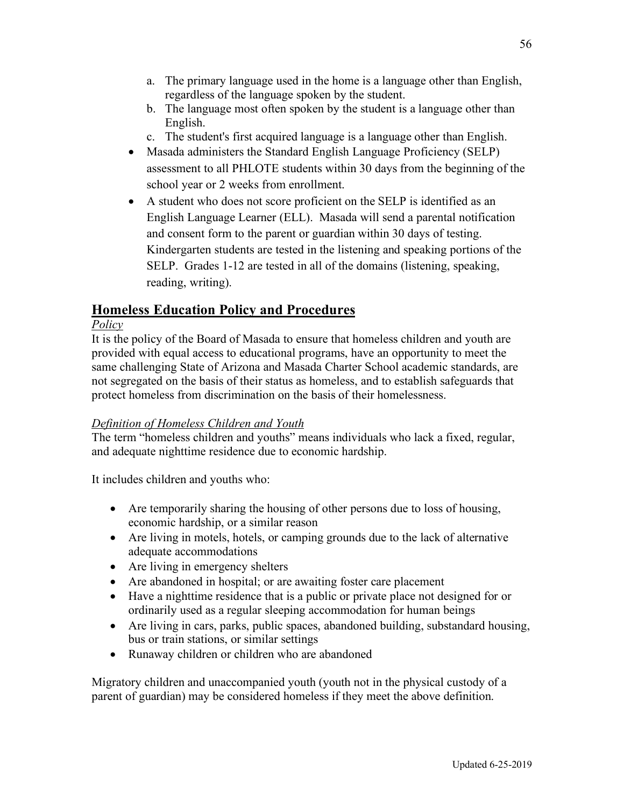- a. The primary language used in the home is a language other than English, regardless of the language spoken by the student.
- b. The language most often spoken by the student is a language other than English.
- c. The student's first acquired language is a language other than English.
- Masada administers the Standard English Language Proficiency (SELP) assessment to all PHLOTE students within 30 days from the beginning of the school year or 2 weeks from enrollment.
- A student who does not score proficient on the SELP is identified as an English Language Learner (ELL). Masada will send a parental notification and consent form to the parent or guardian within 30 days of testing. Kindergarten students are tested in the listening and speaking portions of the SELP. Grades 1-12 are tested in all of the domains (listening, speaking, reading, writing).

## **Homeless Education Policy and Procedures**

## *Policy*

It is the policy of the Board of Masada to ensure that homeless children and youth are provided with equal access to educational programs, have an opportunity to meet the same challenging State of Arizona and Masada Charter School academic standards, are not segregated on the basis of their status as homeless, and to establish safeguards that protect homeless from discrimination on the basis of their homelessness.

## *Definition of Homeless Children and Youth*

The term "homeless children and youths" means individuals who lack a fixed, regular, and adequate nighttime residence due to economic hardship.

It includes children and youths who:

- Are temporarily sharing the housing of other persons due to loss of housing, economic hardship, or a similar reason
- Are living in motels, hotels, or camping grounds due to the lack of alternative adequate accommodations
- Are living in emergency shelters
- Are abandoned in hospital; or are awaiting foster care placement
- Have a nighttime residence that is a public or private place not designed for or ordinarily used as a regular sleeping accommodation for human beings
- Are living in cars, parks, public spaces, abandoned building, substandard housing, bus or train stations, or similar settings
- Runaway children or children who are abandoned

Migratory children and unaccompanied youth (youth not in the physical custody of a parent of guardian) may be considered homeless if they meet the above definition.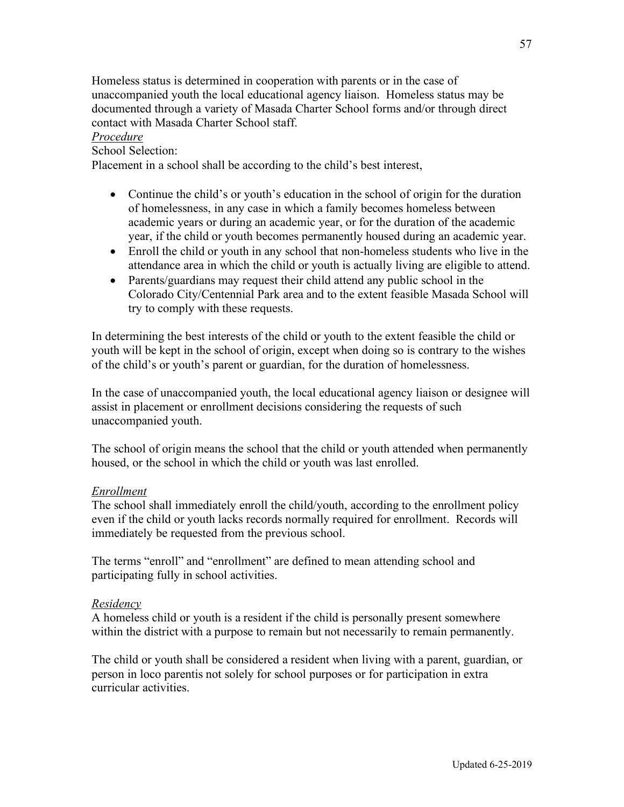Homeless status is determined in cooperation with parents or in the case of unaccompanied youth the local educational agency liaison. Homeless status may be documented through a variety of Masada Charter School forms and/or through direct contact with Masada Charter School staff.

## *Procedure*

School Selection:

Placement in a school shall be according to the child's best interest,

- Continue the child's or youth's education in the school of origin for the duration of homelessness, in any case in which a family becomes homeless between academic years or during an academic year, or for the duration of the academic year, if the child or youth becomes permanently housed during an academic year.
- Enroll the child or youth in any school that non-homeless students who live in the attendance area in which the child or youth is actually living are eligible to attend.
- Parents/guardians may request their child attend any public school in the Colorado City/Centennial Park area and to the extent feasible Masada School will try to comply with these requests.

In determining the best interests of the child or youth to the extent feasible the child or youth will be kept in the school of origin, except when doing so is contrary to the wishes of the child's or youth's parent or guardian, for the duration of homelessness.

In the case of unaccompanied youth, the local educational agency liaison or designee will assist in placement or enrollment decisions considering the requests of such unaccompanied youth.

The school of origin means the school that the child or youth attended when permanently housed, or the school in which the child or youth was last enrolled.

## *Enrollment*

The school shall immediately enroll the child/youth, according to the enrollment policy even if the child or youth lacks records normally required for enrollment. Records will immediately be requested from the previous school.

The terms "enroll" and "enrollment" are defined to mean attending school and participating fully in school activities.

## *Residency*

A homeless child or youth is a resident if the child is personally present somewhere within the district with a purpose to remain but not necessarily to remain permanently.

The child or youth shall be considered a resident when living with a parent, guardian, or person in loco parentis not solely for school purposes or for participation in extra curricular activities.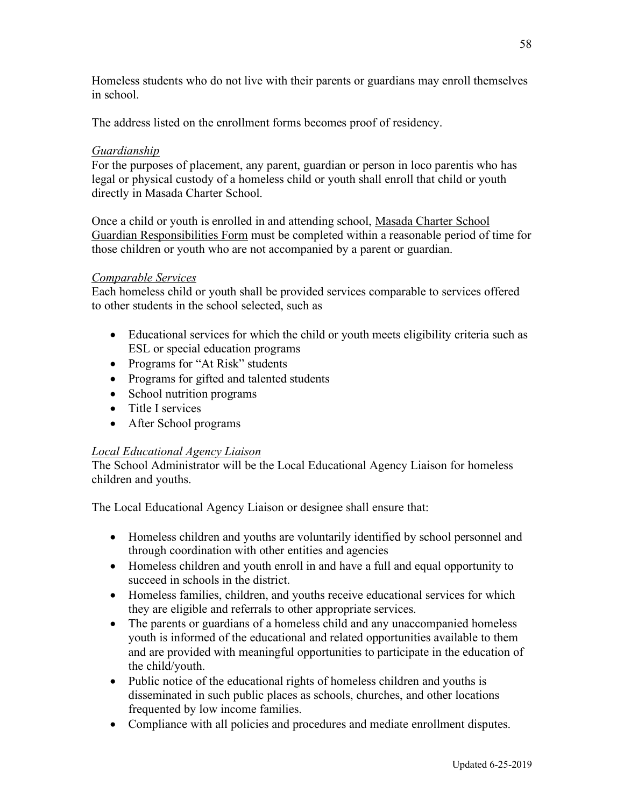Homeless students who do not live with their parents or guardians may enroll themselves in school.

The address listed on the enrollment forms becomes proof of residency.

## *Guardianship*

For the purposes of placement, any parent, guardian or person in loco parentis who has legal or physical custody of a homeless child or youth shall enroll that child or youth directly in Masada Charter School.

Once a child or youth is enrolled in and attending school, Masada Charter School Guardian Responsibilities Form must be completed within a reasonable period of time for those children or youth who are not accompanied by a parent or guardian.

## *Comparable Services*

Each homeless child or youth shall be provided services comparable to services offered to other students in the school selected, such as

- Educational services for which the child or youth meets eligibility criteria such as ESL or special education programs
- Programs for "At Risk" students
- Programs for gifted and talented students
- School nutrition programs
- Title I services
- After School programs

## *Local Educational Agency Liaison*

The School Administrator will be the Local Educational Agency Liaison for homeless children and youths.

The Local Educational Agency Liaison or designee shall ensure that:

- Homeless children and youths are voluntarily identified by school personnel and through coordination with other entities and agencies
- Homeless children and youth enroll in and have a full and equal opportunity to succeed in schools in the district.
- Homeless families, children, and youths receive educational services for which they are eligible and referrals to other appropriate services.
- The parents or guardians of a homeless child and any unaccompanied homeless youth is informed of the educational and related opportunities available to them and are provided with meaningful opportunities to participate in the education of the child/youth.
- Public notice of the educational rights of homeless children and youths is disseminated in such public places as schools, churches, and other locations frequented by low income families.
- Compliance with all policies and procedures and mediate enrollment disputes.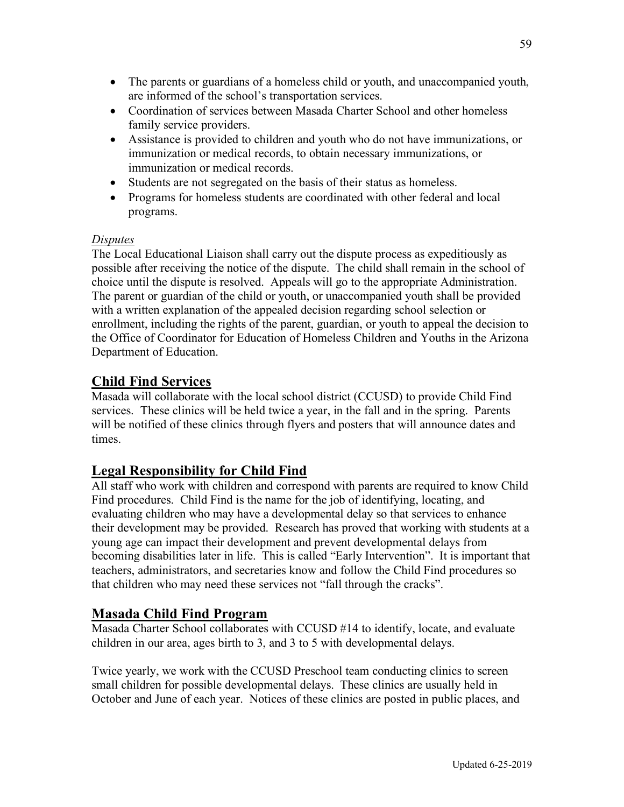- The parents or guardians of a homeless child or youth, and unaccompanied youth, are informed of the school's transportation services.
- Coordination of services between Masada Charter School and other homeless family service providers.
- Assistance is provided to children and youth who do not have immunizations, or immunization or medical records, to obtain necessary immunizations, or immunization or medical records.
- Students are not segregated on the basis of their status as homeless.
- Programs for homeless students are coordinated with other federal and local programs.

## *Disputes*

The Local Educational Liaison shall carry out the dispute process as expeditiously as possible after receiving the notice of the dispute. The child shall remain in the school of choice until the dispute is resolved. Appeals will go to the appropriate Administration. The parent or guardian of the child or youth, or unaccompanied youth shall be provided with a written explanation of the appealed decision regarding school selection or enrollment, including the rights of the parent, guardian, or youth to appeal the decision to the Office of Coordinator for Education of Homeless Children and Youths in the Arizona Department of Education.

## **Child Find Services**

Masada will collaborate with the local school district (CCUSD) to provide Child Find services. These clinics will be held twice a year, in the fall and in the spring. Parents will be notified of these clinics through flyers and posters that will announce dates and times.

## **Legal Responsibility for Child Find**

All staff who work with children and correspond with parents are required to know Child Find procedures. Child Find is the name for the job of identifying, locating, and evaluating children who may have a developmental delay so that services to enhance their development may be provided. Research has proved that working with students at a young age can impact their development and prevent developmental delays from becoming disabilities later in life. This is called "Early Intervention". It is important that teachers, administrators, and secretaries know and follow the Child Find procedures so that children who may need these services not "fall through the cracks".

## **Masada Child Find Program**

Masada Charter School collaborates with CCUSD #14 to identify, locate, and evaluate children in our area, ages birth to 3, and 3 to 5 with developmental delays.

Twice yearly, we work with the CCUSD Preschool team conducting clinics to screen small children for possible developmental delays. These clinics are usually held in October and June of each year. Notices of these clinics are posted in public places, and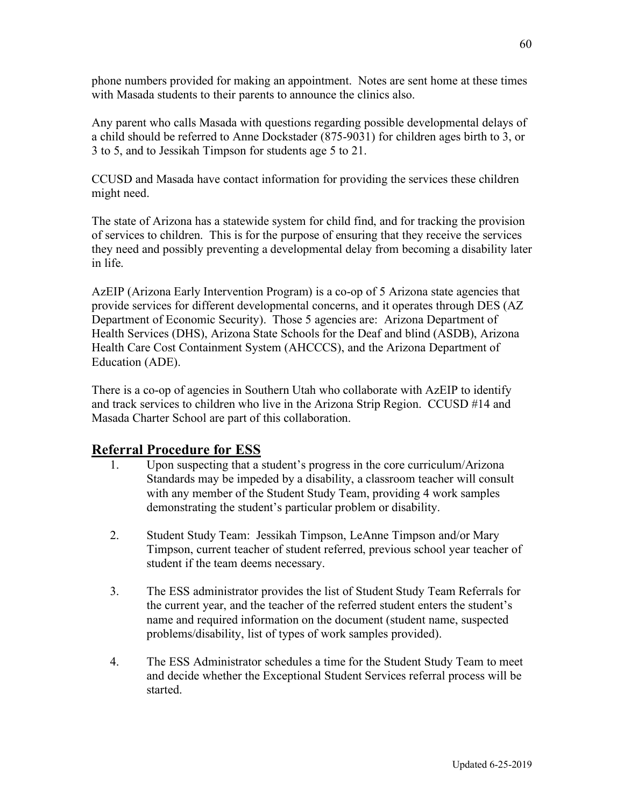phone numbers provided for making an appointment. Notes are sent home at these times with Masada students to their parents to announce the clinics also.

Any parent who calls Masada with questions regarding possible developmental delays of a child should be referred to Anne Dockstader (875-9031) for children ages birth to 3, or 3 to 5, and to Jessikah Timpson for students age 5 to 21.

CCUSD and Masada have contact information for providing the services these children might need.

The state of Arizona has a statewide system for child find, and for tracking the provision of services to children. This is for the purpose of ensuring that they receive the services they need and possibly preventing a developmental delay from becoming a disability later in life.

AzEIP (Arizona Early Intervention Program) is a co-op of 5 Arizona state agencies that provide services for different developmental concerns, and it operates through DES (AZ Department of Economic Security). Those 5 agencies are: Arizona Department of Health Services (DHS), Arizona State Schools for the Deaf and blind (ASDB), Arizona Health Care Cost Containment System (AHCCCS), and the Arizona Department of Education (ADE).

There is a co-op of agencies in Southern Utah who collaborate with AzEIP to identify and track services to children who live in the Arizona Strip Region. CCUSD #14 and Masada Charter School are part of this collaboration.

## **Referral Procedure for ESS**

- 1. Upon suspecting that a student's progress in the core curriculum/Arizona Standards may be impeded by a disability, a classroom teacher will consult with any member of the Student Study Team, providing 4 work samples demonstrating the student's particular problem or disability.
- 2. Student Study Team: Jessikah Timpson, LeAnne Timpson and/or Mary Timpson, current teacher of student referred, previous school year teacher of student if the team deems necessary.
- 3. The ESS administrator provides the list of Student Study Team Referrals for the current year, and the teacher of the referred student enters the student's name and required information on the document (student name, suspected problems/disability, list of types of work samples provided).
- 4. The ESS Administrator schedules a time for the Student Study Team to meet and decide whether the Exceptional Student Services referral process will be started.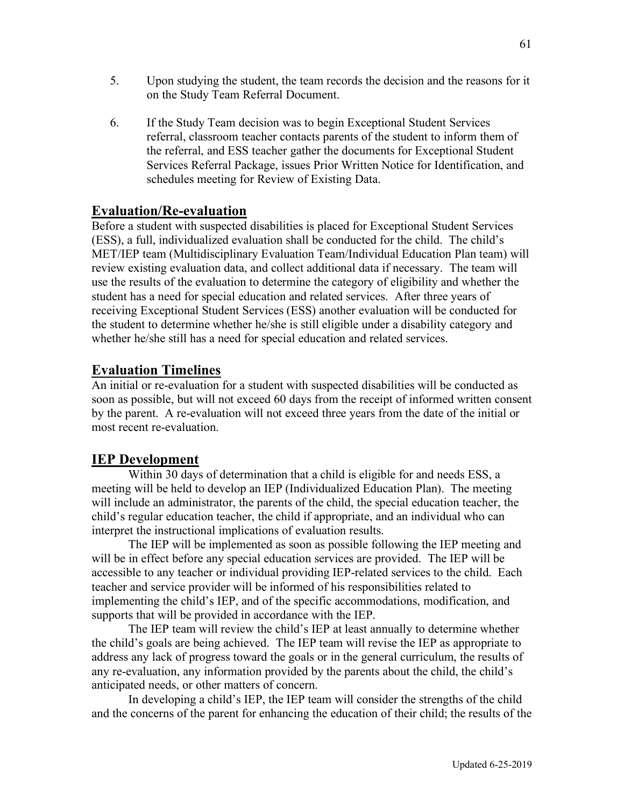- 5. Upon studying the student, the team records the decision and the reasons for it on the Study Team Referral Document.
- 6. If the Study Team decision was to begin Exceptional Student Services referral, classroom teacher contacts parents of the student to inform them of the referral, and ESS teacher gather the documents for Exceptional Student Services Referral Package, issues Prior Written Notice for Identification, and schedules meeting for Review of Existing Data.

## **Evaluation/Re-evaluation**

Before a student with suspected disabilities is placed for Exceptional Student Services (ESS), a full, individualized evaluation shall be conducted for the child. The child's MET/IEP team (Multidisciplinary Evaluation Team/Individual Education Plan team) will review existing evaluation data, and collect additional data if necessary. The team will use the results of the evaluation to determine the category of eligibility and whether the student has a need for special education and related services. After three years of receiving Exceptional Student Services (ESS) another evaluation will be conducted for the student to determine whether he/she is still eligible under a disability category and whether he/she still has a need for special education and related services.

## **Evaluation Timelines**

An initial or re-evaluation for a student with suspected disabilities will be conducted as soon as possible, but will not exceed 60 days from the receipt of informed written consent by the parent. A re-evaluation will not exceed three years from the date of the initial or most recent re-evaluation.

## **IEP Development**

Within 30 days of determination that a child is eligible for and needs ESS, a meeting will be held to develop an IEP (Individualized Education Plan). The meeting will include an administrator, the parents of the child, the special education teacher, the child's regular education teacher, the child if appropriate, and an individual who can interpret the instructional implications of evaluation results.

The IEP will be implemented as soon as possible following the IEP meeting and will be in effect before any special education services are provided. The IEP will be accessible to any teacher or individual providing IEP-related services to the child. Each teacher and service provider will be informed of his responsibilities related to implementing the child's IEP, and of the specific accommodations, modification, and supports that will be provided in accordance with the IEP.

The IEP team will review the child's IEP at least annually to determine whether the child's goals are being achieved. The IEP team will revise the IEP as appropriate to address any lack of progress toward the goals or in the general curriculum, the results of any re-evaluation, any information provided by the parents about the child, the child's anticipated needs, or other matters of concern.

In developing a child's IEP, the IEP team will consider the strengths of the child and the concerns of the parent for enhancing the education of their child; the results of the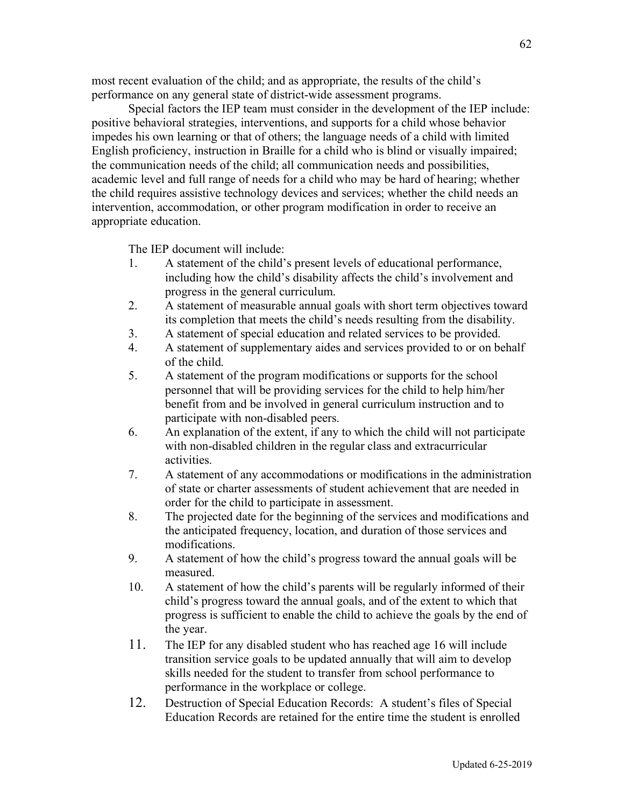most recent evaluation of the child; and as appropriate, the results of the child's performance on any general state of district-wide assessment programs.

Special factors the IEP team must consider in the development of the IEP include: positive behavioral strategies, interventions, and supports for a child whose behavior impedes his own learning or that of others; the language needs of a child with limited English proficiency, instruction in Braille for a child who is blind or visually impaired; the communication needs of the child; all communication needs and possibilities, academic level and full range of needs for a child who may be hard of hearing; whether the child requires assistive technology devices and services; whether the child needs an intervention, accommodation, or other program modification in order to receive an appropriate education.

The IEP document will include:

- 1. A statement of the child's present levels of educational performance, including how the child's disability affects the child's involvement and progress in the general curriculum.
- 2. A statement of measurable annual goals with short term objectives toward its completion that meets the child's needs resulting from the disability.
- 3. A statement of special education and related services to be provided.
- 4. A statement of supplementary aides and services provided to or on behalf of the child.
- 5. A statement of the program modifications or supports for the school personnel that will be providing services for the child to help him/her benefit from and be involved in general curriculum instruction and to participate with non-disabled peers.
- 6. An explanation of the extent, if any to which the child will not participate with non-disabled children in the regular class and extracurricular activities.
- 7. A statement of any accommodations or modifications in the administration of state or charter assessments of student achievement that are needed in order for the child to participate in assessment.
- 8. The projected date for the beginning of the services and modifications and the anticipated frequency, location, and duration of those services and modifications.
- 9. A statement of how the child's progress toward the annual goals will be measured.
- 10. A statement of how the child's parents will be regularly informed of their child's progress toward the annual goals, and of the extent to which that progress is sufficient to enable the child to achieve the goals by the end of the year.
- 11. The IEP for any disabled student who has reached age 16 will include transition service goals to be updated annually that will aim to develop skills needed for the student to transfer from school performance to performance in the workplace or college.
- 12. Destruction of Special Education Records: A student's files of Special Education Records are retained for the entire time the student is enrolled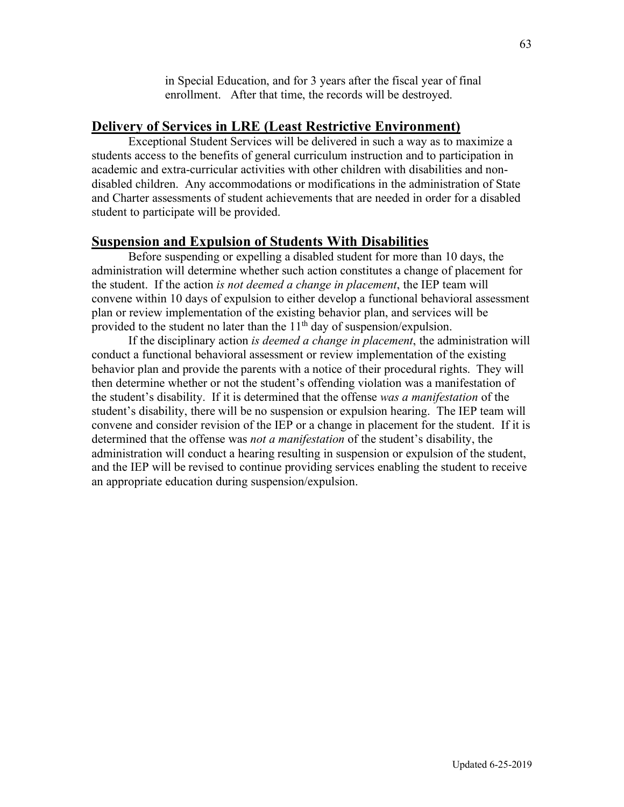in Special Education, and for 3 years after the fiscal year of final enrollment. After that time, the records will be destroyed.

### **Delivery of Services in LRE (Least Restrictive Environment)**

Exceptional Student Services will be delivered in such a way as to maximize a students access to the benefits of general curriculum instruction and to participation in academic and extra-curricular activities with other children with disabilities and nondisabled children. Any accommodations or modifications in the administration of State and Charter assessments of student achievements that are needed in order for a disabled student to participate will be provided.

#### **Suspension and Expulsion of Students With Disabilities**

Before suspending or expelling a disabled student for more than 10 days, the administration will determine whether such action constitutes a change of placement for the student. If the action *is not deemed a change in placement*, the IEP team will convene within 10 days of expulsion to either develop a functional behavioral assessment plan or review implementation of the existing behavior plan, and services will be provided to the student no later than the  $11<sup>th</sup>$  day of suspension/expulsion.

If the disciplinary action *is deemed a change in placement*, the administration will conduct a functional behavioral assessment or review implementation of the existing behavior plan and provide the parents with a notice of their procedural rights. They will then determine whether or not the student's offending violation was a manifestation of the student's disability. If it is determined that the offense *was a manifestation* of the student's disability, there will be no suspension or expulsion hearing. The IEP team will convene and consider revision of the IEP or a change in placement for the student. If it is determined that the offense was *not a manifestation* of the student's disability, the administration will conduct a hearing resulting in suspension or expulsion of the student, and the IEP will be revised to continue providing services enabling the student to receive an appropriate education during suspension/expulsion.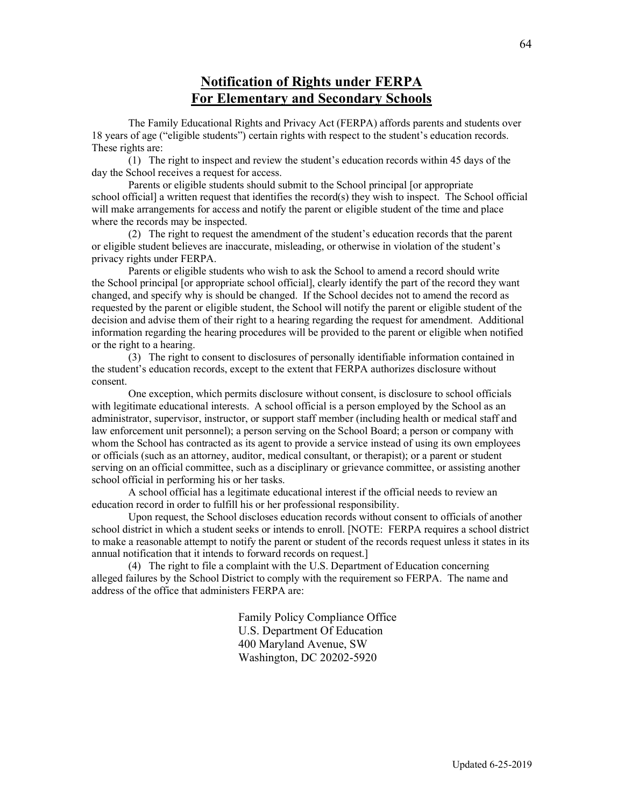## **Notification of Rights under FERPA For Elementary and Secondary Schools**

The Family Educational Rights and Privacy Act (FERPA) affords parents and students over 18 years of age ("eligible students") certain rights with respect to the student's education records. These rights are:

(1) The right to inspect and review the student's education records within 45 days of the day the School receives a request for access.

Parents or eligible students should submit to the School principal [or appropriate school official] a written request that identifies the record(s) they wish to inspect. The School official will make arrangements for access and notify the parent or eligible student of the time and place where the records may be inspected.

(2) The right to request the amendment of the student's education records that the parent or eligible student believes are inaccurate, misleading, or otherwise in violation of the student's privacy rights under FERPA.

Parents or eligible students who wish to ask the School to amend a record should write the School principal [or appropriate school official], clearly identify the part of the record they want changed, and specify why is should be changed. If the School decides not to amend the record as requested by the parent or eligible student, the School will notify the parent or eligible student of the decision and advise them of their right to a hearing regarding the request for amendment. Additional information regarding the hearing procedures will be provided to the parent or eligible when notified or the right to a hearing.

(3) The right to consent to disclosures of personally identifiable information contained in the student's education records, except to the extent that FERPA authorizes disclosure without consent.

One exception, which permits disclosure without consent, is disclosure to school officials with legitimate educational interests. A school official is a person employed by the School as an administrator, supervisor, instructor, or support staff member (including health or medical staff and law enforcement unit personnel); a person serving on the School Board; a person or company with whom the School has contracted as its agent to provide a service instead of using its own employees or officials (such as an attorney, auditor, medical consultant, or therapist); or a parent or student serving on an official committee, such as a disciplinary or grievance committee, or assisting another school official in performing his or her tasks.

A school official has a legitimate educational interest if the official needs to review an education record in order to fulfill his or her professional responsibility.

Upon request, the School discloses education records without consent to officials of another school district in which a student seeks or intends to enroll. [NOTE: FERPA requires a school district to make a reasonable attempt to notify the parent or student of the records request unless it states in its annual notification that it intends to forward records on request.]

(4) The right to file a complaint with the U.S. Department of Education concerning alleged failures by the School District to comply with the requirement so FERPA. The name and address of the office that administers FERPA are:

> Family Policy Compliance Office U.S. Department Of Education 400 Maryland Avenue, SW Washington, DC 20202-5920